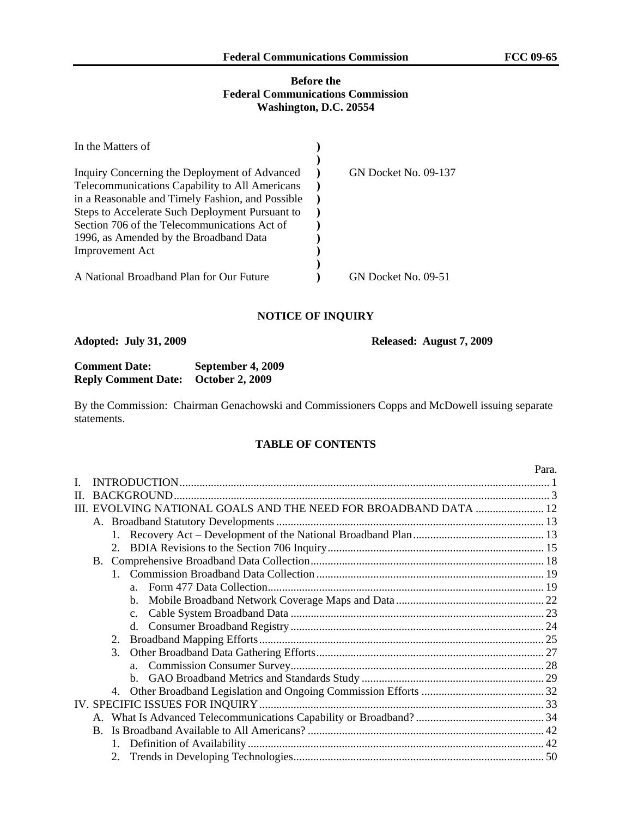#### **Before the Federal Communications Commission Washington, D.C. 20554**

| In the Matters of                                |                      |
|--------------------------------------------------|----------------------|
|                                                  |                      |
| Inquiry Concerning the Deployment of Advanced    | GN Docket No. 09-137 |
| Telecommunications Capability to All Americans   |                      |
| in a Reasonable and Timely Fashion, and Possible |                      |
| Steps to Accelerate Such Deployment Pursuant to  |                      |
| Section 706 of the Telecommunications Act of     |                      |
| 1996, as Amended by the Broadband Data           |                      |
| <b>Improvement Act</b>                           |                      |
|                                                  |                      |
| A National Broadband Plan for Our Future         | GN Docket No. 09-51  |

#### **NOTICE OF INQUIRY**

**Adopted: July 31, 2009 Released: August 7, 2009** 

| <b>Comment Date:</b>                       | September 4, 2009 |
|--------------------------------------------|-------------------|
| <b>Reply Comment Date: October 2, 2009</b> |                   |

By the Commission: Chairman Genachowski and Commissioners Copps and McDowell issuing separate statements.

#### **TABLE OF CONTENTS**

|              |           |    |                |                                                                  | Para. |
|--------------|-----------|----|----------------|------------------------------------------------------------------|-------|
|              |           |    |                |                                                                  |       |
| $\mathbf{H}$ |           |    |                |                                                                  |       |
|              |           |    |                | III. EVOLVING NATIONAL GOALS AND THE NEED FOR BROADBAND DATA  12 |       |
|              |           |    |                |                                                                  |       |
|              |           |    |                |                                                                  |       |
|              |           |    |                |                                                                  |       |
|              | <b>B.</b> |    |                |                                                                  |       |
|              |           |    |                |                                                                  |       |
|              |           |    | $a_{-}$        |                                                                  |       |
|              |           |    | $b_{\cdot}$    |                                                                  |       |
|              |           |    | C <sub>1</sub> |                                                                  |       |
|              |           |    | d.             |                                                                  |       |
|              |           | 2. |                |                                                                  |       |
|              |           | 3. |                |                                                                  |       |
|              |           |    | $a_{-}$        |                                                                  |       |
|              |           |    |                |                                                                  |       |
|              |           |    |                |                                                                  |       |
|              |           |    |                |                                                                  |       |
|              |           |    |                |                                                                  |       |
|              | B.        |    |                |                                                                  |       |
|              |           |    |                |                                                                  |       |
|              |           |    |                |                                                                  |       |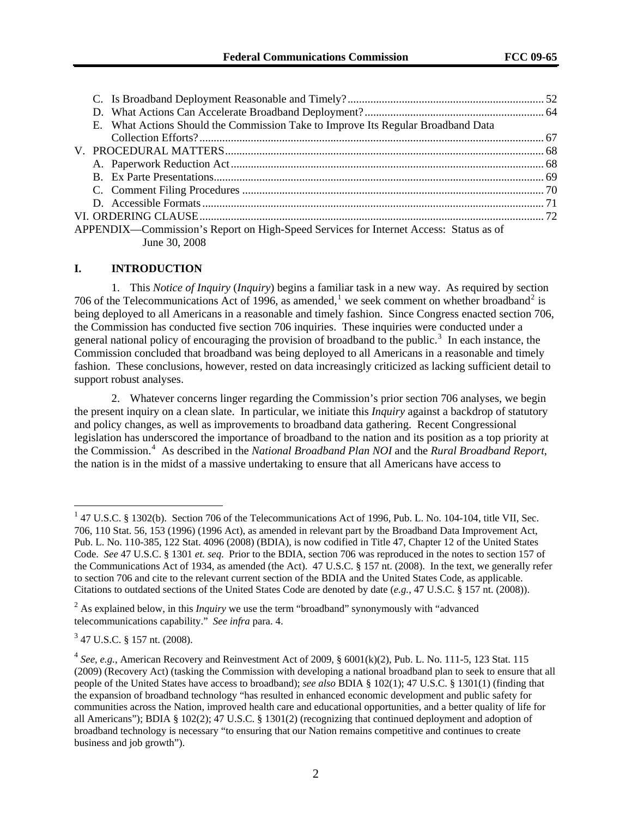| E. What Actions Should the Commission Take to Improve Its Regular Broadband Data      |  |
|---------------------------------------------------------------------------------------|--|
|                                                                                       |  |
|                                                                                       |  |
|                                                                                       |  |
|                                                                                       |  |
|                                                                                       |  |
|                                                                                       |  |
|                                                                                       |  |
| APPENDIX—Commission's Report on High-Speed Services for Internet Access: Status as of |  |
| June 30, 2008                                                                         |  |

#### **I. INTRODUCTION**

1. This *Notice of Inquiry* (*Inquiry*) begins a familiar task in a new way. As required by section 706 of the Telecommunications Act of [1](#page-1-0)996, as amended,<sup>1</sup> we seek comment on whether broadband<sup>[2](#page-1-1)</sup> is being deployed to all Americans in a reasonable and timely fashion. Since Congress enacted section 706, the Commission has conducted five section 706 inquiries. These inquiries were conducted under a general national policy of encouraging the provision of broadband to the public.<sup>[3](#page-1-2)</sup> In each instance, the Commission concluded that broadband was being deployed to all Americans in a reasonable and timely fashion. These conclusions, however, rested on data increasingly criticized as lacking sufficient detail to support robust analyses.

2. Whatever concerns linger regarding the Commission's prior section 706 analyses, we begin the present inquiry on a clean slate. In particular, we initiate this *Inquiry* against a backdrop of statutory and policy changes, as well as improvements to broadband data gathering. Recent Congressional legislation has underscored the importance of broadband to the nation and its position as a top priority at the Commission.[4](#page-1-3) As described in the *National Broadband Plan NOI* and the *Rural Broadband Report*, the nation is in the midst of a massive undertaking to ensure that all Americans have access to

<span id="page-1-0"></span> $147$  U.S.C. § 1302(b). Section 706 of the Telecommunications Act of 1996, Pub. L. No. 104-104, title VII, Sec. 706, 110 Stat. 56, 153 (1996) (1996 Act), as amended in relevant part by the Broadband Data Improvement Act, Pub. L. No. 110-385, 122 Stat. 4096 (2008) (BDIA), is now codified in Title 47, Chapter 12 of the United States Code. *See* 47 U.S.C. § 1301 *et. seq*. Prior to the BDIA, section 706 was reproduced in the notes to section 157 of the Communications Act of 1934, as amended (the Act). 47 U.S.C. § 157 nt. (2008). In the text, we generally refer to section 706 and cite to the relevant current section of the BDIA and the United States Code, as applicable. Citations to outdated sections of the United States Code are denoted by date (*e.g.*, 47 U.S.C. § 157 nt. (2008)).

<span id="page-1-1"></span><sup>&</sup>lt;sup>2</sup> As explained below, in this *Inquiry* we use the term "broadband" synonymously with "advanced telecommunications capability." *See infra* para. 4.

<span id="page-1-2"></span><sup>3</sup> 47 U.S.C. § 157 nt. (2008).

<span id="page-1-3"></span> $4$  *See, e.g.*, American Recovery and Reinvestment Act of 2009, § 6001(k)(2), Pub. L. No. 111-5, 123 Stat. 115 (2009) (Recovery Act) (tasking the Commission with developing a national broadband plan to seek to ensure that all people of the United States have access to broadband); *see also* BDIA § 102(1); 47 U.S.C. § 1301(1) (finding that the expansion of broadband technology "has resulted in enhanced economic development and public safety for communities across the Nation, improved health care and educational opportunities, and a better quality of life for all Americans"); BDIA § 102(2); 47 U.S.C. § 1301(2) (recognizing that continued deployment and adoption of broadband technology is necessary "to ensuring that our Nation remains competitive and continues to create business and job growth").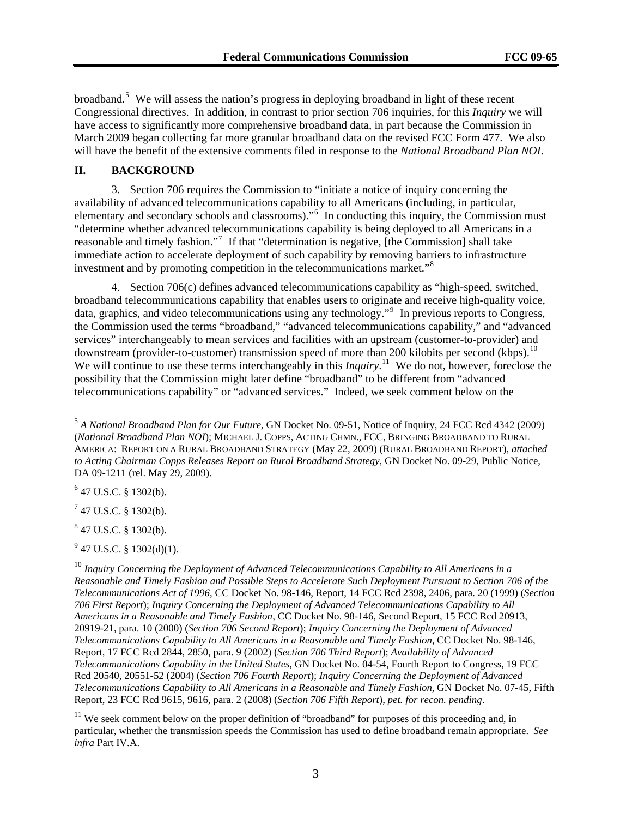broadband.<sup>5</sup> We will assess the nation's progress in deploying broadband in light of these recent Congressional directives. In addition, in contrast to prior section 706 inquiries, for this *Inquiry* we will have access to significantly more comprehensive broadband data, in part because the Commission in March 2009 began collecting far more granular broadband data on the revised FCC Form 477. We also will have the benefit of the extensive comments filed in response to the *National Broadband Plan NOI*.

#### **II. BACKGROUND**

3. Section 706 requires the Commission to "initiate a notice of inquiry concerning the availability of advanced telecommunications capability to all Americans (including, in particular, elementary and secondary schools and classrooms)."<sup>[6](#page-2-0)</sup> In conducting this inquiry, the Commission must "determine whether advanced telecommunications capability is being deployed to all Americans in a reasonable and timely fashion."<sup>[7](#page-2-1)</sup> If that "determination is negative, [the Commission] shall take immediate action to accelerate deployment of such capability by removing barriers to infrastructure investment and by promoting competition in the telecommunications market."[8](#page-2-2)

4. Section 706(c) defines advanced telecommunications capability as "high-speed, switched, broadband telecommunications capability that enables users to originate and receive high-quality voice, data, graphics, and video telecommunications using any technology."[9](#page-2-3) In previous reports to Congress, the Commission used the terms "broadband," "advanced telecommunications capability," and "advanced services" interchangeably to mean services and facilities with an upstream (customer-to-provider) and downstream (provider-to-customer) transmission speed of more than 200 kilobits per second (kbps).<sup>[10](#page-2-4)</sup> We will continue to use these terms interchangeably in this *Inquiry*.<sup>[11](#page-2-5)</sup> We do not, however, foreclose the possibility that the Commission might later define "broadband" to be different from "advanced telecommunications capability" or "advanced services." Indeed, we seek comment below on the

<span id="page-2-0"></span> $6$  47 U.S.C. § 1302(b).

 $\overline{a}$ 

<span id="page-2-1"></span> $7$  47 U.S.C. § 1302(b).

<span id="page-2-2"></span> $847$  U.S.C. § 1302(b).

<span id="page-2-3"></span> $^{9}$  47 U.S.C. § 1302(d)(1).

<span id="page-2-5"></span><sup>11</sup> We seek comment below on the proper definition of "broadband" for purposes of this proceeding and, in particular, whether the transmission speeds the Commission has used to define broadband remain appropriate. *See infra* Part IV.A.

<sup>5</sup> *A National Broadband Plan for Our Future*, GN Docket No. 09-51, Notice of Inquiry, 24 FCC Rcd 4342 (2009) (*National Broadband Plan NOI*); MICHAEL J. COPPS, ACTING CHMN., FCC, BRINGING BROADBAND TO RURAL AMERICA: REPORT ON A RURAL BROADBAND STRATEGY (May 22, 2009) (RURAL BROADBAND REPORT), *attached to Acting Chairman Copps Releases Report on Rural Broadband Strategy*, GN Docket No. 09-29, Public Notice, DA 09-1211 (rel. May 29, 2009).

<span id="page-2-4"></span><sup>10</sup> *Inquiry Concerning the Deployment of Advanced Telecommunications Capability to All Americans in a Reasonable and Timely Fashion and Possible Steps to Accelerate Such Deployment Pursuant to Section 706 of the Telecommunications Act of 1996*, CC Docket No. 98-146, Report, 14 FCC Rcd 2398, 2406, para. 20 (1999) (*Section 706 First Report*); *Inquiry Concerning the Deployment of Advanced Telecommunications Capability to All Americans in a Reasonable and Timely Fashion*, CC Docket No. 98-146, Second Report, 15 FCC Rcd 20913, 20919-21, para. 10 (2000) (*Section 706 Second Report*); *Inquiry Concerning the Deployment of Advanced Telecommunications Capability to All Americans in a Reasonable and Timely Fashion*, CC Docket No. 98-146, Report, 17 FCC Rcd 2844, 2850, para. 9 (2002) (*Section 706 Third Report*); *Availability of Advanced Telecommunications Capability in the United States*, GN Docket No. 04-54, Fourth Report to Congress, 19 FCC Rcd 20540, 20551-52 (2004) (*Section 706 Fourth Report*); *Inquiry Concerning the Deployment of Advanced Telecommunications Capability to All Americans in a Reasonable and Timely Fashion*, GN Docket No. 07-45, Fifth Report, 23 FCC Rcd 9615, 9616, para. 2 (2008) (*Section 706 Fifth Report*), *pet. for recon. pending*.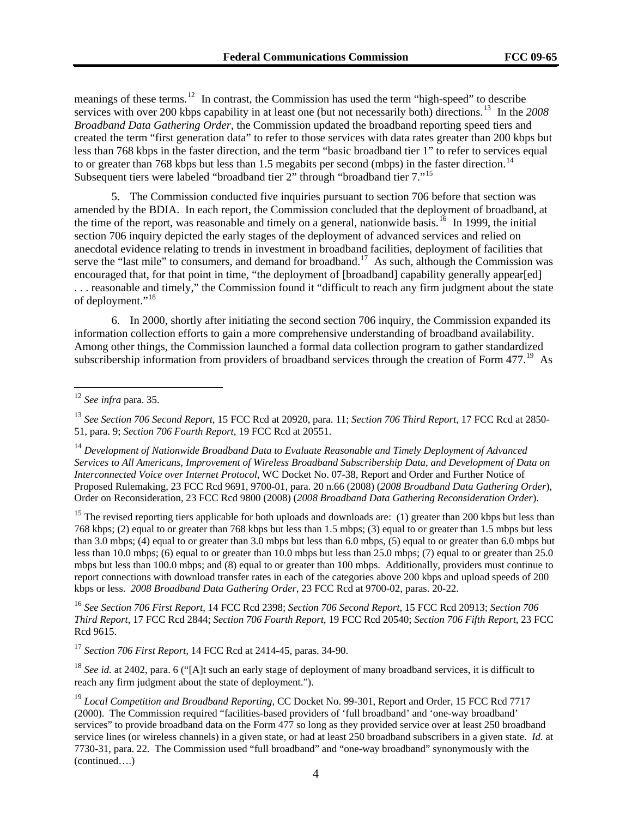meanings of these terms.<sup>12</sup> In contrast, the Commission has used the term "high-speed" to describe services with over 200 kbps capability in at least one (but not necessarily both) directions.<sup>13</sup> In the 2008 *Broadband Data Gathering Order*, the Commission updated the broadband reporting speed tiers and created the term "first generation data" to refer to those services with data rates greater than 200 kbps but less than 768 kbps in the faster direction, and the term "basic broadband tier 1" to refer to services equal to or greater than 768 kbps but less than 1.5 megabits per second (mbps) in the faster direction.<sup>14</sup> Subsequent tiers were labeled "broadband tier 2" through "broadband tier 7."15

5. The Commission conducted five inquiries pursuant to section 706 before that section was amended by the BDIA. In each report, the Commission concluded that the deployment of broadband, at the time of the report, was reasonable and timely on a general, nationwide basis.<sup>[16](#page-3-0)</sup> In 1999, the initial section 706 inquiry depicted the early stages of the deployment of advanced services and relied on anecdotal evidence relating to trends in investment in broadband facilities, deployment of facilities that serve the "last mile" to consumers, and demand for broadband.<sup>[17](#page-3-1)</sup> As such, although the Commission was encouraged that, for that point in time, "the deployment of [broadband] capability generally appear[ed] . . . reasonable and timely," the Commission found it "difficult to reach any firm judgment about the state of deployment."<sup>[18](#page-3-2)</sup>

6. In 2000, shortly after initiating the second section 706 inquiry, the Commission expanded its information collection efforts to gain a more comprehensive understanding of broadband availability. Among other things, the Commission launched a formal data collection program to gather standardized subscribership information from providers of broadband services through the creation of Form 477.<sup>[19](#page-3-3)</sup> As

 $\overline{a}$ 

<sup>15</sup> The revised reporting tiers applicable for both uploads and downloads are: (1) greater than 200 kbps but less than 768 kbps; (2) equal to or greater than 768 kbps but less than 1.5 mbps; (3) equal to or greater than 1.5 mbps but less than 3.0 mbps; (4) equal to or greater than 3.0 mbps but less than 6.0 mbps, (5) equal to or greater than 6.0 mbps but less than 10.0 mbps; (6) equal to or greater than 10.0 mbps but less than 25.0 mbps; (7) equal to or greater than 25.0 mbps but less than 100.0 mbps; and (8) equal to or greater than 100 mbps. Additionally, providers must continue to report connections with download transfer rates in each of the categories above 200 kbps and upload speeds of 200 kbps or less. *2008 Broadband Data Gathering Order*, 23 FCC Rcd at 9700-02, paras. 20-22.

<span id="page-3-0"></span><sup>16</sup> *See Section 706 First Report*, 14 FCC Rcd 2398; *Section 706 Second Report*, 15 FCC Rcd 20913; *Section 706 Third Report*, 17 FCC Rcd 2844; *Section 706 Fourth Report*, 19 FCC Rcd 20540; *Section 706 Fifth Report*, 23 FCC Rcd 9615.

<span id="page-3-1"></span><sup>17</sup> *Section 706 First Report*, 14 FCC Rcd at 2414-45, paras. 34-90.

<span id="page-3-2"></span><sup>18</sup> *See id.* at 2402, para. 6 ("[A]t such an early stage of deployment of many broadband services, it is difficult to reach any firm judgment about the state of deployment.").

<sup>12</sup> *See infra* para. 35.

<sup>13</sup> *See Section 706 Second Report*, 15 FCC Rcd at 20920, para. 11; *Section 706 Third Report*, 17 FCC Rcd at 2850- 51, para. 9; *Section 706 Fourth Report*, 19 FCC Rcd at 20551.

<sup>14</sup> *Development of Nationwide Broadband Data to Evaluate Reasonable and Timely Deployment of Advanced Services to All Americans, Improvement of Wireless Broadband Subscribership Data, and Development of Data on Interconnected Voice over Internet Protocol*, WC Docket No. 07-38, Report and Order and Further Notice of Proposed Rulemaking, 23 FCC Rcd 9691, 9700-01, para. 20 n.66 (2008) (*2008 Broadband Data Gathering Order*), Order on Reconsideration, 23 FCC Rcd 9800 (2008) (*2008 Broadband Data Gathering Reconsideration Order*).

<span id="page-3-3"></span><sup>(</sup>continued….) <sup>19</sup> *Local Competition and Broadband Reporting,* CC Docket No. 99-301, Report and Order, 15 FCC Rcd 7717 (2000). The Commission required "facilities-based providers of 'full broadband' and 'one-way broadband' services" to provide broadband data on the Form 477 so long as they provided service over at least 250 broadband service lines (or wireless channels) in a given state, or had at least 250 broadband subscribers in a given state. *Id.* at 7730-31, para. 22. The Commission used "full broadband" and "one-way broadband" synonymously with the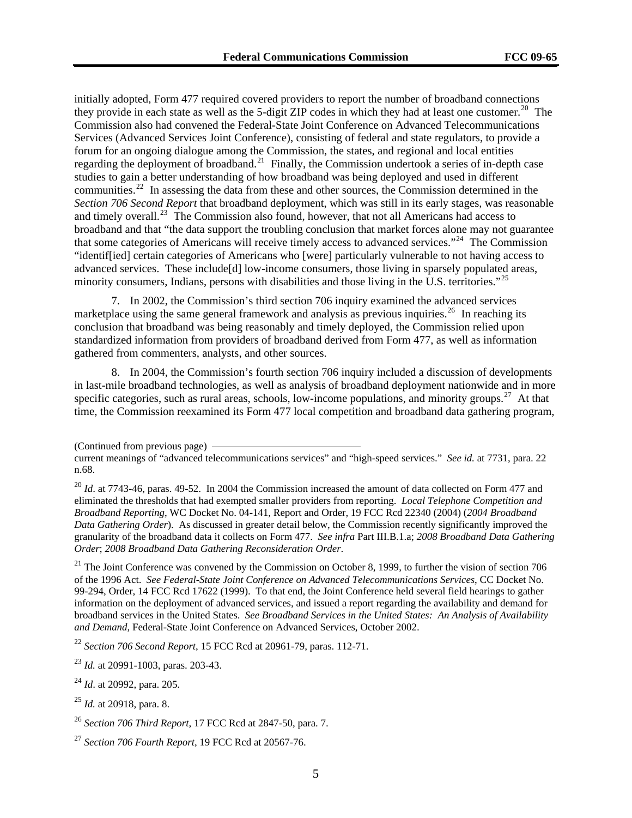initially adopted, Form 477 required covered providers to report the number of broadband connections they provide in each state as well as the 5-digit ZIP codes in which they had at least one customer.<sup>20</sup> The Commission also had convened the Federal-State Joint Conference on Advanced Telecommunications Services (Advanced Services Joint Conference), consisting of federal and state regulators, to provide a forum for an ongoing dialogue among the Commission, the states, and regional and local entities regarding the deployment of broadband.<sup>21</sup> Finally, the Commission undertook a series of in-depth case studies to gain a better understanding of how broadband was being deployed and used in different communities.<sup>22</sup> In assessing the data from these and other sources, the Commission determined in the *Section 706 Second Report* that broadband deployment, which was still in its early stages, was reasonable and timely overall.<sup>23</sup> The Commission also found, however, that not all Americans had access to broadband and that "the data support the troubling conclusion that market forces alone may not guarantee that some categories of Americans will receive timely access to advanced services."24 The Commission "identif[ied] certain categories of Americans who [were] particularly vulnerable to not having access to advanced services. These include[d] low-income consumers, those living in sparsely populated areas, minority consumers, Indians, persons with disabilities and those living in the U.S. territories."<sup>25</sup>

7. In 2002, the Commission's third section 706 inquiry examined the advanced services marketplace using the same general framework and analysis as previous inquiries.<sup>[26](#page-4-0)</sup> In reaching its conclusion that broadband was being reasonably and timely deployed, the Commission relied upon standardized information from providers of broadband derived from Form 477, as well as information gathered from commenters, analysts, and other sources.

8. In 2004, the Commission's fourth section 706 inquiry included a discussion of developments in last-mile broadband technologies, as well as analysis of broadband deployment nationwide and in more specific categories, such as rural areas, schools, low-income populations, and minority groups.<sup>[27](#page-4-1)</sup> At that time, the Commission reexamined its Form 477 local competition and broadband data gathering program,

 $21$  The Joint Conference was convened by the Commission on October 8, 1999, to further the vision of section 706 of the 1996 Act. *See Federal-State Joint Conference on Advanced Telecommunications Services*, CC Docket No. 99-294, Order, 14 FCC Rcd 17622 (1999). To that end, the Joint Conference held several field hearings to gather information on the deployment of advanced services, and issued a report regarding the availability and demand for broadband services in the United States. *See Broadband Services in the United States: An Analysis of Availability and Demand*, Federal-State Joint Conference on Advanced Services, October 2002.

<sup>22</sup> *Section 706 Second Report*, 15 FCC Rcd at 20961-79, paras. 112-71.

<sup>(</sup>Continued from previous page)

current meanings of "advanced telecommunications services" and "high-speed services." *See id.* at 7731, para. 22 n.68.

<sup>&</sup>lt;sup>20</sup> *Id.* at 7743-46, paras. 49-52. In 2004 the Commission increased the amount of data collected on Form 477 and eliminated the thresholds that had exempted smaller providers from reporting. *Local Telephone Competition and Broadband Reporting*, WC Docket No. 04-141, Report and Order, 19 FCC Rcd 22340 (2004) (*2004 Broadband Data Gathering Order*). As discussed in greater detail below, the Commission recently significantly improved the granularity of the broadband data it collects on Form 477. *See infra* Part III.B.1.a; *2008 Broadband Data Gathering Order*; *2008 Broadband Data Gathering Reconsideration Order*.

<sup>23</sup> *Id.* at 20991-1003, paras. 203-43.

<sup>24</sup> *Id*. at 20992, para. 205.

<sup>25</sup> *Id.* at 20918, para. 8.

<span id="page-4-0"></span><sup>26</sup> *Section 706 Third Report*, 17 FCC Rcd at 2847-50, para. 7.

<span id="page-4-1"></span><sup>27</sup> *Section 706 Fourth Report*, 19 FCC Rcd at 20567-76.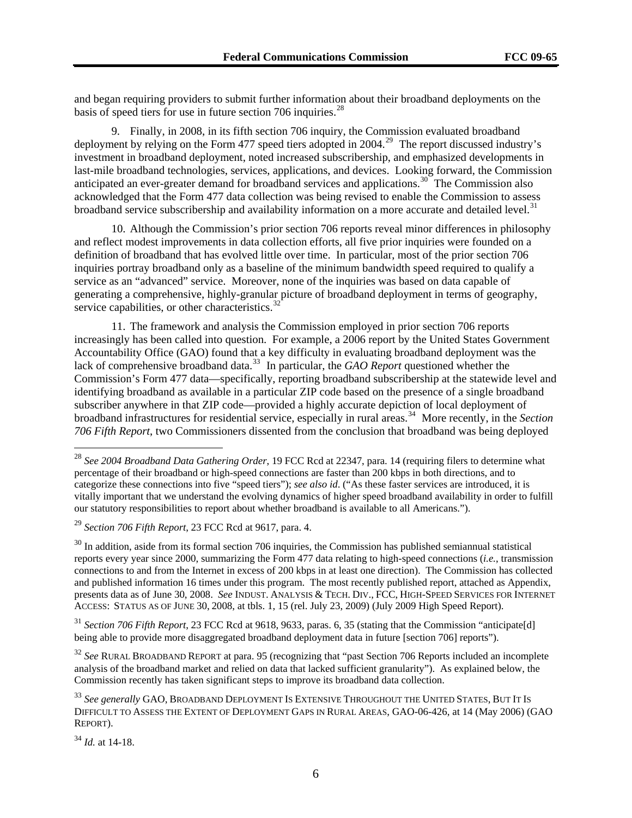and began requiring providers to submit further information about their broadband deployments on the basis of speed tiers for use in future section 706 inquiries.<sup>28</sup>

9. Finally, in 2008, in its fifth section 706 inquiry, the Commission evaluated broadband deployment by relying on the Form 477 speed tiers adopted in 2004.<sup>[29](#page-5-0)</sup> The report discussed industry's investment in broadband deployment, noted increased subscribership, and emphasized developments in last-mile broadband technologies, services, applications, and devices. Looking forward, the Commission anticipated an ever-greater demand for broadband services and applications.<sup>[30](#page-5-1)</sup> The Commission also acknowledged that the Form 477 data collection was being revised to enable the Commission to assess broadband service subscribership and availability information on a more accurate and detailed level.<sup>[31](#page-5-2)</sup>

10. Although the Commission's prior section 706 reports reveal minor differences in philosophy and reflect modest improvements in data collection efforts, all five prior inquiries were founded on a definition of broadband that has evolved little over time. In particular, most of the prior section 706 inquiries portray broadband only as a baseline of the minimum bandwidth speed required to qualify a service as an "advanced" service. Moreover, none of the inquiries was based on data capable of generating a comprehensive, highly-granular picture of broadband deployment in terms of geography, service capabilities, or other characteristics.<sup>[32](#page-5-3)</sup>

11. The framework and analysis the Commission employed in prior section 706 reports increasingly has been called into question. For example, a 2006 report by the United States Government Accountability Office (GAO) found that a key difficulty in evaluating broadband deployment was the lack of comprehensive broadband data.<sup>[33](#page-5-4)</sup> In particular, the *GAO Report* questioned whether the Commission's Form 477 data—specifically, reporting broadband subscribership at the statewide level and identifying broadband as available in a particular ZIP code based on the presence of a single broadband subscriber anywhere in that ZIP code—provided a highly accurate depiction of local deployment of broadband infrastructures for residential service, especially in rural areas.[34](#page-5-5) More recently, in the *Section 706 Fifth Report*, two Commissioners dissented from the conclusion that broadband was being deployed

<sup>28</sup> *See 2004 Broadband Data Gathering Order*, 19 FCC Rcd at 22347, para. 14 (requiring filers to determine what percentage of their broadband or high-speed connections are faster than 200 kbps in both directions, and to categorize these connections into five "speed tiers"); *see also id*. ("As these faster services are introduced, it is vitally important that we understand the evolving dynamics of higher speed broadband availability in order to fulfill our statutory responsibilities to report about whether broadband is available to all Americans.").

<span id="page-5-0"></span><sup>29</sup> *Section 706 Fifth Report*, 23 FCC Rcd at 9617, para. 4.

<span id="page-5-1"></span> $30$  In addition, aside from its formal section 706 inquiries, the Commission has published semiannual statistical reports every year since 2000, summarizing the Form 477 data relating to high-speed connections (*i.e.*, transmission connections to and from the Internet in excess of 200 kbps in at least one direction). The Commission has collected and published information 16 times under this program. The most recently published report, attached as Appendix, presents data as of June 30, 2008. *See* INDUST. ANALYSIS & TECH. DIV., FCC, HIGH-SPEED SERVICES FOR INTERNET ACCESS: STATUS AS OF JUNE 30, 2008, at tbls. 1, 15 (rel. July 23, 2009) (July 2009 High Speed Report).

<span id="page-5-2"></span><sup>&</sup>lt;sup>31</sup> *Section 706 Fifth Report*, 23 FCC Rcd at 9618, 9633, paras. 6, 35 (stating that the Commission "anticipate[d] being able to provide more disaggregated broadband deployment data in future [section 706] reports").

<span id="page-5-3"></span><sup>32</sup> *See* RURAL BROADBAND REPORT at para. 95 (recognizing that "past Section 706 Reports included an incomplete analysis of the broadband market and relied on data that lacked sufficient granularity"). As explained below, the Commission recently has taken significant steps to improve its broadband data collection.

<span id="page-5-4"></span><sup>33</sup> *See generally* GAO, BROADBAND DEPLOYMENT IS EXTENSIVE THROUGHOUT THE UNITED STATES, BUT IT IS DIFFICULT TO ASSESS THE EXTENT OF DEPLOYMENT GAPS IN RURAL AREAS, GAO-06-426, at 14 (May 2006) (GAO REPORT).

<span id="page-5-5"></span><sup>34</sup> *Id.* at 14-18.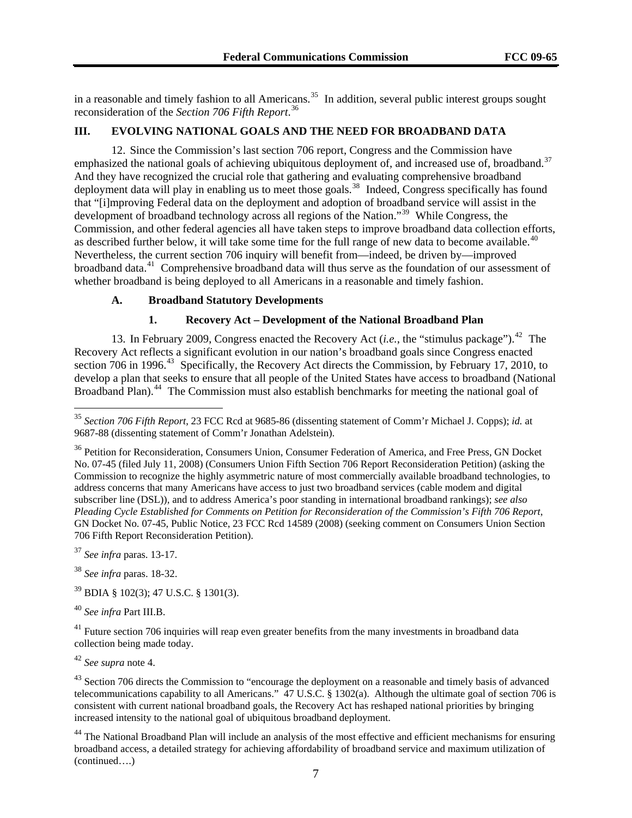in a reasonable and timely fashion to all Americans.<sup>35</sup> In addition, several public interest groups sought reconsideration of the *Section 706 Fifth Report*. 36

#### **III. EVOLVING NATIONAL GOALS AND THE NEED FOR BROADBAND DATA**

12. Since the Commission's last section 706 report, Congress and the Commission have emphasized the national goals of achieving ubiquitous deployment of, and increased use of, broadband.<sup>[37](#page-6-0)</sup> And they have recognized the crucial role that gathering and evaluating comprehensive broadband deployment data will play in enabling us to meet those goals.<sup>[38](#page-6-1)</sup> Indeed, Congress specifically has found that "[i]mproving Federal data on the deployment and adoption of broadband service will assist in the development of broadband technology across all regions of the Nation."<sup>[39](#page-6-2)</sup> While Congress, the Commission, and other federal agencies all have taken steps to improve broadband data collection efforts, as described further below, it will take some time for the full range of new data to become available.<sup>[40](#page-6-3)</sup> Nevertheless, the current section 706 inquiry will benefit from—indeed, be driven by—improved broadband data.[41](#page-6-4) Comprehensive broadband data will thus serve as the foundation of our assessment of whether broadband is being deployed to all Americans in a reasonable and timely fashion.

#### **A. Broadband Statutory Developments**

#### **1. Recovery Act – Development of the National Broadband Plan**

13. In February 2009, Congress enacted the Recovery Act (*i.e.*, the "stimulus package").<sup>[42](#page-6-5)</sup> The Recovery Act reflects a significant evolution in our nation's broadband goals since Congress enacted section 706 in 1996.<sup>[43](#page-6-6)</sup> Specifically, the Recovery Act directs the Commission, by February 17, 2010, to develop a plan that seeks to ensure that all people of the United States have access to broadband (National Broadband Plan).<sup>[44](#page-6-7)</sup> The Commission must also establish benchmarks for meeting the national goal of

<span id="page-6-0"></span><sup>37</sup> *See infra* paras. 13-17.

 $\overline{a}$ 

<span id="page-6-1"></span><sup>38</sup> *See infra* paras. 18-32.

<span id="page-6-2"></span>39 BDIA § 102(3); 47 U.S.C. § 1301(3).

<span id="page-6-3"></span><sup>40</sup> *See infra* Part III.B.

<span id="page-6-4"></span><sup>41</sup> Future section 706 inquiries will reap even greater benefits from the many investments in broadband data collection being made today.

<span id="page-6-5"></span><sup>42</sup> *See supra* note 4.

<span id="page-6-6"></span><sup>43</sup> Section 706 directs the Commission to "encourage the deployment on a reasonable and timely basis of advanced telecommunications capability to all Americans." 47 U.S.C. § 1302(a). Although the ultimate goal of section 706 is consistent with current national broadband goals, the Recovery Act has reshaped national priorities by bringing increased intensity to the national goal of ubiquitous broadband deployment.

<span id="page-6-7"></span>(continued….) <sup>44</sup> The National Broadband Plan will include an analysis of the most effective and efficient mechanisms for ensuring broadband access, a detailed strategy for achieving affordability of broadband service and maximum utilization of

<sup>35</sup> *Section 706 Fifth Report*, 23 FCC Rcd at 9685-86 (dissenting statement of Comm'r Michael J. Copps); *id.* at 9687-88 (dissenting statement of Comm'r Jonathan Adelstein).

<sup>&</sup>lt;sup>36</sup> Petition for Reconsideration, Consumers Union, Consumer Federation of America, and Free Press, GN Docket No. 07-45 (filed July 11, 2008) (Consumers Union Fifth Section 706 Report Reconsideration Petition) (asking the Commission to recognize the highly asymmetric nature of most commercially available broadband technologies, to address concerns that many Americans have access to just two broadband services (cable modem and digital subscriber line (DSL)), and to address America's poor standing in international broadband rankings); *see also Pleading Cycle Established for Comments on Petition for Reconsideration of the Commission's Fifth 706 Report*, GN Docket No. 07-45, Public Notice, 23 FCC Rcd 14589 (2008) (seeking comment on Consumers Union Section 706 Fifth Report Reconsideration Petition).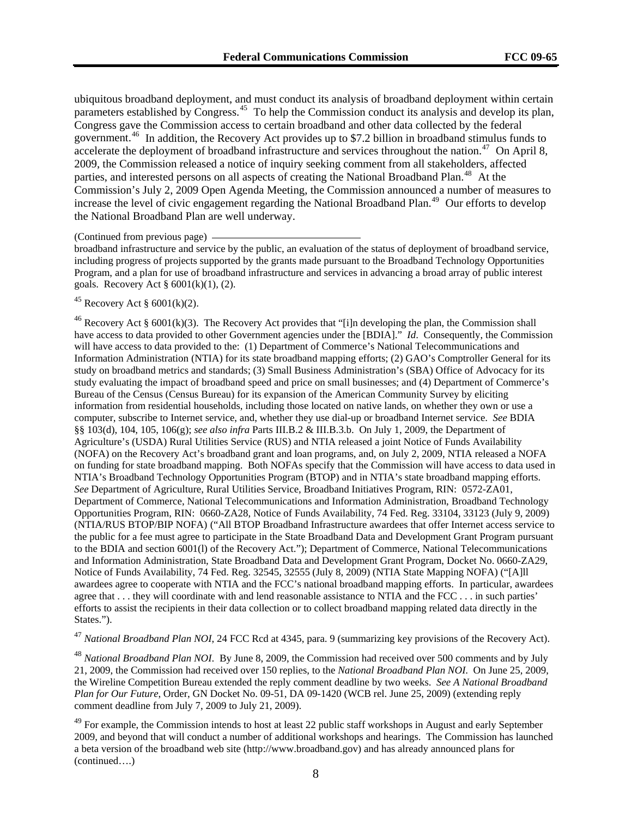ubiquitous broadband deployment, and must conduct its analysis of broadband deployment within certain parameters established by Congress.<sup>45</sup> To help the Commission conduct its analysis and develop its plan, Congress gave the Commission access to certain broadband and other data collected by the federal government.46 In addition, the Recovery Act provides up to \$7.2 billion in broadband stimulus funds to accelerate the deployment of broadband infrastructure and services throughout the nation.<sup>47</sup> On April 8, 2009, the Commission released a notice of inquiry seeking comment from all stakeholders, affected parties, and interested persons on all aspects of creating the National Broadband Plan.<sup>48</sup> At the Commission's July 2, 2009 Open Agenda Meeting, the Commission announced a number of measures to increase the level of civic engagement regarding the National Broadband Plan.<sup>49</sup> Our efforts to develop the National Broadband Plan are well underway.

#### (Continued from previous page)

broadband infrastructure and service by the public, an evaluation of the status of deployment of broadband service, including progress of projects supported by the grants made pursuant to the Broadband Technology Opportunities Program, and a plan for use of broadband infrastructure and services in advancing a broad array of public interest goals. Recovery Act § 6001(k)(1), (2).

#### $45$  Recovery Act § 6001(k)(2).

<sup>46</sup> Recovery Act § 6001(k)(3). The Recovery Act provides that "[i]n developing the plan, the Commission shall have access to data provided to other Government agencies under the [BDIA]." *Id*. Consequently, the Commission will have access to data provided to the: (1) Department of Commerce's National Telecommunications and Information Administration (NTIA) for its state broadband mapping efforts; (2) GAO's Comptroller General for its study on broadband metrics and standards; (3) Small Business Administration's (SBA) Office of Advocacy for its study evaluating the impact of broadband speed and price on small businesses; and (4) Department of Commerce's Bureau of the Census (Census Bureau) for its expansion of the American Community Survey by eliciting information from residential households, including those located on native lands, on whether they own or use a computer, subscribe to Internet service, and, whether they use dial-up or broadband Internet service. *See* BDIA §§ 103(d), 104, 105, 106(g); *see also infra* Parts III.B.2 & III.B.3.b. On July 1, 2009, the Department of Agriculture's (USDA) Rural Utilities Service (RUS) and NTIA released a joint Notice of Funds Availability (NOFA) on the Recovery Act's broadband grant and loan programs, and, on July 2, 2009, NTIA released a NOFA on funding for state broadband mapping. Both NOFAs specify that the Commission will have access to data used in NTIA's Broadband Technology Opportunities Program (BTOP) and in NTIA's state broadband mapping efforts. *See* Department of Agriculture, Rural Utilities Service, Broadband Initiatives Program, RIN: 0572-ZA01, Department of Commerce, National Telecommunications and Information Administration, Broadband Technology Opportunities Program, RIN: 0660-ZA28, Notice of Funds Availability, 74 Fed. Reg. 33104, 33123 (July 9, 2009) (NTIA/RUS BTOP/BIP NOFA) ("All BTOP Broadband Infrastructure awardees that offer Internet access service to the public for a fee must agree to participate in the State Broadband Data and Development Grant Program pursuant to the BDIA and section 6001(l) of the Recovery Act."); Department of Commerce, National Telecommunications and Information Administration, State Broadband Data and Development Grant Program, Docket No. 0660-ZA29, Notice of Funds Availability, 74 Fed. Reg. 32545, 32555 (July 8, 2009) (NTIA State Mapping NOFA) ("[A]ll awardees agree to cooperate with NTIA and the FCC's national broadband mapping efforts. In particular, awardees agree that . . . they will coordinate with and lend reasonable assistance to NTIA and the FCC . . . in such parties' efforts to assist the recipients in their data collection or to collect broadband mapping related data directly in the States.").

<sup>47</sup> *National Broadband Plan NOI*, 24 FCC Rcd at 4345, para. 9 (summarizing key provisions of the Recovery Act).

<sup>48</sup> *National Broadband Plan NOI*. By June 8, 2009, the Commission had received over 500 comments and by July 21, 2009, the Commission had received over 150 replies, to the *National Broadband Plan NOI*. On June 25, 2009, the Wireline Competition Bureau extended the reply comment deadline by two weeks. *See A National Broadband Plan for Our Future*, Order, GN Docket No. 09-51, DA 09-1420 (WCB rel. June 25, 2009) (extending reply comment deadline from July 7, 2009 to July 21, 2009).

(continued….)  $49$  For example, the Commission intends to host at least 22 public staff workshops in August and early September 2009, and beyond that will conduct a number of additional workshops and hearings. The Commission has launched a beta version of the broadband web site (http://www.broadband.gov) and has already announced plans for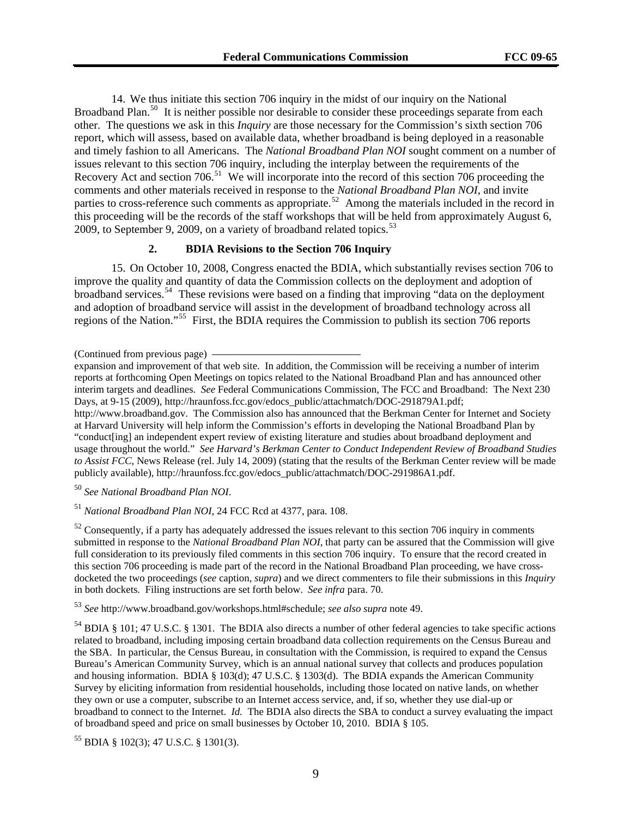14. We thus initiate this section 706 inquiry in the midst of our inquiry on the National Broadband Plan.<sup>[50](#page-8-0)</sup> It is neither possible nor desirable to consider these proceedings separate from each other. The questions we ask in this *Inquiry* are those necessary for the Commission's sixth section 706 report, which will assess, based on available data, whether broadband is being deployed in a reasonable and timely fashion to all Americans. The *National Broadband Plan NOI* sought comment on a number of issues relevant to this section 706 inquiry, including the interplay between the requirements of the Recovery Act and section 706.<sup>[51](#page-8-1)</sup> We will incorporate into the record of this section 706 proceeding the comments and other materials received in response to the *National Broadband Plan NOI*, and invite parties to cross-reference such comments as appropriate.<sup>[52](#page-8-2)</sup> Among the materials included in the record in this proceeding will be the records of the staff workshops that will be held from approximately August 6, 2009, to September 9, 2009, on a variety of broadband related topics. $53$ 

#### **2. BDIA Revisions to the Section 706 Inquiry**

15. On October 10, 2008, Congress enacted the BDIA, which substantially revises section 706 to improve the quality and quantity of data the Commission collects on the deployment and adoption of broadband services.[54](#page-8-4) These revisions were based on a finding that improving "data on the deployment and adoption of broadband service will assist in the development of broadband technology across all regions of the Nation."<sup>[55](#page-8-5)</sup> First, the BDIA requires the Commission to publish its section 706 reports

(Continued from previous page)

expansion and improvement of that web site. In addition, the Commission will be receiving a number of interim reports at forthcoming Open Meetings on topics related to the National Broadband Plan and has announced other interim targets and deadlines. *See* Federal Communications Commission, The FCC and Broadband: The Next 230 Days, at 9-15 (2009), http://hraunfoss.fcc.gov/edocs\_public/attachmatch/DOC-291879A1.pdf; http://www.broadband.gov. The Commission also has announced that the Berkman Center for Internet and Society at Harvard University will help inform the Commission's efforts in developing the National Broadband Plan by "conduct[ing] an independent expert review of existing literature and studies about broadband deployment and usage throughout the world." *See Harvard's Berkman Center to Conduct Independent Review of Broadband Studies to Assist FCC*, News Release (rel. July 14, 2009) (stating that the results of the Berkman Center review will be made publicly available), http://hraunfoss.fcc.gov/edocs\_public/attachmatch/DOC-291986A1.pdf.

<span id="page-8-0"></span><sup>50</sup> *See National Broadband Plan NOI*.

<span id="page-8-1"></span><sup>51</sup> *National Broadband Plan NOI*, 24 FCC Rcd at 4377, para. 108.

<span id="page-8-2"></span> $52$  Consequently, if a party has adequately addressed the issues relevant to this section 706 inquiry in comments submitted in response to the *National Broadband Plan NOI*, that party can be assured that the Commission will give full consideration to its previously filed comments in this section 706 inquiry. To ensure that the record created in this section 706 proceeding is made part of the record in the National Broadband Plan proceeding, we have crossdocketed the two proceedings (*see* caption, *supra*) and we direct commenters to file their submissions in this *Inquiry* in both dockets. Filing instructions are set forth below. *See infra* para. 70.

<span id="page-8-3"></span><sup>53</sup> *See* http://www.broadband.gov/workshops.html#schedule; *see also supra* note 49.

<span id="page-8-4"></span>54 BDIA § 101; 47 U.S.C. § 1301. The BDIA also directs a number of other federal agencies to take specific actions related to broadband, including imposing certain broadband data collection requirements on the Census Bureau and the SBA. In particular, the Census Bureau, in consultation with the Commission, is required to expand the Census Bureau's American Community Survey, which is an annual national survey that collects and produces population and housing information. BDIA § 103(d); 47 U.S.C. § 1303(d). The BDIA expands the American Community Survey by eliciting information from residential households, including those located on native lands, on whether they own or use a computer, subscribe to an Internet access service, and, if so, whether they use dial-up or broadband to connect to the Internet. *Id.* The BDIA also directs the SBA to conduct a survey evaluating the impact of broadband speed and price on small businesses by October 10, 2010. BDIA § 105.

<span id="page-8-5"></span>55 BDIA § 102(3); 47 U.S.C. § 1301(3).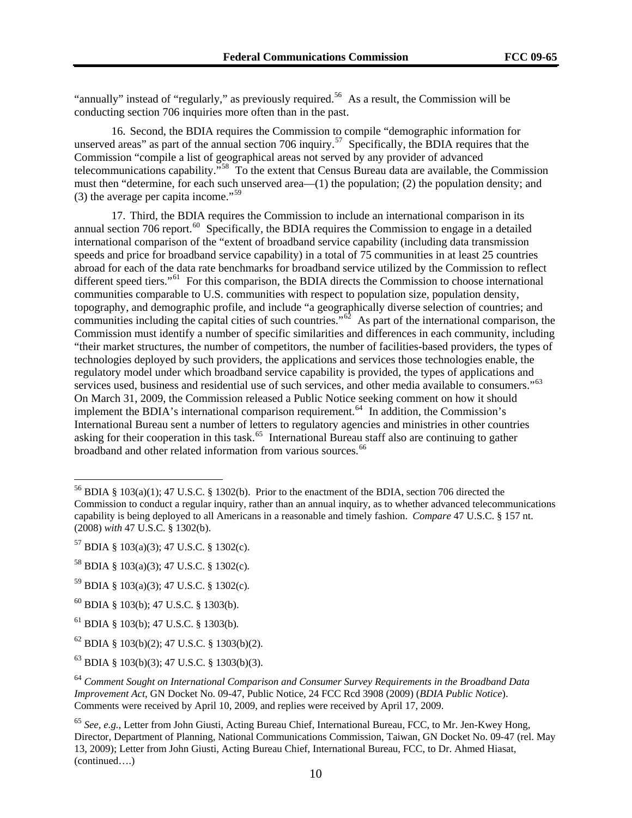"annually" instead of "regularly," as previously required.<sup>56</sup> As a result, the Commission will be conducting section 706 inquiries more often than in the past.

16. Second, the BDIA requires the Commission to compile "demographic information for unserved areas" as part of the annual section 706 inquiry.<sup>[57](#page-9-0)</sup> Specifically, the BDIA requires that the Commission "compile a list of geographical areas not served by any provider of advanced telecommunications capability."<sup>[58](#page-9-1)</sup> To the extent that Census Bureau data are available, the Commission must then "determine, for each such unserved area—(1) the population; (2) the population density; and (3) the average per capita income."<sup>[59](#page-9-2)</sup>

17. Third, the BDIA requires the Commission to include an international comparison in its annual section 706 report.<sup>[60](#page-9-3)</sup> Specifically, the BDIA requires the Commission to engage in a detailed international comparison of the "extent of broadband service capability (including data transmission speeds and price for broadband service capability) in a total of 75 communities in at least 25 countries abroad for each of the data rate benchmarks for broadband service utilized by the Commission to reflect different speed tiers."<sup>[61](#page-9-4)</sup> For this comparison, the BDIA directs the Commission to choose international communities comparable to U.S. communities with respect to population size, population density, topography, and demographic profile, and include "a geographically diverse selection of countries; and communities including the capital cities of such countries."<sup>[62](#page-9-5)</sup> As part of the international comparison, the Commission must identify a number of specific similarities and differences in each community, including "their market structures, the number of competitors, the number of facilities-based providers, the types of technologies deployed by such providers, the applications and services those technologies enable, the regulatory model under which broadband service capability is provided, the types of applications and services used, business and residential use of such services, and other media available to consumers."<sup>[63](#page-9-6)</sup> On March 31, 2009, the Commission released a Public Notice seeking comment on how it should implement the BDIA's international comparison requirement.<sup>[64](#page-9-7)</sup> In addition, the Commission's International Bureau sent a number of letters to regulatory agencies and ministries in other countries asking for their cooperation in this task.<sup>[65](#page-9-8)</sup> International Bureau staff also are continuing to gather broadband and other related information from various sources.<sup>[66](#page-9-9)</sup>

<span id="page-9-9"></span><sup>&</sup>lt;sup>56</sup> BDIA § 103(a)(1); 47 U.S.C. § 1302(b). Prior to the enactment of the BDIA, section 706 directed the Commission to conduct a regular inquiry, rather than an annual inquiry, as to whether advanced telecommunications capability is being deployed to all Americans in a reasonable and timely fashion. *Compare* 47 U.S.C. § 157 nt. (2008) *with* 47 U.S.C. § 1302(b).

<span id="page-9-0"></span> $57$  BDIA § 103(a)(3); 47 U.S.C. § 1302(c).

<span id="page-9-1"></span><sup>58</sup> BDIA § 103(a)(3); 47 U.S.C. § 1302(c)*.* 

<span id="page-9-2"></span><sup>59</sup> BDIA § 103(a)(3); 47 U.S.C. § 1302(c)*.*

<span id="page-9-3"></span> $^{60}$  BDIA § 103(b); 47 U.S.C. § 1303(b).

<span id="page-9-4"></span><sup>61</sup> BDIA § 103(b); 47 U.S.C. § 1303(b)*.*

<span id="page-9-5"></span> $62$  BDIA § 103(b)(2); 47 U.S.C. § 1303(b)(2).

<span id="page-9-6"></span> $^{63}$  BDIA § 103(b)(3); 47 U.S.C. § 1303(b)(3).

<span id="page-9-7"></span><sup>64</sup> *Comment Sought on International Comparison and Consumer Survey Requirements in the Broadband Data Improvement Act*, GN Docket No. 09-47, Public Notice, 24 FCC Rcd 3908 (2009) (*BDIA Public Notice*). Comments were received by April 10, 2009, and replies were received by April 17, 2009.

<span id="page-9-8"></span><sup>(</sup>continued….) <sup>65</sup> *See, e.g.*, Letter from John Giusti, Acting Bureau Chief, International Bureau, FCC, to Mr. Jen-Kwey Hong, Director, Department of Planning, National Communications Commission, Taiwan, GN Docket No. 09-47 (rel. May 13, 2009); Letter from John Giusti, Acting Bureau Chief, International Bureau, FCC, to Dr. Ahmed Hiasat,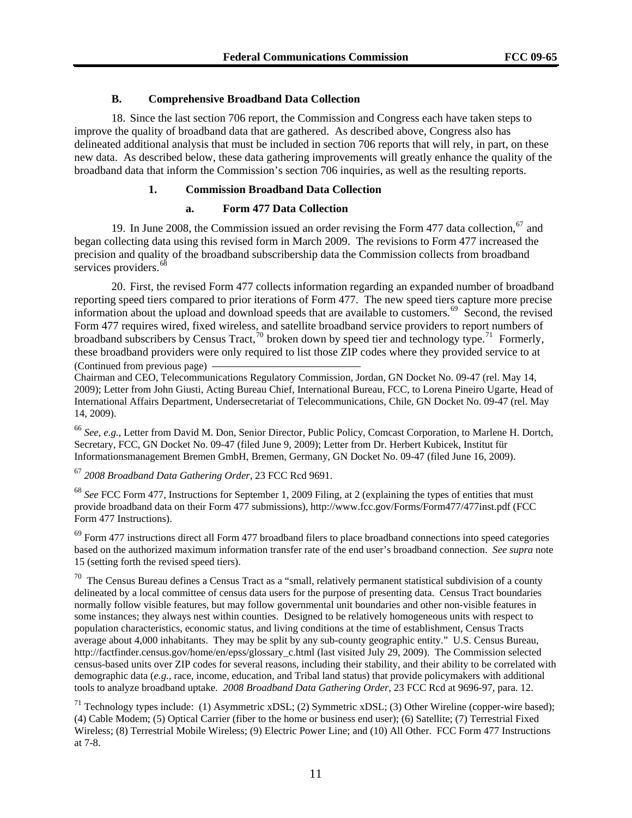#### **B. Comprehensive Broadband Data Collection**

18. Since the last section 706 report, the Commission and Congress each have taken steps to improve the quality of broadband data that are gathered. As described above, Congress also has delineated additional analysis that must be included in section 706 reports that will rely, in part, on these new data. As described below, these data gathering improvements will greatly enhance the quality of the broadband data that inform the Commission's section 706 inquiries, as well as the resulting reports.

#### **1. Commission Broadband Data Collection**

#### **a. Form 477 Data Collection**

19. In June 2008, the Commission issued an order revising the Form 477 data collection,  $67$  and began collecting data using this revised form in March 2009. The revisions to Form 477 increased the precision and quality of the broadband subscribership data the Commission collects from broadband services providers.<sup>[68](#page-10-1)</sup>

20. First, the revised Form 477 collects information regarding an expanded number of broadband reporting speed tiers compared to prior iterations of Form 477. The new speed tiers capture more precise information about the upload and download speeds that are available to customers.<sup>[69](#page-10-2)</sup> Second, the revised Form 477 requires wired, fixed wireless, and satellite broadband service providers to report numbers of broadband subscribers by Census Tract,<sup>[70](#page-10-3)</sup> broken down by speed tier and technology type.<sup>[71](#page-10-4)</sup> Formerly, these broadband providers were only required to list those ZIP codes where they provided service to at

(Continued from previous page)

Chairman and CEO, Telecommunications Regulatory Commission, Jordan, GN Docket No. 09-47 (rel. May 14, 2009); Letter from John Giusti, Acting Bureau Chief, International Bureau, FCC, to Lorena Pineiro Ugarte, Head of International Affairs Department, Undersecretariat of Telecommunications, Chile, GN Docket No. 09-47 (rel. May 14, 2009).

<sup>66</sup> *See, e.g.*, Letter from David M. Don, Senior Director, Public Policy, Comcast Corporation, to Marlene H. Dortch, Secretary, FCC, GN Docket No. 09-47 (filed June 9, 2009); Letter from Dr. Herbert Kubicek, Institut für Informationsmanagement Bremen GmbH, Bremen, Germany, GN Docket No. 09-47 (filed June 16, 2009).

<span id="page-10-0"></span><sup>67</sup> *2008 Broadband Data Gathering Order*, 23 FCC Rcd 9691.

<span id="page-10-1"></span><sup>68</sup> *See* FCC Form 477, Instructions for September 1, 2009 Filing, at 2 (explaining the types of entities that must provide broadband data on their Form 477 submissions), http://www.fcc.gov/Forms/Form477/477inst.pdf (FCC Form 477 Instructions).

<span id="page-10-2"></span> $69$  Form 477 instructions direct all Form 477 broadband filers to place broadband connections into speed categories based on the authorized maximum information transfer rate of the end user's broadband connection. *See supra* note 15 (setting forth the revised speed tiers).

<span id="page-10-3"></span> $70$  The Census Bureau defines a Census Tract as a "small, relatively permanent statistical subdivision of a county delineated by a local committee of census data users for the purpose of presenting data. Census Tract boundaries normally follow visible features, but may follow governmental unit boundaries and other non-visible features in some instances; they always nest within counties. Designed to be relatively homogeneous units with respect to population characteristics, economic status, and living conditions at the time of establishment, Census Tracts average about 4,000 inhabitants. They may be split by any sub-county geographic entity." U.S. Census Bureau, http://factfinder.census.gov/home/en/epss/glossary\_c.html (last visited July 29, 2009). The Commission selected census-based units over ZIP codes for several reasons, including their stability, and their ability to be correlated with demographic data (*e.g.*, race, income, education, and Tribal land status) that provide policymakers with additional tools to analyze broadband uptake. *2008 Broadband Data Gathering Order*, 23 FCC Rcd at 9696-97, para. 12.

<span id="page-10-4"></span>71 Technology types include: (1) Asymmetric xDSL; (2) Symmetric xDSL; (3) Other Wireline (copper-wire based); (4) Cable Modem; (5) Optical Carrier (fiber to the home or business end user); (6) Satellite; (7) Terrestrial Fixed Wireless; (8) Terrestrial Mobile Wireless; (9) Electric Power Line; and (10) All Other. FCC Form 477 Instructions at 7-8.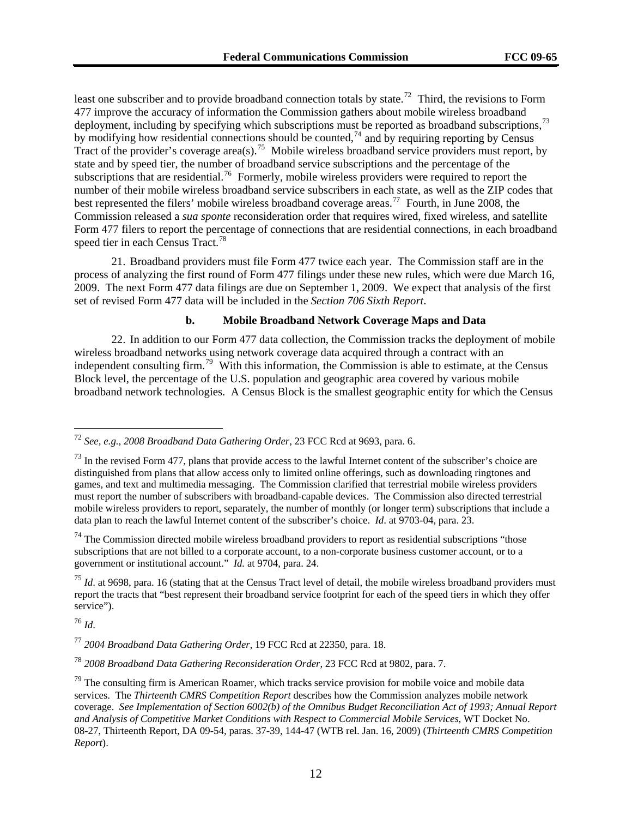least one subscriber and to provide broadband connection totals by state.<sup>72</sup> Third, the revisions to Form 477 improve the accuracy of information the Commission gathers about mobile wireless broadband deployment, including by specifying which subscriptions must be reported as broadband subscriptions,<sup>73</sup> by modifying how residential connections should be counted,<sup>74</sup> and by requiring reporting by Census Tract of the provider's coverage area(s).<sup>75</sup> Mobile wireless broadband service providers must report, by state and by speed tier, the number of broadband service subscriptions and the percentage of the subscriptions that are residential.<sup>76</sup> Formerly, mobile wireless providers were required to report the number of their mobile wireless broadband service subscribers in each state, as well as the ZIP codes that best represented the filers' mobile wireless broadband coverage areas.<sup>77</sup> Fourth, in June 2008, the Commission released a *sua sponte* reconsideration order that requires wired, fixed wireless, and satellite Form 477 filers to report the percentage of connections that are residential connections, in each broadband speed tier in each Census Tract.<sup>78</sup>

21. Broadband providers must file Form 477 twice each year. The Commission staff are in the process of analyzing the first round of Form 477 filings under these new rules, which were due March 16, 2009. The next Form 477 data filings are due on September 1, 2009. We expect that analysis of the first set of revised Form 477 data will be included in the *Section 706 Sixth Report*.

#### **b. Mobile Broadband Network Coverage Maps and Data**

22. In addition to our Form 477 data collection, the Commission tracks the deployment of mobile wireless broadband networks using network coverage data acquired through a contract with an independent consulting firm.[79](#page-11-0) With this information, the Commission is able to estimate, at the Census Block level, the percentage of the U.S. population and geographic area covered by various mobile broadband network technologies. A Census Block is the smallest geographic entity for which the Census

<sup>75</sup> *Id.* at 9698, para. 16 (stating that at the Census Tract level of detail, the mobile wireless broadband providers must report the tracts that "best represent their broadband service footprint for each of the speed tiers in which they offer service").

<sup>76</sup> *Id*.

<sup>72</sup> *See, e.g.*, *2008 Broadband Data Gathering Order*, 23 FCC Rcd at 9693, para. 6.

 $^{73}$  In the revised Form 477, plans that provide access to the lawful Internet content of the subscriber's choice are distinguished from plans that allow access only to limited online offerings, such as downloading ringtones and games, and text and multimedia messaging. The Commission clarified that terrestrial mobile wireless providers must report the number of subscribers with broadband-capable devices. The Commission also directed terrestrial mobile wireless providers to report, separately, the number of monthly (or longer term) subscriptions that include a data plan to reach the lawful Internet content of the subscriber's choice. *Id*. at 9703-04, para. 23.

 $74$  The Commission directed mobile wireless broadband providers to report as residential subscriptions "those subscriptions that are not billed to a corporate account, to a non-corporate business customer account, or to a government or institutional account." *Id.* at 9704, para. 24.

<sup>77</sup> *2004 Broadband Data Gathering Order*, 19 FCC Rcd at 22350, para. 18.

<sup>78</sup> *2008 Broadband Data Gathering Reconsideration Order*, 23 FCC Rcd at 9802, para. 7.

<span id="page-11-0"></span> $79$  The consulting firm is American Roamer, which tracks service provision for mobile voice and mobile data services. The *Thirteenth CMRS Competition Report* describes how the Commission analyzes mobile network coverage. *See Implementation of Section 6002(b) of the Omnibus Budget Reconciliation Act of 1993; Annual Report and Analysis of Competitive Market Conditions with Respect to Commercial Mobile Services*, WT Docket No. 08-27, Thirteenth Report, DA 09-54, paras. 37-39, 144-47 (WTB rel. Jan. 16, 2009) (*Thirteenth CMRS Competition Report*).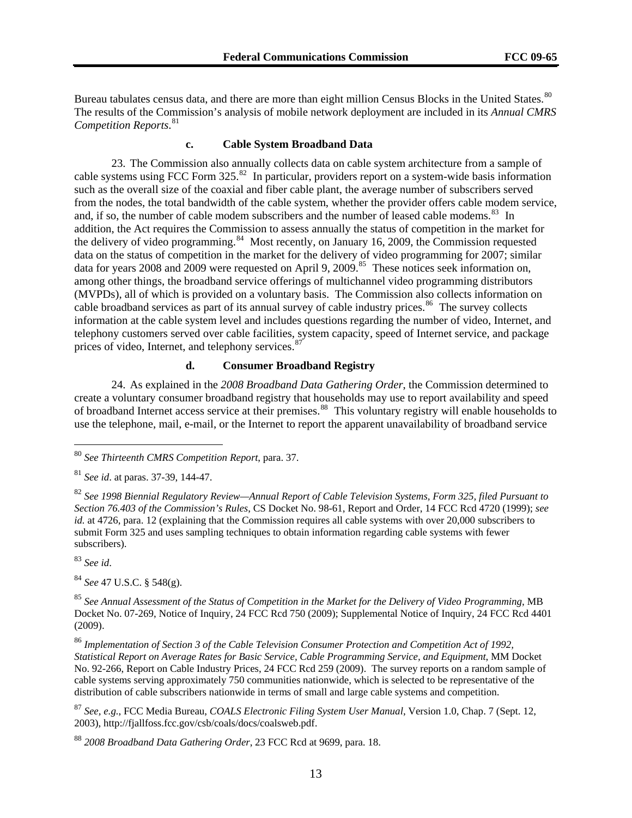Bureau tabulates census data, and there are more than eight million Census Blocks in the United States.<sup>80</sup> The results of the Commission's analysis of mobile network deployment are included in its *Annual CMRS Competition Reports*. 81

#### **c. Cable System Broadband Data**

addition, the Act requires the Commission to assess annually the status of competition in the market for information at the cable system level and includes questions regarding the number of video, Internet, and prices of video, Internet, and telephony services. 87 23. The Commission also annually collects data on cable system architecture from a sample of cable systems using FCC Form  $325$ <sup>[82](#page-12-0)</sup> In particular, providers report on a system-wide basis information such as the overall size of the coaxial and fiber cable plant, the average number of subscribers served from the nodes, the total bandwidth of the cable system, whether the provider offers cable modem service, and, if so, the number of cable modem subscribers and the number of leased cable modems. $83\;$  $83\;$  In the delivery of video programming.<sup>[84](#page-12-2)</sup> Most recently, on January 16, 2009, the Commission requested data on the status of competition in the market for the delivery of video programming for 2007; similar data for years 2008 and 2009 were requested on April 9, 2009.<sup>[85](#page-12-3)</sup> These notices seek information on, among other things, the broadband service offerings of multichannel video programming distributors (MVPDs), all of which is provided on a voluntary basis. The Commission also collects information on cable broadband services as part of its annual survey of cable industry prices.<sup>[86](#page-12-4)</sup> The survey collects telephony customers served over cable facilities, system capacity, speed of Internet service, and package

#### **d. Consumer Broadband Registry**

24. As explained in the *2008 Broadband Data Gathering Order*, the Commission determined to create a voluntary consumer broadband registry that households may use to report availability and speed of broadband Internet access service at their premises.<sup>[88](#page-12-5)</sup> This voluntary registry will enable households to use the telephone, mail, e-mail, or the Internet to report the apparent unavailability of broadband service

<span id="page-12-1"></span><sup>83</sup> *See id*.

 $\overline{a}$ 

<span id="page-12-2"></span><sup>84</sup> *See* 47 U.S.C. § 548(g).

<sup>80</sup> *See Thirteenth CMRS Competition Report*, para. 37.

<sup>81</sup> *See id*. at paras. 37-39, 144-47.

<span id="page-12-0"></span><sup>82</sup> *See 1998 Biennial Regulatory Review—Annual Report of Cable Television Systems, Form 325, filed Pursuant to Section 76.403 of the Commission's Rules*, CS Docket No. 98-61, Report and Order, 14 FCC Rcd 4720 (1999); *see id.* at 4726, para. 12 (explaining that the Commission requires all cable systems with over 20,000 subscribers to submit Form 325 and uses sampling techniques to obtain information regarding cable systems with fewer subscribers).

<span id="page-12-3"></span><sup>85</sup> *See Annual Assessment of the Status of Competition in the Market for the Delivery of Video Programming*, MB Docket No. 07-269, Notice of Inquiry, 24 FCC Rcd 750 (2009); Supplemental Notice of Inquiry, 24 FCC Rcd 4401 (2009).

<span id="page-12-4"></span><sup>86</sup> *Implementation of Section 3 of the Cable Television Consumer Protection and Competition Act of 1992, Statistical Report on Average Rates for Basic Service, Cable Programming Service, and Equipment*, MM Docket No. 92-266, Report on Cable Industry Prices, 24 FCC Rcd 259 (2009). The survey reports on a random sample of cable systems serving approximately 750 communities nationwide, which is selected to be representative of the distribution of cable subscribers nationwide in terms of small and large cable systems and competition.

<sup>87</sup> *See, e.g.*, FCC Media Bureau, *COALS Electronic Filing System User Manual*, Version 1.0, Chap. 7 (Sept. 12, 2003), http://fjallfoss.fcc.gov/csb/coals/docs/coalsweb.pdf.

<span id="page-12-5"></span><sup>88</sup> *2008 Broadband Data Gathering Order*, 23 FCC Rcd at 9699, para. 18.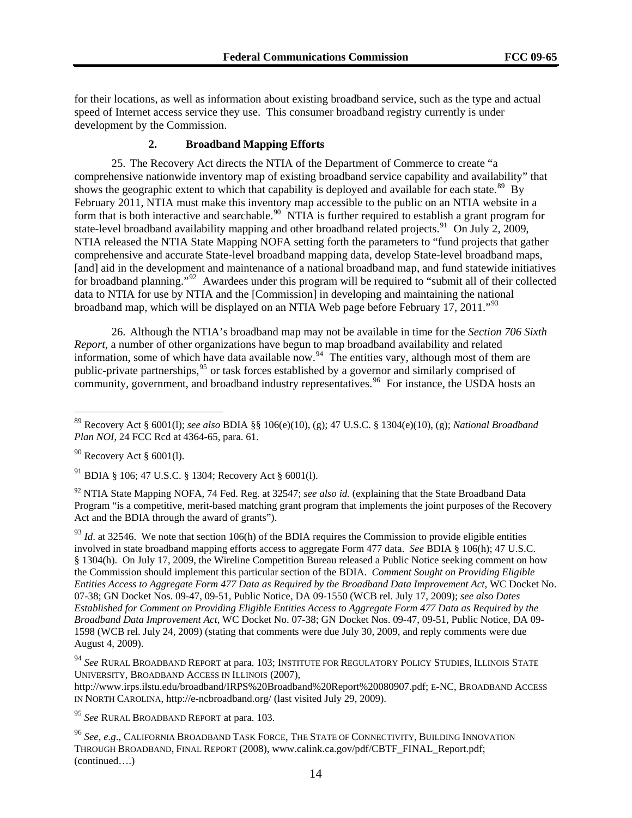for their locations, as well as information about existing broadband service, such as the type and actual speed of Internet access service they use. This consumer broadband registry currently is under development by the Commission.

#### **2. Broadband Mapping Efforts**

25. The Recovery Act directs the NTIA of the Department of Commerce to create "a comprehensive nationwide inventory map of existing broadband service capability and availability" that shows the geographic extent to which that capability is deployed and available for each state.<sup>[89](#page-13-0)</sup> By February 2011, NTIA must make this inventory map accessible to the public on an NTIA website in a form that is both interactive and searchable.<sup>[90](#page-13-1)</sup> NTIA is further required to establish a grant program for state-level broadband availability mapping and other broadband related projects.<sup>[91](#page-13-2)</sup> On July 2, 2009, NTIA released the NTIA State Mapping NOFA setting forth the parameters to "fund projects that gather comprehensive and accurate State-level broadband mapping data, develop State-level broadband maps, [and] aid in the development and maintenance of a national broadband map, and fund statewide initiatives for broadband planning."<sup>[92](#page-13-3)</sup> Awardees under this program will be required to "submit all of their collected" data to NTIA for use by NTIA and the [Commission] in developing and maintaining the national broadband map, which will be displayed on an NTIA Web page before February 17, 2011."<sup>[93](#page-13-4)</sup>

26. Although the NTIA's broadband map may not be available in time for the *Section 706 Sixth Report*, a number of other organizations have begun to map broadband availability and related information, some of which have data available now.  $94$  The entities vary, although most of them are public-private partnerships,<sup>[95](#page-13-6)</sup> or task forces established by a governor and similarly comprised of community, government, and broadband industry representatives.<sup>[96](#page-13-7)</sup> For instance, the USDA hosts an

 $\overline{a}$ 

<span id="page-13-2"></span>91 BDIA § 106; 47 U.S.C. § 1304; Recovery Act § 6001(l).

<span id="page-13-3"></span>92 NTIA State Mapping NOFA, 74 Fed. Reg. at 32547; *see also id.* (explaining that the State Broadband Data Program "is a competitive, merit-based matching grant program that implements the joint purposes of the Recovery Act and the BDIA through the award of grants").

<span id="page-13-4"></span><sup>93</sup> *Id.* at 32546. We note that section 106(h) of the BDIA requires the Commission to provide eligible entities involved in state broadband mapping efforts access to aggregate Form 477 data. *See* BDIA § 106(h); 47 U.S.C. § 1304(h). On July 17, 2009, the Wireline Competition Bureau released a Public Notice seeking comment on how the Commission should implement this particular section of the BDIA. *Comment Sought on Providing Eligible Entities Access to Aggregate Form 477 Data as Required by the Broadband Data Improvement Act*, WC Docket No. 07-38; GN Docket Nos. 09-47, 09-51, Public Notice, DA 09-1550 (WCB rel. July 17, 2009); *see also Dates Established for Comment on Providing Eligible Entities Access to Aggregate Form 477 Data as Required by the Broadband Data Improvement Act*, WC Docket No. 07-38; GN Docket Nos. 09-47, 09-51, Public Notice, DA 09- 1598 (WCB rel. July 24, 2009) (stating that comments were due July 30, 2009, and reply comments were due August 4, 2009).

<span id="page-13-5"></span><sup>94</sup> *See* RURAL BROADBAND REPORT at para. 103; INSTITUTE FOR REGULATORY POLICY STUDIES, ILLINOIS STATE UNIVERSITY, BROADBAND ACCESS IN ILLINOIS (2007),

<http://www.irps.ilstu.edu/broadband/IRPS%20Broadband%20Report%20080907.pdf>; E-NC, BROADBAND ACCESS IN NORTH CAROLINA,<http://e-ncbroadband.org/>(last visited July 29, 2009).

<span id="page-13-6"></span><sup>95</sup> *See* RURAL BROADBAND REPORT at para. 103.

<span id="page-13-7"></span>(continued….) <sup>96</sup> *See, e.g*., CALIFORNIA BROADBAND TASK FORCE, THE STATE OF CONNECTIVITY, BUILDING INNOVATION THROUGH BROADBAND, FINAL REPORT (2008), www.calink.ca.gov/pdf/CBTF\_FINAL\_Report.pdf;

<span id="page-13-0"></span><sup>89</sup> Recovery Act § 6001(l); *see also* BDIA §§ 106(e)(10), (g); 47 U.S.C. § 1304(e)(10), (g); *National Broadband Plan NOI*, 24 FCC Rcd at 4364-65, para. 61.

<span id="page-13-1"></span> $90$  Recovery Act § 6001(1).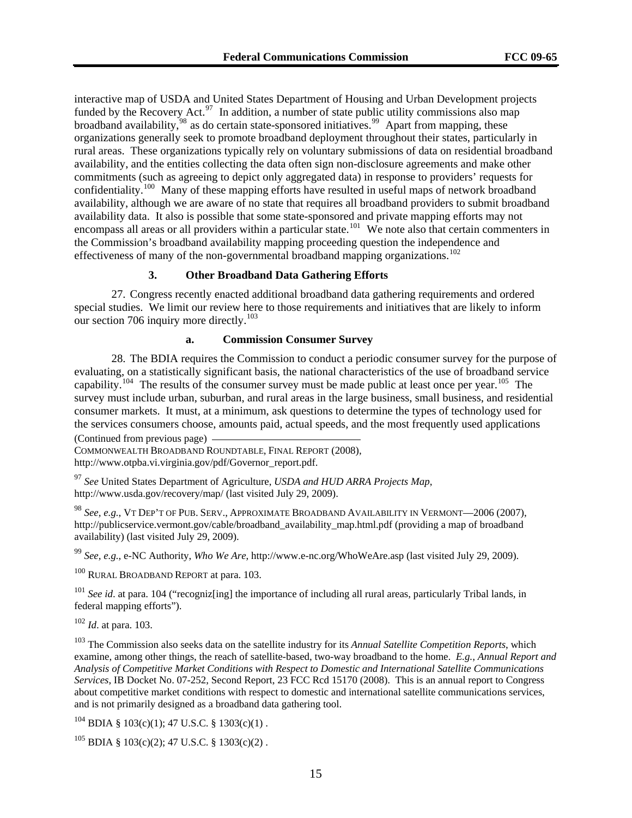interactive map of USDA and United States Department of Housing and Urban Development projects funded by the Recovery Act.<sup>97</sup> In addition, a number of state public utility commissions also map broadband availability, <sup>98</sup> as do certain state-sponsored initiatives.<sup>99</sup> Apart from mapping, these organizations generally seek to promote broadband deployment throughout their states, particularly in rural areas. These organizations typically rely on voluntary submissions of data on residential broadband availability, and the entities collecting the data often sign non-disclosure agreements and make other commitments (such as agreeing to depict only aggregated data) in response to providers' requests for confidentiality.<sup>100</sup> Many of these mapping efforts have resulted in useful maps of network broadband availability, although we are aware of no state that requires all broadband providers to submit broadband availability data. It also is possible that some state-sponsored and private mapping efforts may not encompass all areas or all providers within a particular state.<sup>101</sup> We note also that certain commenters in the Commission's broadband availability mapping proceeding question the independence and effectiveness of many of the non-governmental broadband mapping organizations.<sup>102</sup>

#### **3. Other Broadband Data Gathering Efforts**

27. Congress recently enacted additional broadband data gathering requirements and ordered special studies. We limit our review here to those requirements and initiatives that are likely to inform our section 706 inquiry more directly.<sup>[103](#page-14-0)</sup>

#### **a. Commission Consumer Survey**

28. The BDIA requires the Commission to conduct a periodic consumer survey for the purpose of evaluating, on a statistically significant basis, the national characteristics of the use of broadband service capability.<sup>[104](#page-14-1)</sup> The results of the consumer survey must be made public at least once per year.<sup>105</sup> The survey must include urban, suburban, and rural areas in the large business, small business, and residential consumer markets. It must, at a minimum, ask questions to determine the types of technology used for the services consumers choose, amounts paid, actual speeds, and the most frequently used applications

(Continued from previous page)

COMMONWEALTH BROADBAND ROUNDTABLE, FINAL REPORT (2008), http://www.otpba.vi.virginia.gov/pdf/Governor\_report.pdf.

<sup>97</sup> *See* United States Department of Agriculture, *USDA and HUD ARRA Projects Map*, http://www.usda.gov/recovery/map/ (last visited July 29, 2009).

<sup>98</sup> *See, e.g.*, VT DEP'T OF PUB. SERV., APPROXIMATE BROADBAND AVAILABILITY IN VERMONT—2006 (2007), http://publicservice.vermont.gov/cable/broadband\_availability\_map.html.pdf (providing a map of broadband availability) (last visited July 29, 2009).

<sup>99</sup> *See, e.g.*, e-NC Authority, *Who We Are*, http://www.e-nc.org/WhoWeAre.asp (last visited July 29, 2009).

<sup>100</sup> RURAL BROADBAND REPORT at para. 103.

<sup>101</sup> *See id.* at para. 104 ("recogniz[ing] the importance of including all rural areas, particularly Tribal lands, in federal mapping efforts").

<sup>102</sup> *Id*. at para. 103.

<span id="page-14-0"></span>103 The Commission also seeks data on the satellite industry for its *Annual Satellite Competition Reports*, which examine, among other things, the reach of satellite-based, two-way broadband to the home. *E.g.*, *Annual Report and Analysis of Competitive Market Conditions with Respect to Domestic and International Satellite Communications Services*, IB Docket No. 07-252, Second Report, 23 FCC Rcd 15170 (2008). This is an annual report to Congress about competitive market conditions with respect to domestic and international satellite communications services, and is not primarily designed as a broadband data gathering tool.

<span id="page-14-1"></span> $104$  BDIA § 103(c)(1); 47 U.S.C. § 1303(c)(1).

<span id="page-14-2"></span> $^{105}$  BDIA § 103(c)(2); 47 U.S.C. § 1303(c)(2).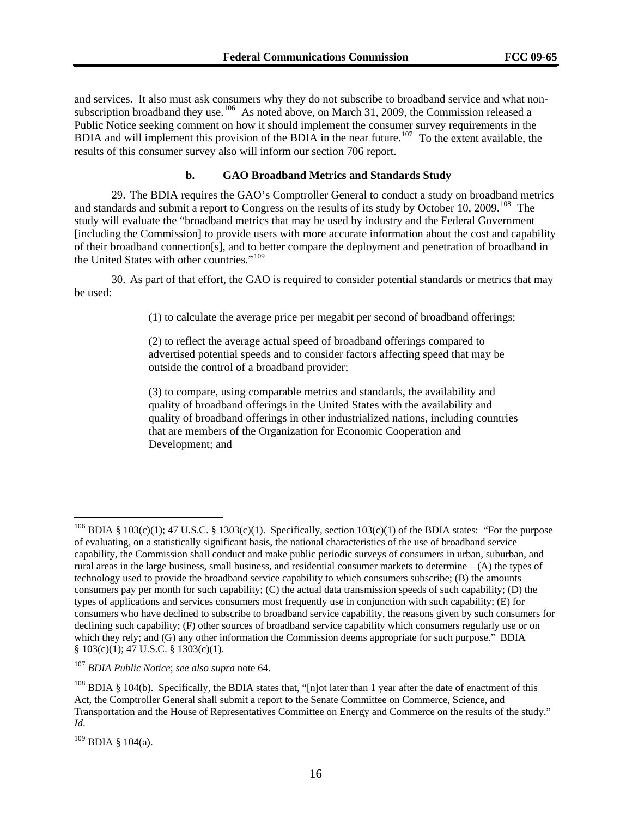and services. It also must ask consumers why they do not subscribe to broadband service and what nonsubscription broadband they use.<sup>106</sup> As noted above, on March 31, 2009, the Commission released a Public Notice seeking comment on how it should implement the consumer survey requirements in the BDIA and will implement this provision of the BDIA in the near future.<sup>107</sup> To the extent available, the results of this consumer survey also will inform our section 706 report.

#### **b. GAO Broadband Metrics and Standards Study**

29. The BDIA requires the GAO's Comptroller General to conduct a study on broadband metrics and standards and submit a report to Congress on the results of its study by October 10, 2009.<sup>[108](#page-15-0)</sup> The study will evaluate the "broadband metrics that may be used by industry and the Federal Government [including the Commission] to provide users with more accurate information about the cost and capability of their broadband connection[s], and to better compare the deployment and penetration of broadband in the United States with other countries."<sup>[109](#page-15-1)</sup>

30. As part of that effort, the GAO is required to consider potential standards or metrics that may be used:

(1) to calculate the average price per megabit per second of broadband offerings;

(2) to reflect the average actual speed of broadband offerings compared to advertised potential speeds and to consider factors affecting speed that may be outside the control of a broadband provider;

(3) to compare, using comparable metrics and standards, the availability and quality of broadband offerings in the United States with the availability and quality of broadband offerings in other industrialized nations, including countries that are members of the Organization for Economic Cooperation and Development; and

<sup>&</sup>lt;sup>106</sup> BDIA § 103(c)(1); 47 U.S.C. § 1303(c)(1). Specifically, section 103(c)(1) of the BDIA states: "For the purpose of evaluating, on a statistically significant basis, the national characteristics of the use of broadband service capability, the Commission shall conduct and make public periodic surveys of consumers in urban, suburban, and rural areas in the large business, small business, and residential consumer markets to determine—(A) the types of technology used to provide the broadband service capability to which consumers subscribe; (B) the amounts consumers pay per month for such capability; (C) the actual data transmission speeds of such capability; (D) the types of applications and services consumers most frequently use in conjunction with such capability; (E) for consumers who have declined to subscribe to broadband service capability, the reasons given by such consumers for declining such capability; (F) other sources of broadband service capability which consumers regularly use or on which they rely; and (G) any other information the Commission deems appropriate for such purpose." BDIA § 103(c)(1); 47 U.S.C. § 1303(c)(1).

<sup>107</sup> *BDIA Public Notice*; *see also supra* note 64.

<span id="page-15-0"></span><sup>&</sup>lt;sup>108</sup> BDIA § 104(b). Specifically, the BDIA states that, "[n]ot later than 1 year after the date of enactment of this Act, the Comptroller General shall submit a report to the Senate Committee on Commerce, Science, and Transportation and the House of Representatives Committee on Energy and Commerce on the results of the study." *Id*.

<span id="page-15-1"></span> $109$  BDIA § 104(a).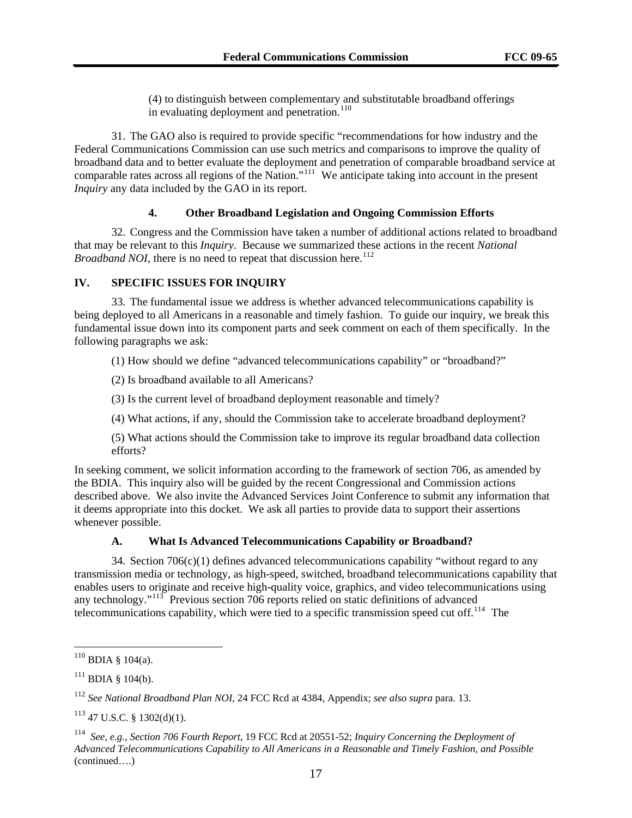(4) to distinguish between complementary and substitutable broadband offerings in evaluating deployment and penetration.<sup>[110](#page-16-0)</sup>

31. The GAO also is required to provide specific "recommendations for how industry and the Federal Communications Commission can use such metrics and comparisons to improve the quality of broadband data and to better evaluate the deployment and penetration of comparable broadband service at comparable rates across all regions of the Nation."[111](#page-16-1) We anticipate taking into account in the present *Inquiry* any data included by the GAO in its report.

#### **4. Other Broadband Legislation and Ongoing Commission Efforts**

32. Congress and the Commission have taken a number of additional actions related to broadband that may be relevant to this *Inquiry*. Because we summarized these actions in the recent *National Broadband NOI*, there is no need to repeat that discussion here.<sup>[112](#page-16-2)</sup>

#### **IV. SPECIFIC ISSUES FOR INQUIRY**

33. The fundamental issue we address is whether advanced telecommunications capability is being deployed to all Americans in a reasonable and timely fashion. To guide our inquiry, we break this fundamental issue down into its component parts and seek comment on each of them specifically. In the following paragraphs we ask:

(1) How should we define "advanced telecommunications capability" or "broadband?"

(2) Is broadband available to all Americans?

(3) Is the current level of broadband deployment reasonable and timely?

(4) What actions, if any, should the Commission take to accelerate broadband deployment?

(5) What actions should the Commission take to improve its regular broadband data collection efforts?

In seeking comment, we solicit information according to the framework of section 706, as amended by the BDIA. This inquiry also will be guided by the recent Congressional and Commission actions described above. We also invite the Advanced Services Joint Conference to submit any information that it deems appropriate into this docket. We ask all parties to provide data to support their assertions whenever possible.

#### **A. What Is Advanced Telecommunications Capability or Broadband?**

34. Section  $706(c)(1)$  defines advanced telecommunications capability "without regard to any transmission media or technology, as high-speed, switched, broadband telecommunications capability that enables users to originate and receive high-quality voice, graphics, and video telecommunications using any technology." $113$  Previous section 706 reports relied on static definitions of advanced telecommunications capability, which were tied to a specific transmission speed cut off.<sup>[114](#page-16-4)</sup> The

<span id="page-16-0"></span> $110$  BDIA § 104(a).

<span id="page-16-1"></span> $111$  BDIA § 104(b).

<span id="page-16-2"></span><sup>112</sup> *See National Broadband Plan NOI*, 24 FCC Rcd at 4384, Appendix; *see also supra* para. 13.

<span id="page-16-3"></span><sup>113 47</sup> U.S.C. § 1302(d)(1).

<span id="page-16-4"></span><sup>(</sup>continued….) 114 *See, e.g.*, *Section 706 Fourth Report*, 19 FCC Rcd at 20551-52; *Inquiry Concerning the Deployment of Advanced Telecommunications Capability to All Americans in a Reasonable and Timely Fashion, and Possible*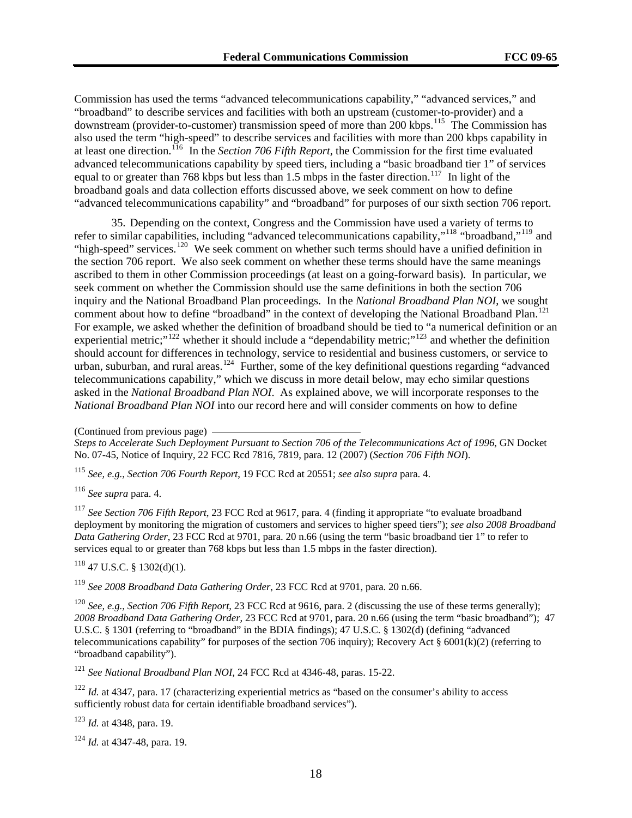Commission has used the terms "advanced telecommunications capability," "advanced services," and "broadband" to describe services and facilities with both an upstream (customer-to-provider) and a downstream (provider-to-customer) transmission speed of more than 200 kbps.<sup>115</sup> The Commission has also used the term "high-speed" to describe services and facilities with more than 200 kbps capability in at least one direction.116 In the *Section 706 Fifth Report*, the Commission for the first time evaluated advanced telecommunications capability by speed tiers, including a "basic broadband tier 1" of services equal to or greater than 768 kbps but less than 1.5 mbps in the faster direction.<sup>117</sup> In light of the broadband goals and data collection efforts discussed above, we seek comment on how to define "advanced telecommunications capability" and "broadband" for purposes of our sixth section 706 report.

35. Depending on the context, Congress and the Commission have used a variety of terms to refer to similar capabilities, including "advanced telecommunications capability,"[118](#page-17-0) "broadband,"[119](#page-17-1) and "high-speed" services.<sup>[120](#page-17-2)</sup> We seek comment on whether such terms should have a unified definition in the section 706 report. We also seek comment on whether these terms should have the same meanings ascribed to them in other Commission proceedings (at least on a going-forward basis). In particular, we seek comment on whether the Commission should use the same definitions in both the section 706 inquiry and the National Broadband Plan proceedings. In the *National Broadband Plan NOI*, we sought comment about how to define "broadband" in the context of developing the National Broadband Plan.<sup>[121](#page-17-3)</sup> For example, we asked whether the definition of broadband should be tied to "a numerical definition or an experiential metric;"<sup>[122](#page-17-4)</sup> whether it should include a "dependability metric;"<sup>[123](#page-17-5)</sup> and whether the definition should account for differences in technology, service to residential and business customers, or service to urban, suburban, and rural areas.<sup>[124](#page-17-6)</sup> Further, some of the key definitional questions regarding "advanced" telecommunications capability," which we discuss in more detail below, may echo similar questions asked in the *National Broadband Plan NOI*.As explained above, we will incorporate responses to the *National Broadband Plan NOI* into our record here and will consider comments on how to define

<sup>115</sup> *See, e.g.*, *Section 706 Fourth Report*, 19 FCC Rcd at 20551; *see also supra* para. 4.

<sup>116</sup> *See supra* para. 4.

<sup>117</sup> *See Section 706 Fifth Report*, 23 FCC Rcd at 9617, para. 4 (finding it appropriate "to evaluate broadband deployment by monitoring the migration of customers and services to higher speed tiers"); *see also 2008 Broadband Data Gathering Order*, 23 FCC Rcd at 9701, para. 20 n.66 (using the term "basic broadband tier 1" to refer to services equal to or greater than 768 kbps but less than 1.5 mbps in the faster direction).

<span id="page-17-0"></span> $118$  47 U.S.C. § 1302(d)(1).

<span id="page-17-1"></span><sup>119</sup> *See 2008 Broadband Data Gathering Order*, 23 FCC Rcd at 9701, para. 20 n.66.

<span id="page-17-2"></span><sup>120</sup> *See, e.g.*, *Section 706 Fifth Report*, 23 FCC Rcd at 9616, para. 2 (discussing the use of these terms generally); *2008 Broadband Data Gathering Order*, 23 FCC Rcd at 9701, para. 20 n.66 (using the term "basic broadband"); 47 U.S.C. § 1301 (referring to "broadband" in the BDIA findings); 47 U.S.C. § 1302(d) (defining "advanced telecommunications capability" for purposes of the section 706 inquiry); Recovery Act § 6001(k)(2) (referring to "broadband capability").

<span id="page-17-3"></span><sup>121</sup> *See National Broadband Plan NOI,* 24 FCC Rcd at 4346-48, paras. 15-22.

<span id="page-17-4"></span><sup>122</sup> *Id.* at 4347, para. 17 (characterizing experiential metrics as "based on the consumer's ability to access sufficiently robust data for certain identifiable broadband services").

<span id="page-17-5"></span><sup>123</sup> *Id.* at 4348, para. 19.

<span id="page-17-6"></span><sup>124</sup> *Id.* at 4347-48, para. 19.

<sup>(</sup>Continued from previous page)

*Steps to Accelerate Such Deployment Pursuant to Section 706 of the Telecommunications Act of 1996*, GN Docket No. 07-45, Notice of Inquiry, 22 FCC Rcd 7816, 7819, para. 12 (2007) (*Section 706 Fifth NOI*).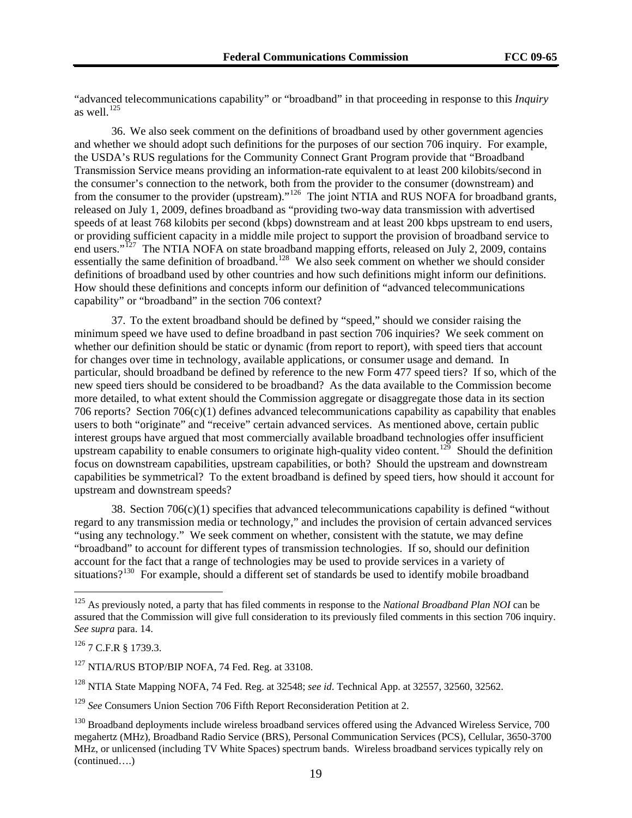"advanced telecommunications capability" or "broadband" in that proceeding in response to this *Inquiry* as well $^{125}$ 

36. We also seek comment on the definitions of broadband used by other government agencies and whether we should adopt such definitions for the purposes of our section 706 inquiry. For example, the USDA's RUS regulations for the Community Connect Grant Program provide that "Broadband Transmission Service means providing an information-rate equivalent to at least 200 kilobits/second in the consumer's connection to the network, both from the provider to the consumer (downstream) and from the consumer to the provider (upstream)."<sup>[126](#page-18-0)</sup> The joint NTIA and RUS NOFA for broadband grants, released on July 1, 2009, defines broadband as "providing two-way data transmission with advertised speeds of at least 768 kilobits per second (kbps) downstream and at least 200 kbps upstream to end users, or providing sufficient capacity in a middle mile project to support the provision of broadband service to end users."<sup>[127](#page-18-1)</sup> The NTIA NOFA on state broadband mapping efforts, released on July 2, 2009, contains essentially the same definition of broadband.<sup>[128](#page-18-2)</sup> We also seek comment on whether we should consider definitions of broadband used by other countries and how such definitions might inform our definitions. How should these definitions and concepts inform our definition of "advanced telecommunications capability" or "broadband" in the section 706 context?

37. To the extent broadband should be defined by "speed," should we consider raising the minimum speed we have used to define broadband in past section 706 inquiries? We seek comment on whether our definition should be static or dynamic (from report to report), with speed tiers that account for changes over time in technology, available applications, or consumer usage and demand. In particular, should broadband be defined by reference to the new Form 477 speed tiers? If so, which of the new speed tiers should be considered to be broadband? As the data available to the Commission become more detailed, to what extent should the Commission aggregate or disaggregate those data in its section 706 reports? Section 706(c)(1) defines advanced telecommunications capability as capability that enables users to both "originate" and "receive" certain advanced services. As mentioned above, certain public interest groups have argued that most commercially available broadband technologies offer insufficient upstream capability to enable consumers to originate high-quality video content.<sup>[129](#page-18-3)</sup> Should the definition focus on downstream capabilities, upstream capabilities, or both? Should the upstream and downstream capabilities be symmetrical? To the extent broadband is defined by speed tiers, how should it account for upstream and downstream speeds?

38. Section 706(c)(1) specifies that advanced telecommunications capability is defined "without regard to any transmission media or technology," and includes the provision of certain advanced services "using any technology." We seek comment on whether, consistent with the statute, we may define "broadband" to account for different types of transmission technologies. If so, should our definition account for the fact that a range of technologies may be used to provide services in a variety of situations?<sup>[130](#page-18-4)</sup> For example, should a different set of standards be used to identify mobile broadband

<sup>125</sup> As previously noted, a party that has filed comments in response to the *National Broadband Plan NOI* can be assured that the Commission will give full consideration to its previously filed comments in this section 706 inquiry. *See supra* para. 14.

<span id="page-18-0"></span> $126$  7 C.F.R § 1739.3.

<span id="page-18-1"></span><sup>&</sup>lt;sup>127</sup> NTIA/RUS BTOP/BIP NOFA, 74 Fed. Reg. at 33108.

<span id="page-18-2"></span><sup>128</sup> NTIA State Mapping NOFA, 74 Fed. Reg. at 32548; *see id*. Technical App. at 32557, 32560, 32562.

<span id="page-18-3"></span><sup>129</sup> *See* Consumers Union Section 706 Fifth Report Reconsideration Petition at 2.

<span id="page-18-4"></span><sup>(</sup>continued….) <sup>130</sup> Broadband deployments include wireless broadband services offered using the Advanced Wireless Service, 700 megahertz (MHz), Broadband Radio Service (BRS), Personal Communication Services (PCS), Cellular, 3650-3700 MHz, or unlicensed (including TV White Spaces) spectrum bands. Wireless broadband services typically rely on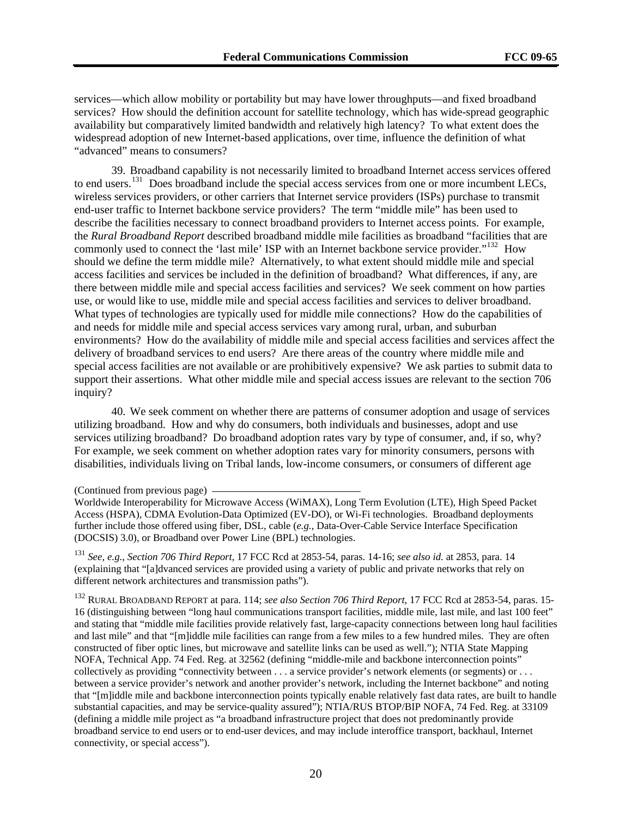services—which allow mobility or portability but may have lower throughputs—and fixed broadband services? How should the definition account for satellite technology, which has wide-spread geographic availability but comparatively limited bandwidth and relatively high latency? To what extent does the widespread adoption of new Internet-based applications, over time, influence the definition of what "advanced" means to consumers?

39. Broadband capability is not necessarily limited to broadband Internet access services offered to end users.<sup>[131](#page-19-0)</sup> Does broadband include the special access services from one or more incumbent LECs, wireless services providers, or other carriers that Internet service providers (ISPs) purchase to transmit end-user traffic to Internet backbone service providers? The term "middle mile" has been used to describe the facilities necessary to connect broadband providers to Internet access points. For example, the *Rural Broadband Report* described broadband middle mile facilities as broadband "facilities that are commonly used to connect the 'last mile' ISP with an Internet backbone service provider."<sup>[132](#page-19-1)</sup> How should we define the term middle mile? Alternatively, to what extent should middle mile and special access facilities and services be included in the definition of broadband? What differences, if any, are there between middle mile and special access facilities and services? We seek comment on how parties use, or would like to use, middle mile and special access facilities and services to deliver broadband. What types of technologies are typically used for middle mile connections? How do the capabilities of and needs for middle mile and special access services vary among rural, urban, and suburban environments? How do the availability of middle mile and special access facilities and services affect the delivery of broadband services to end users? Are there areas of the country where middle mile and special access facilities are not available or are prohibitively expensive? We ask parties to submit data to support their assertions. What other middle mile and special access issues are relevant to the section 706 inquiry?

40. We seek comment on whether there are patterns of consumer adoption and usage of services utilizing broadband. How and why do consumers, both individuals and businesses, adopt and use services utilizing broadband? Do broadband adoption rates vary by type of consumer, and, if so, why? For example, we seek comment on whether adoption rates vary for minority consumers, persons with disabilities, individuals living on Tribal lands, low-income consumers, or consumers of different age

<span id="page-19-1"></span>132 RURAL BROADBAND REPORT at para. 114; *see also Section 706 Third Report*, 17 FCC Rcd at 2853-54, paras. 15- 16 (distinguishing between "long haul communications transport facilities, middle mile, last mile, and last 100 feet" and stating that "middle mile facilities provide relatively fast, large-capacity connections between long haul facilities and last mile" and that "[m]iddle mile facilities can range from a few miles to a few hundred miles. They are often constructed of fiber optic lines, but microwave and satellite links can be used as well."); NTIA State Mapping NOFA, Technical App. 74 Fed. Reg. at 32562 (defining "middle-mile and backbone interconnection points" collectively as providing "connectivity between . . . a service provider's network elements (or segments) or . . . between a service provider's network and another provider's network, including the Internet backbone" and noting that "[m]iddle mile and backbone interconnection points typically enable relatively fast data rates, are built to handle substantial capacities, and may be service-quality assured"); NTIA/RUS BTOP/BIP NOFA, 74 Fed. Reg. at 33109 (defining a middle mile project as "a broadband infrastructure project that does not predominantly provide broadband service to end users or to end-user devices, and may include interoffice transport, backhaul, Internet connectivity, or special access").

<sup>(</sup>Continued from previous page)

Worldwide Interoperability for Microwave Access (WiMAX), Long Term Evolution (LTE), High Speed Packet Access (HSPA), CDMA Evolution-Data Optimized (EV-DO), or Wi-Fi technologies. Broadband deployments further include those offered using fiber, DSL, cable (*e.g.*, Data-Over-Cable Service Interface Specification (DOCSIS) 3.0), or Broadband over Power Line (BPL) technologies.

<span id="page-19-0"></span><sup>131</sup> *See, e.g.*, *Section 706 Third Report*, 17 FCC Rcd at 2853-54, paras. 14-16; *see also id.* at 2853, para. 14 (explaining that "[a]dvanced services are provided using a variety of public and private networks that rely on different network architectures and transmission paths").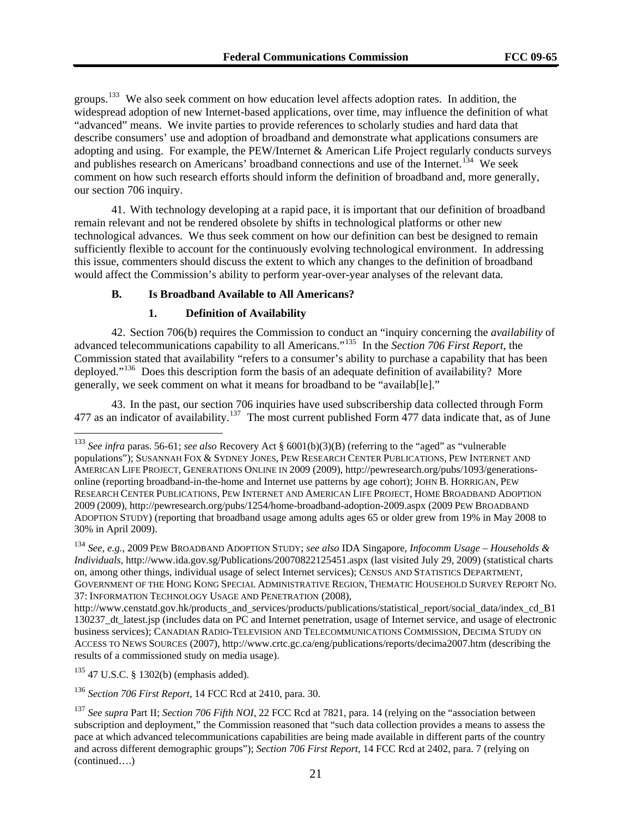groups.133 We also seek comment on how education level affects adoption rates. In addition, the widespread adoption of new Internet-based applications, over time, may influence the definition of what "advanced" means. We invite parties to provide references to scholarly studies and hard data that describe consumers' use and adoption of broadband and demonstrate what applications consumers are adopting and using. For example, the PEW/Internet & American Life Project regularly conducts surveys and publishes research on Americans' broadband connections and use of the Internet.<sup>134</sup> We seek comment on how such research efforts should inform the definition of broadband and, more generally, our section 706 inquiry.

41. With technology developing at a rapid pace, it is important that our definition of broadband remain relevant and not be rendered obsolete by shifts in technological platforms or other new technological advances. We thus seek comment on how our definition can best be designed to remain sufficiently flexible to account for the continuously evolving technological environment. In addressing this issue, commenters should discuss the extent to which any changes to the definition of broadband would affect the Commission's ability to perform year-over-year analyses of the relevant data.

#### **B. Is Broadband Available to All Americans?**

#### **1. Definition of Availability**

42. Section 706(b) requires the Commission to conduct an "inquiry concerning the *availability* of advanced telecommunications capability to all Americans."[135](#page-20-0) In the *Section 706 First Report*, the Commission stated that availability "refers to a consumer's ability to purchase a capability that has been deployed."<sup>[136](#page-20-1)</sup> Does this description form the basis of an adequate definition of availability? More generally, we seek comment on what it means for broadband to be "availab[le]."

43. In the past, our section 706 inquiries have used subscribership data collected through Form 477 as an indicator of availability.<sup>[137](#page-20-2)</sup> The most current published Form 477 data indicate that, as of June

<span id="page-20-0"></span> $135$  47 U.S.C. § 1302(b) (emphasis added).

<sup>133</sup> *See infra* paras. 56-61; *see also* Recovery Act § 6001(b)(3)(B) (referring to the "aged" as "vulnerable populations"); SUSANNAH FOX & SYDNEY JONES, PEW RESEARCH CENTER PUBLICATIONS, PEW INTERNET AND AMERICAN LIFE PROJECT, GENERATIONS ONLINE IN 2009 (2009), http://pewresearch.org/pubs/1093/generationsonline (reporting broadband-in-the-home and Internet use patterns by age cohort); JOHN B. HORRIGAN, PEW RESEARCH CENTER PUBLICATIONS, PEW INTERNET AND AMERICAN LIFE PROJECT, HOME BROADBAND ADOPTION 2009 (2009), http://pewresearch.org/pubs/1254/home-broadband-adoption-2009.aspx (2009 PEW BROADBAND ADOPTION STUDY) (reporting that broadband usage among adults ages 65 or older grew from 19% in May 2008 to 30% in April 2009).

<sup>134</sup> *See, e.g.*, 2009 PEW BROADBAND ADOPTION STUDY; *see also* IDA Singapore, *Infocomm Usage – Households & Individuals*, http://www.ida.gov.sg/Publications/20070822125451.aspx (last visited July 29, 2009) (statistical charts on, among other things, individual usage of select Internet services); CENSUS AND STATISTICS DEPARTMENT, GOVERNMENT OF THE HONG KONG SPECIAL ADMINISTRATIVE REGION, THEMATIC HOUSEHOLD SURVEY REPORT NO. 37: INFORMATION TECHNOLOGY USAGE AND PENETRATION (2008),

http://www.censtatd.gov.hk/products\_and\_services/products/publications/statistical\_report/social\_data/index\_cd\_B1 130237\_dt\_latest.jsp (includes data on PC and Internet penetration, usage of Internet service, and usage of electronic business services); CANADIAN RADIO-TELEVISION AND TELECOMMUNICATIONS COMMISSION, DECIMA STUDY ON ACCESS TO NEWS SOURCES (2007), http://www.crtc.gc.ca/eng/publications/reports/decima2007.htm (describing the results of a commissioned study on media usage).

<span id="page-20-1"></span><sup>136</sup> *Section 706 First Report*, 14 FCC Rcd at 2410, para. 30.

<span id="page-20-2"></span><sup>(</sup>continued….) <sup>137</sup> *See supra* Part II; *Section 706 Fifth NOI*, 22 FCC Rcd at 7821, para. 14 (relying on the "association between subscription and deployment," the Commission reasoned that "such data collection provides a means to assess the pace at which advanced telecommunications capabilities are being made available in different parts of the country and across different demographic groups"); *Section 706 First Report*, 14 FCC Rcd at 2402, para. 7 (relying on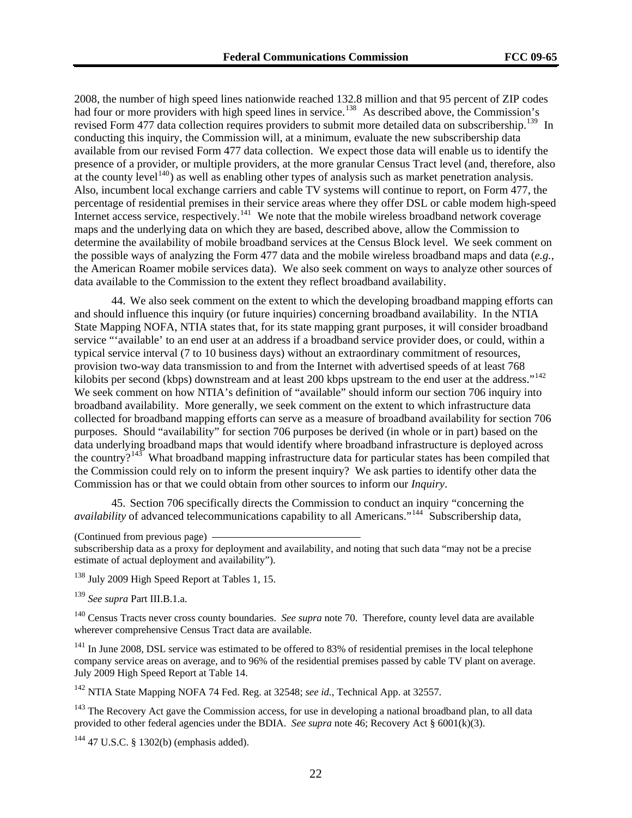2008, the number of high speed lines nationwide reached 132.8 million and that 95 percent of ZIP codes had four or more providers with high speed lines in service.<sup>138</sup> As described above, the Commission's revised Form 477 data collection requires providers to submit more detailed data on subscribership.<sup>139</sup> In conducting this inquiry, the Commission will, at a minimum, evaluate the new subscribership data available from our revised Form 477 data collection. We expect those data will enable us to identify the presence of a provider, or multiple providers, at the more granular Census Tract level (and, therefore, also at the county level<sup>140</sup>) as well as enabling other types of analysis such as market penetration analysis. Also, incumbent local exchange carriers and cable TV systems will continue to report, on Form 477, the percentage of residential premises in their service areas where they offer DSL or cable modem high-speed Internet access service, respectively.<sup>141</sup> We note that the mobile wireless broadband network coverage maps and the underlying data on which they are based, described above, allow the Commission to determine the availability of mobile broadband services at the Census Block level. We seek comment on the possible ways of analyzing the Form 477 data and the mobile wireless broadband maps and data (*e.g.*, the American Roamer mobile services data). We also seek comment on ways to analyze other sources of data available to the Commission to the extent they reflect broadband availability.

44. We also seek comment on the extent to which the developing broadband mapping efforts can and should influence this inquiry (or future inquiries) concerning broadband availability. In the NTIA State Mapping NOFA, NTIA states that, for its state mapping grant purposes, it will consider broadband service "'available' to an end user at an address if a broadband service provider does, or could, within a typical service interval (7 to 10 business days) without an extraordinary commitment of resources, provision two-way data transmission to and from the Internet with advertised speeds of at least 768 kilobits per second (kbps) downstream and at least 200 kbps upstream to the end user at the address."<sup>[142](#page-21-0)</sup> We seek comment on how NTIA's definition of "available" should inform our section 706 inquiry into broadband availability. More generally, we seek comment on the extent to which infrastructure data collected for broadband mapping efforts can serve as a measure of broadband availability for section 706 purposes. Should "availability" for section 706 purposes be derived (in whole or in part) based on the data underlying broadband maps that would identify where broadband infrastructure is deployed across the country?<sup>[143](#page-21-1)</sup> What broadband mapping infrastructure data for particular states has been compiled that the Commission could rely on to inform the present inquiry? We ask parties to identify other data the Commission has or that we could obtain from other sources to inform our *Inquiry*.

45. Section 706 specifically directs the Commission to conduct an inquiry "concerning the *availability* of advanced telecommunications capability to all Americans."<sup>[144](#page-21-2)</sup> Subscribership data,

subscribership data as a proxy for deployment and availability, and noting that such data "may not be a precise estimate of actual deployment and availability").

<sup>138</sup> July 2009 High Speed Report at Tables 1, 15.

<sup>139</sup> *See supra* Part III.B.1.a.

140 Census Tracts never cross county boundaries. *See supra* note 70. Therefore, county level data are available wherever comprehensive Census Tract data are available.

 $141$  In June 2008, DSL service was estimated to be offered to 83% of residential premises in the local telephone company service areas on average, and to 96% of the residential premises passed by cable TV plant on average. July 2009 High Speed Report at Table 14.

<span id="page-21-0"></span>142 NTIA State Mapping NOFA 74 Fed. Reg. at 32548; *see id.*, Technical App. at 32557.

<span id="page-21-1"></span> $143$  The Recovery Act gave the Commission access, for use in developing a national broadband plan, to all data provided to other federal agencies under the BDIA. *See supra* note 46; Recovery Act § 6001(k)(3).

<span id="page-21-2"></span>144 47 U.S.C. § 1302(b) (emphasis added).

<sup>(</sup>Continued from previous page)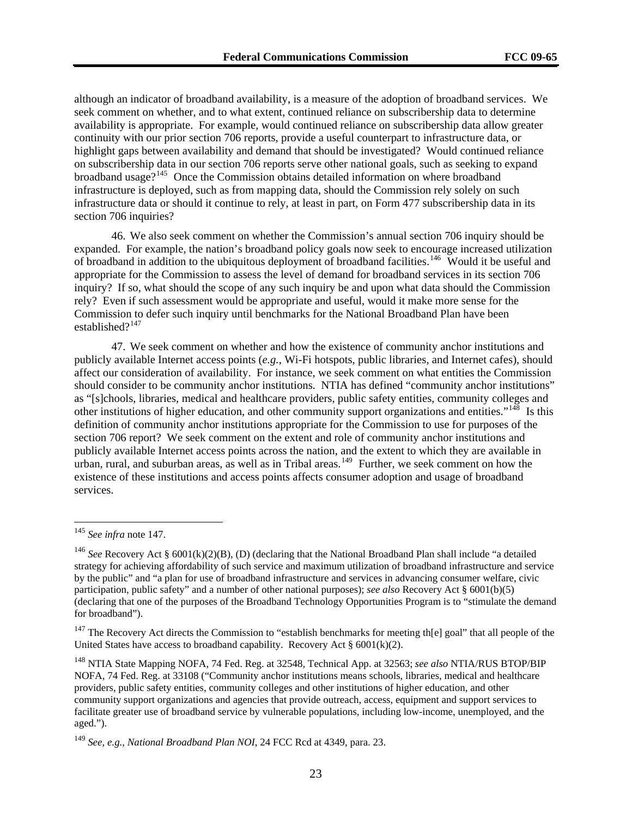although an indicator of broadband availability, is a measure of the adoption of broadband services. We seek comment on whether, and to what extent, continued reliance on subscribership data to determine availability is appropriate. For example, would continued reliance on subscribership data allow greater continuity with our prior section 706 reports, provide a useful counterpart to infrastructure data, or highlight gaps between availability and demand that should be investigated? Would continued reliance on subscribership data in our section 706 reports serve other national goals, such as seeking to expand broadband usage?<sup>145</sup> Once the Commission obtains detailed information on where broadband infrastructure is deployed, such as from mapping data, should the Commission rely solely on such infrastructure data or should it continue to rely, at least in part, on Form 477 subscribership data in its section 706 inquiries?

46. We also seek comment on whether the Commission's annual section 706 inquiry should be expanded. For example, the nation's broadband policy goals now seek to encourage increased utilization of broadband in addition to the ubiquitous deployment of broadband facilities.<sup>[146](#page-22-0)</sup> Would it be useful and appropriate for the Commission to assess the level of demand for broadband services in its section 706 inquiry? If so, what should the scope of any such inquiry be and upon what data should the Commission rely? Even if such assessment would be appropriate and useful, would it make more sense for the Commission to defer such inquiry until benchmarks for the National Broadband Plan have been established $?^{147}$  $?^{147}$  $?^{147}$ 

47. We seek comment on whether and how the existence of community anchor institutions and publicly available Internet access points (*e.g.*, Wi-Fi hotspots, public libraries, and Internet cafes), should affect our consideration of availability. For instance, we seek comment on what entities the Commission should consider to be community anchor institutions. NTIA has defined "community anchor institutions" as "[s]chools, libraries, medical and healthcare providers, public safety entities, community colleges and other institutions of higher education, and other community support organizations and entities."<sup>[148](#page-22-2)</sup> Is this definition of community anchor institutions appropriate for the Commission to use for purposes of the section 706 report? We seek comment on the extent and role of community anchor institutions and publicly available Internet access points across the nation, and the extent to which they are available in urban, rural, and suburban areas, as well as in Tribal areas.<sup>[149](#page-22-3)</sup> Further, we seek comment on how the existence of these institutions and access points affects consumer adoption and usage of broadband services.

<sup>145</sup> *See infra* note 147.

<span id="page-22-0"></span><sup>&</sup>lt;sup>146</sup> *See* Recovery Act § 6001(k)(2)(B), (D) (declaring that the National Broadband Plan shall include "a detailed strategy for achieving affordability of such service and maximum utilization of broadband infrastructure and service by the public" and "a plan for use of broadband infrastructure and services in advancing consumer welfare, civic participation, public safety" and a number of other national purposes); *see also* Recovery Act § 6001(b)(5) (declaring that one of the purposes of the Broadband Technology Opportunities Program is to "stimulate the demand for broadband").

<span id="page-22-1"></span> $147$  The Recovery Act directs the Commission to "establish benchmarks for meeting th[e] goal" that all people of the United States have access to broadband capability. Recovery Act  $\S$  6001(k)(2).

<span id="page-22-2"></span><sup>148</sup> NTIA State Mapping NOFA, 74 Fed. Reg. at 32548, Technical App. at 32563; *see also* NTIA/RUS BTOP/BIP NOFA, 74 Fed. Reg. at 33108 ("Community anchor institutions means schools, libraries, medical and healthcare providers, public safety entities, community colleges and other institutions of higher education, and other community support organizations and agencies that provide outreach, access, equipment and support services to facilitate greater use of broadband service by vulnerable populations, including low-income, unemployed, and the aged.").

<span id="page-22-3"></span><sup>149</sup> *See, e.g.*, *National Broadband Plan NOI*, 24 FCC Rcd at 4349, para. 23.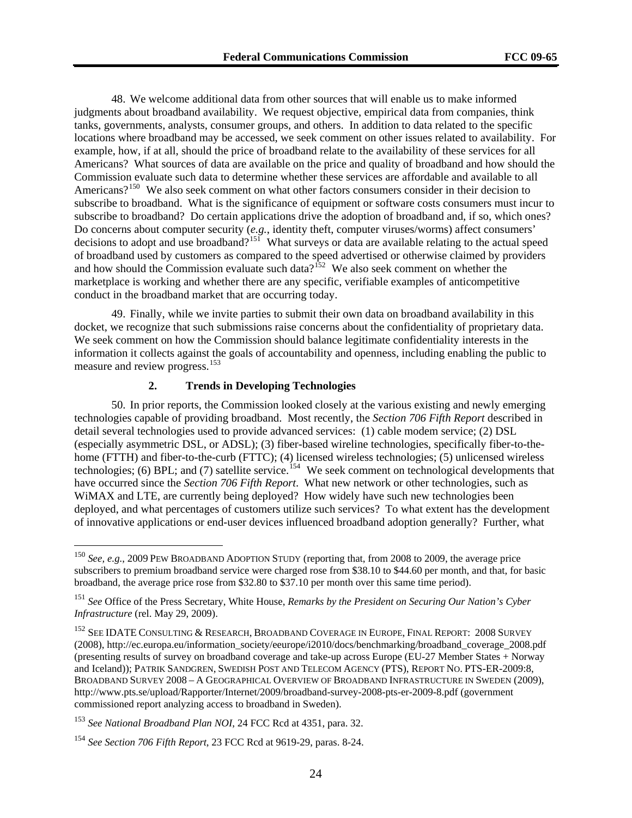48. We welcome additional data from other sources that will enable us to make informed judgments about broadband availability. We request objective, empirical data from companies, think tanks, governments, analysts, consumer groups, and others. In addition to data related to the specific locations where broadband may be accessed, we seek comment on other issues related to availability. For example, how, if at all, should the price of broadband relate to the availability of these services for all Americans? What sources of data are available on the price and quality of broadband and how should the Commission evaluate such data to determine whether these services are affordable and available to all Americans?<sup>[150](#page-23-0)</sup> We also seek comment on what other factors consumers consider in their decision to subscribe to broadband. What is the significance of equipment or software costs consumers must incur to subscribe to broadband? Do certain applications drive the adoption of broadband and, if so, which ones? Do concerns about computer security (*e.g.*, identity theft, computer viruses/worms) affect consumers' decisions to adopt and use broadband?<sup>[151](#page-23-1)</sup> What surveys or data are available relating to the actual speed of broadband used by customers as compared to the speed advertised or otherwise claimed by providers and how should the Commission evaluate such data?<sup>[152](#page-23-2)</sup> We also seek comment on whether the marketplace is working and whether there are any specific, verifiable examples of anticompetitive conduct in the broadband market that are occurring today.

49. Finally, while we invite parties to submit their own data on broadband availability in this docket, we recognize that such submissions raise concerns about the confidentiality of proprietary data. We seek comment on how the Commission should balance legitimate confidentiality interests in the information it collects against the goals of accountability and openness, including enabling the public to measure and review progress.<sup>[153](#page-23-3)</sup>

#### **2. Trends in Developing Technologies**

50. In prior reports, the Commission looked closely at the various existing and newly emerging technologies capable of providing broadband. Most recently, the *Section 706 Fifth Report* described in detail several technologies used to provide advanced services: (1) cable modem service; (2) DSL (especially asymmetric DSL, or ADSL); (3) fiber-based wireline technologies, specifically fiber-to-thehome (FTTH) and fiber-to-the-curb (FTTC); (4) licensed wireless technologies; (5) unlicensed wireless technologies; (6) BPL; and (7) satellite service.<sup>[154](#page-23-4)</sup> We seek comment on technological developments that have occurred since the *Section 706 Fifth Report*. What new network or other technologies, such as WiMAX and LTE, are currently being deployed? How widely have such new technologies been deployed, and what percentages of customers utilize such services? To what extent has the development of innovative applications or end-user devices influenced broadband adoption generally? Further, what

<span id="page-23-0"></span><sup>150</sup> *See, e.g.*, 2009 PEW BROADBAND ADOPTION STUDY (reporting that, from 2008 to 2009, the average price subscribers to premium broadband service were charged rose from \$38.10 to \$44.60 per month, and that, for basic broadband, the average price rose from \$32.80 to \$37.10 per month over this same time period).

<span id="page-23-1"></span><sup>151</sup> *See* Office of the Press Secretary, White House, *Remarks by the President on Securing Our Nation's Cyber Infrastructure* (rel. May 29, 2009).

<span id="page-23-2"></span><sup>&</sup>lt;sup>152</sup> SEE IDATE CONSULTING & RESEARCH, BROADBAND COVERAGE IN EUROPE, FINAL REPORT: 2008 SURVEY (2008), http://ec.europa.eu/information\_society/eeurope/i2010/docs/benchmarking/broadband\_coverage\_2008.pdf (presenting results of survey on broadband coverage and take-up across Europe (EU-27 Member States + Norway and Iceland)); PATRIK SANDGREN, SWEDISH POST AND TELECOM AGENCY (PTS), REPORT NO. PTS-ER-2009:8, BROADBAND SURVEY 2008 – A GEOGRAPHICAL OVERVIEW OF BROADBAND INFRASTRUCTURE IN SWEDEN (2009), http://www.pts.se/upload/Rapporter/Internet/2009/broadband-survey-2008-pts-er-2009-8.pdf (government commissioned report analyzing access to broadband in Sweden).

<span id="page-23-3"></span><sup>153</sup> *See National Broadband Plan NOI*, 24 FCC Rcd at 4351, para. 32.

<span id="page-23-4"></span><sup>154</sup> *See Section 706 Fifth Report*, 23 FCC Rcd at 9619-29, paras. 8-24.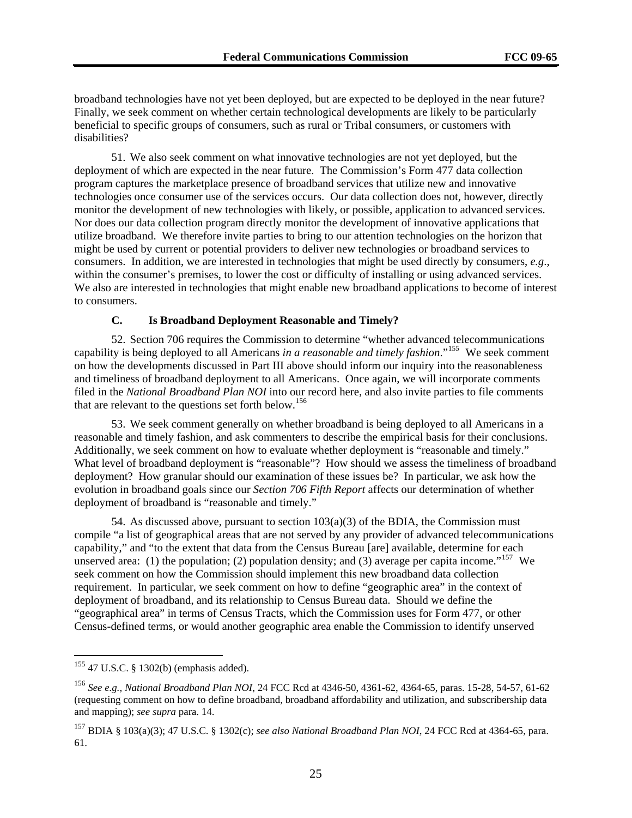broadband technologies have not yet been deployed, but are expected to be deployed in the near future? Finally, we seek comment on whether certain technological developments are likely to be particularly beneficial to specific groups of consumers, such as rural or Tribal consumers, or customers with disabilities?

51. We also seek comment on what innovative technologies are not yet deployed, but the deployment of which are expected in the near future. The Commission's Form 477 data collection program captures the marketplace presence of broadband services that utilize new and innovative technologies once consumer use of the services occurs. Our data collection does not, however, directly monitor the development of new technologies with likely, or possible, application to advanced services. Nor does our data collection program directly monitor the development of innovative applications that utilize broadband. We therefore invite parties to bring to our attention technologies on the horizon that might be used by current or potential providers to deliver new technologies or broadband services to consumers. In addition, we are interested in technologies that might be used directly by consumers, *e.g*., within the consumer's premises, to lower the cost or difficulty of installing or using advanced services. We also are interested in technologies that might enable new broadband applications to become of interest to consumers.

#### **C. Is Broadband Deployment Reasonable and Timely?**

52. Section 706 requires the Commission to determine "whether advanced telecommunications capability is being deployed to all Americans *in a reasonable and timely fashion*."[155](#page-24-0) We seek comment on how the developments discussed in Part III above should inform our inquiry into the reasonableness and timeliness of broadband deployment to all Americans. Once again, we will incorporate comments filed in the *National Broadband Plan NOI* into our record here, and also invite parties to file comments that are relevant to the questions set forth below.<sup>[156](#page-24-1)</sup>

53. We seek comment generally on whether broadband is being deployed to all Americans in a reasonable and timely fashion, and ask commenters to describe the empirical basis for their conclusions. Additionally, we seek comment on how to evaluate whether deployment is "reasonable and timely." What level of broadband deployment is "reasonable"? How should we assess the timeliness of broadband deployment? How granular should our examination of these issues be? In particular, we ask how the evolution in broadband goals since our *Section 706 Fifth Report* affects our determination of whether deployment of broadband is "reasonable and timely."

Census-defined terms, or would another geographic area enable the Commission to identify unserved 54. As discussed above, pursuant to section  $103(a)(3)$  of the BDIA, the Commission must compile "a list of geographical areas that are not served by any provider of advanced telecommunications capability," and "to the extent that data from the Census Bureau [are] available, determine for each unserved area: (1) the population; (2) population density; and (3) average per capita income."<sup>[157](#page-24-2)</sup> We seek comment on how the Commission should implement this new broadband data collection requirement. In particular, we seek comment on how to define "geographic area" in the context of deployment of broadband, and its relationship to Census Bureau data. Should we define the "geographical area" in terms of Census Tracts, which the Commission uses for Form 477, or other

<span id="page-24-0"></span><sup>155 47</sup> U.S.C. § 1302(b) (emphasis added).

<span id="page-24-1"></span><sup>156</sup> *See e.g., National Broadband Plan NOI*, 24 FCC Rcd at 4346-50, 4361-62, 4364-65, paras. 15-28, 54-57, 61-62 (requesting comment on how to define broadband, broadband affordability and utilization, and subscribership data and mapping); *see supra* para. 14.

<span id="page-24-2"></span><sup>157</sup> BDIA § 103(a)(3); 47 U.S.C. § 1302(c); *see also National Broadband Plan NOI*, 24 FCC Rcd at 4364-65, para. 61.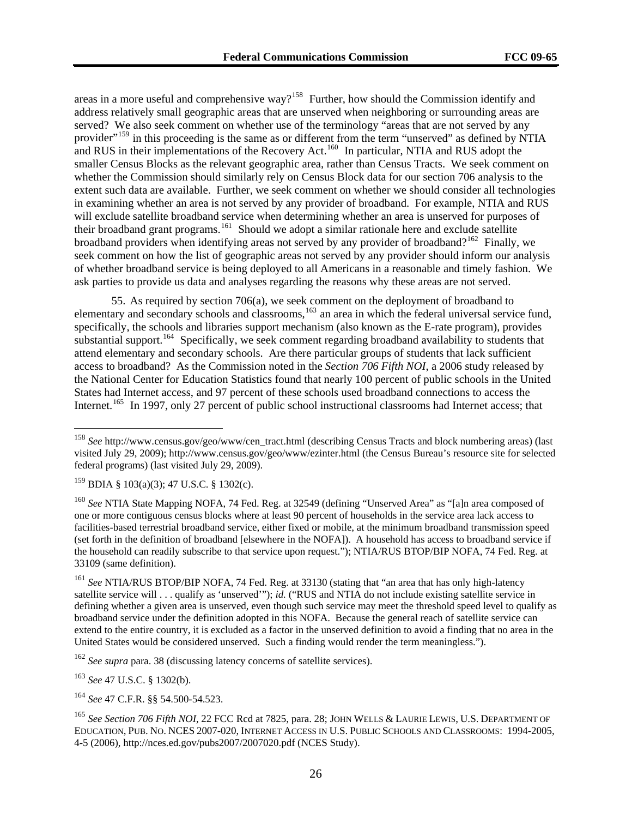areas in a more useful and comprehensive way?<sup>158</sup> Further, how should the Commission identify and served? We also seek comment on whether use of the terminology "areas that are not served by any extent such data are available. Further, we seek comment on whether we should consider all technologies in examining whether an area is not served by any provider of broadband. For example, NTIA and RUS address relatively small geographic areas that are unserved when neighboring or surrounding areas are provider"<sup>159</sup> in this proceeding is the same as or different from the term "unserved" as defined by NTIA and RUS in their implementations of the Recovery Act.<sup>160</sup> In particular, NTIA and RUS adopt the smaller Census Blocks as the relevant geographic area, rather than Census Tracts. We seek comment on whether the Commission should similarly rely on Census Block data for our section 706 analysis to the will exclude satellite broadband service when determining whether an area is unserved for purposes of their broadband grant programs.161 Should we adopt a similar rationale here and exclude satellite broadband providers when identifying areas not served by any provider of broadband?<sup>162</sup> Finally, we seek comment on how the list of geographic areas not served by any provider should inform our analysis of whether broadband service is being deployed to all Americans in a reasonable and timely fashion. We ask parties to provide us data and analyses regarding the reasons why these areas are not served.

55. As required by section 706(a), we seek comment on the deployment of broadband to elementary and secondary schools and classrooms,<sup>[163](#page-25-0)</sup> an area in which the federal universal service fund, specifically, the schools and libraries support mechanism (also known as the E-rate program), provides substantial support.<sup>[164](#page-25-1)</sup> Specifically, we seek comment regarding broadband availability to students that attend elementary and secondary schools. Are there particular groups of students that lack sufficient access to broadband? As the Commission noted in the *Section 706 Fifth NOI*, a 2006 study released by the National Center for Education Statistics found that nearly 100 percent of public schools in the United States had Internet access, and 97 percent of these schools used broadband connections to access the Internet.<sup>[165](#page-25-2)</sup> In 1997, only 27 percent of public school instructional classrooms had Internet access; that

 $^{159}$  BDIA § 103(a)(3); 47 U.S.C. § 1302(c).

 $\overline{a}$ 

<sup>160</sup> *See* NTIA State Mapping NOFA, 74 Fed. Reg. at 32549 (defining "Unserved Area" as "[a]n area composed of one or more contiguous census blocks where at least 90 percent of households in the service area lack access to facilities-based terrestrial broadband service, either fixed or mobile, at the minimum broadband transmission speed (set forth in the definition of broadband [elsewhere in the NOFA]). A household has access to broadband service if the household can readily subscribe to that service upon request."); NTIA/RUS BTOP/BIP NOFA, 74 Fed. Reg. at 33109 (same definition).

<sup>161</sup> *See* NTIA/RUS BTOP/BIP NOFA, 74 Fed. Reg. at 33130 (stating that "an area that has only high-latency satellite service will . . . qualify as 'unserved'"); *id.* ("RUS and NTIA do not include existing satellite service in defining whether a given area is unserved, even though such service may meet the threshold speed level to qualify as broadband service under the definition adopted in this NOFA. Because the general reach of satellite service can extend to the entire country, it is excluded as a factor in the unserved definition to avoid a finding that no area in the United States would be considered unserved. Such a finding would render the term meaningless.").

<sup>162</sup> *See supra* para. 38 (discussing latency concerns of satellite services).

<span id="page-25-0"></span><sup>163</sup> *See* 47 U.S.C. § 1302(b).

<span id="page-25-1"></span><sup>164</sup> *See* 47 C.F.R. §§ 54.500-54.523.

<sup>&</sup>lt;sup>158</sup> *See* http://www.census.gov/geo/www/cen\_tract.html (describing Census Tracts and block numbering areas) (last visited July 29, 2009); http://www.census.gov/geo/www/ezinter.html (the Census Bureau's resource site for selected federal programs) (last visited July 29, 2009).

<span id="page-25-2"></span><sup>165</sup> *See Section 706 Fifth NOI*, 22 FCC Rcd at 7825, para. 28; JOHN WELLS & LAURIE LEWIS, U.S. DEPARTMENT OF EDUCATION, PUB. NO. NCES 2007-020, INTERNET ACCESS IN U.S. PUBLIC SCHOOLS AND CLASSROOMS: 1994-2005, 4-5 (2006), http://nces.ed.gov/pubs2007/2007020.pdf (NCES Study).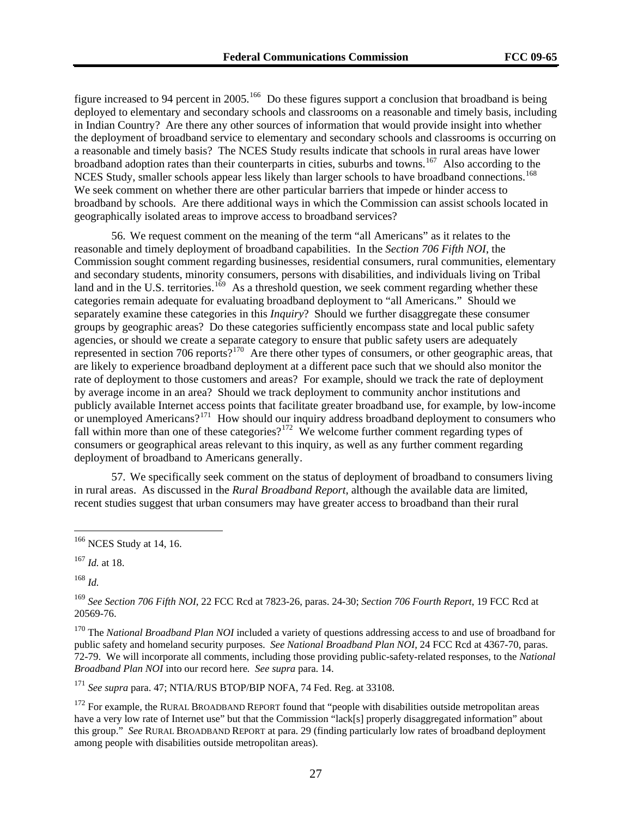figure increased to 94 percent in 2005.<sup>166</sup> Do these figures support a conclusion that broadband is being deployed to elementary and secondary schools and classrooms on a reasonable and timely basis, including in Indian Country? Are there any other sources of information that would provide insight into whether the deployment of broadband service to elementary and secondary schools and classrooms is occurring on a reasonable and timely basis? The NCES Study results indicate that schools in rural areas have lower broadband adoption rates than their counterparts in cities, suburbs and towns.<sup>167</sup> Also according to the NCES Study, smaller schools appear less likely than larger schools to have broadband connections.<sup>168</sup> We seek comment on whether there are other particular barriers that impede or hinder access to broadband by schools. Are there additional ways in which the Commission can assist schools located in geographically isolated areas to improve access to broadband services?

56. We request comment on the meaning of the term "all Americans" as it relates to the reasonable and timely deployment of broadband capabilities. In the *Section 706 Fifth NOI*, the Commission sought comment regarding businesses, residential consumers, rural communities, elementary and secondary students, minority consumers, persons with disabilities, and individuals living on Tribal land and in the U.S. territories.<sup>[169](#page-26-0)</sup> As a threshold question, we seek comment regarding whether these categories remain adequate for evaluating broadband deployment to "all Americans." Should we separately examine these categories in this *Inquiry*? Should we further disaggregate these consumer groups by geographic areas? Do these categories sufficiently encompass state and local public safety agencies, or should we create a separate category to ensure that public safety users are adequately represented in section 706 reports?<sup>[170](#page-26-1)</sup> Are there other types of consumers, or other geographic areas, that are likely to experience broadband deployment at a different pace such that we should also monitor the rate of deployment to those customers and areas? For example, should we track the rate of deployment by average income in an area? Should we track deployment to community anchor institutions and publicly available Internet access points that facilitate greater broadband use, for example, by low-income or unemployed Americans?<sup>[171](#page-26-2)</sup> How should our inquiry address broadband deployment to consumers who fall within more than one of these categories?<sup>[172](#page-26-3)</sup> We welcome further comment regarding types of consumers or geographical areas relevant to this inquiry, as well as any further comment regarding deployment of broadband to Americans generally.

57. We specifically seek comment on the status of deployment of broadband to consumers living in rural areas. As discussed in the *Rural Broadband Report*, although the available data are limited, recent studies suggest that urban consumers may have greater access to broadband than their rural

<sup>168</sup> *Id.*

 $\overline{a}$ 

<span id="page-26-0"></span><sup>169</sup> *See Section 706 Fifth NOI*, 22 FCC Rcd at 7823-26, paras. 24-30; *Section 706 Fourth Report*, 19 FCC Rcd at 20569-76.

<span id="page-26-1"></span>170 The *National Broadband Plan NOI* included a variety of questions addressing access to and use of broadband for public safety and homeland security purposes. *See National Broadband Plan NOI*, 24 FCC Rcd at 4367-70, paras. 72-79. We will incorporate all comments, including those providing public-safety-related responses, to the *National Broadband Plan NOI* into our record here*. See supra* para. 14.

<span id="page-26-2"></span><sup>171</sup> *See supra* para. 47; NTIA/RUS BTOP/BIP NOFA, 74 Fed. Reg. at 33108.

<span id="page-26-3"></span> $172$  For example, the RURAL BROADBAND REPORT found that "people with disabilities outside metropolitan areas have a very low rate of Internet use" but that the Commission "lack[s] properly disaggregated information" about this group." *See* RURAL BROADBAND REPORT at para. 29 (finding particularly low rates of broadband deployment among people with disabilities outside metropolitan areas).

<sup>166</sup> NCES Study at 14, 16.

<sup>167</sup> *Id.* at 18.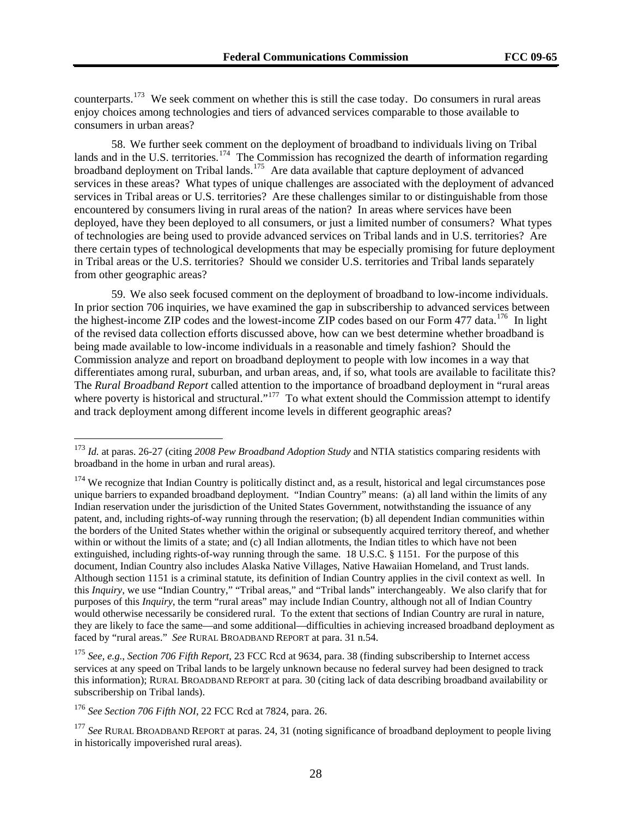counterparts.173 We seek comment on whether this is still the case today. Do consumers in rural areas enjoy choices among technologies and tiers of advanced services comparable to those available to consumers in urban areas?

58. We further seek comment on the deployment of broadband to individuals living on Tribal lands and in the U.S. territories.<sup>[174](#page-27-0)</sup> The Commission has recognized the dearth of information regarding broadband deployment on Tribal lands.<sup>[175](#page-27-1)</sup> Are data available that capture deployment of advanced services in these areas? What types of unique challenges are associated with the deployment of advanced services in Tribal areas or U.S. territories? Are these challenges similar to or distinguishable from those encountered by consumers living in rural areas of the nation? In areas where services have been deployed, have they been deployed to all consumers, or just a limited number of consumers? What types of technologies are being used to provide advanced services on Tribal lands and in U.S. territories? Are there certain types of technological developments that may be especially promising for future deployment in Tribal areas or the U.S. territories? Should we consider U.S. territories and Tribal lands separately from other geographic areas?

59. We also seek focused comment on the deployment of broadband to low-income individuals. In prior section 706 inquiries, we have examined the gap in subscribership to advanced services between the highest-income ZIP codes and the lowest-income ZIP codes based on our Form 477 data.<sup>[176](#page-27-2)</sup> In light of the revised data collection efforts discussed above, how can we best determine whether broadband is being made available to low-income individuals in a reasonable and timely fashion? Should the Commission analyze and report on broadband deployment to people with low incomes in a way that differentiates among rural, suburban, and urban areas, and, if so, what tools are available to facilitate this? The *Rural Broadband Report* called attention to the importance of broadband deployment in "rural areas where poverty is historical and structural."<sup>[177](#page-27-3)</sup> To what extent should the Commission attempt to identify and track deployment among different income levels in different geographic areas?

<sup>173</sup> *Id.* at paras. 26-27 (citing *2008 Pew Broadband Adoption Study* and NTIA statistics comparing residents with broadband in the home in urban and rural areas).

<span id="page-27-0"></span> $174$  We recognize that Indian Country is politically distinct and, as a result, historical and legal circumstances pose unique barriers to expanded broadband deployment. "Indian Country" means: (a) all land within the limits of any Indian reservation under the jurisdiction of the United States Government, notwithstanding the issuance of any patent, and, including rights-of-way running through the reservation; (b) all dependent Indian communities within the borders of the United States whether within the original or subsequently acquired territory thereof, and whether within or without the limits of a state; and (c) all Indian allotments, the Indian titles to which have not been extinguished, including rights-of-way running through the same. 18 U.S.C. § 1151. For the purpose of this document, Indian Country also includes Alaska Native Villages, Native Hawaiian Homeland, and Trust lands. Although section 1151 is a criminal statute, its definition of Indian Country applies in the civil context as well. In this *Inquiry*, we use "Indian Country," "Tribal areas," and "Tribal lands" interchangeably. We also clarify that for purposes of this *Inquiry*, the term "rural areas" may include Indian Country, although not all of Indian Country would otherwise necessarily be considered rural. To the extent that sections of Indian Country are rural in nature, they are likely to face the same—and some additional—difficulties in achieving increased broadband deployment as faced by "rural areas." *See* RURAL BROADBAND REPORT at para. 31 n.54.

<span id="page-27-1"></span><sup>175</sup> *See, e.g.*, *Section 706 Fifth Report*, 23 FCC Rcd at 9634, para. 38 (finding subscribership to Internet access services at any speed on Tribal lands to be largely unknown because no federal survey had been designed to track this information); RURAL BROADBAND REPORT at para. 30 (citing lack of data describing broadband availability or subscribership on Tribal lands).

<span id="page-27-2"></span><sup>176</sup> *See Section 706 Fifth NOI*, 22 FCC Rcd at 7824, para. 26.

<span id="page-27-3"></span><sup>&</sup>lt;sup>177</sup> See RURAL BROADBAND REPORT at paras. 24, 31 (noting significance of broadband deployment to people living in historically impoverished rural areas).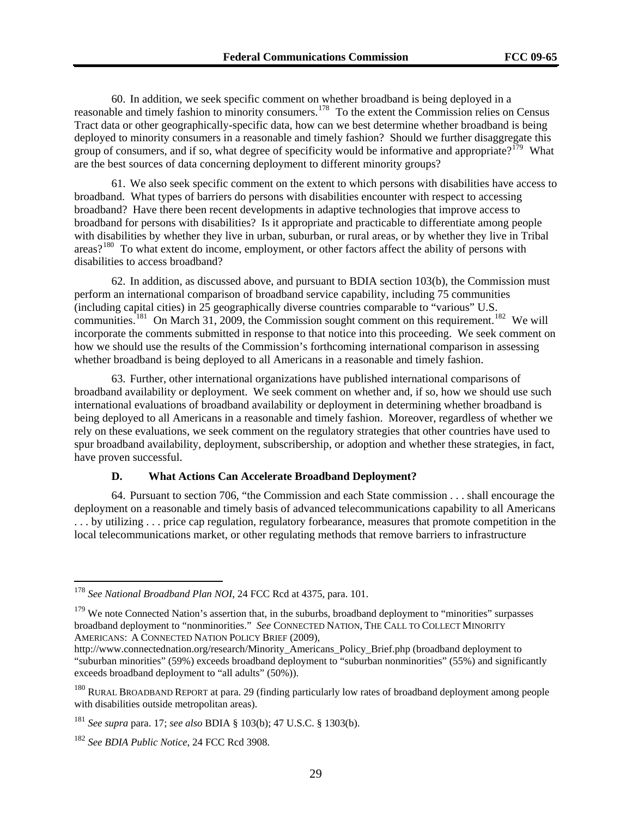60. In addition, we seek specific comment on whether broadband is being deployed in a reasonable and timely fashion to minority consumers.<sup>[178](#page-28-0)</sup> To the extent the Commission relies on Census Tract data or other geographically-specific data, how can we best determine whether broadband is being deployed to minority consumers in a reasonable and timely fashion? Should we further disaggregate this group of consumers, and if so, what degree of specificity would be informative and appropriate?<sup>[179](#page-28-1)</sup> What are the best sources of data concerning deployment to different minority groups?

61. We also seek specific comment on the extent to which persons with disabilities have access to broadband. What types of barriers do persons with disabilities encounter with respect to accessing broadband? Have there been recent developments in adaptive technologies that improve access to broadband for persons with disabilities? Is it appropriate and practicable to differentiate among people with disabilities by whether they live in urban, suburban, or rural areas, or by whether they live in Tribal areas?[180](#page-28-2) To what extent do income, employment, or other factors affect the ability of persons with disabilities to access broadband?

62. In addition, as discussed above, and pursuant to BDIA section 103(b), the Commission must perform an international comparison of broadband service capability, including 75 communities (including capital cities) in 25 geographically diverse countries comparable to "various" U.S. communities.<sup>[181](#page-28-3)</sup> On March 31, 2009, the Commission sought comment on this requirement.<sup>[182](#page-28-4)</sup> We will incorporate the comments submitted in response to that notice into this proceeding. We seek comment on how we should use the results of the Commission's forthcoming international comparison in assessing whether broadband is being deployed to all Americans in a reasonable and timely fashion.

63. Further, other international organizations have published international comparisons of broadband availability or deployment. We seek comment on whether and, if so, how we should use such international evaluations of broadband availability or deployment in determining whether broadband is being deployed to all Americans in a reasonable and timely fashion. Moreover, regardless of whether we rely on these evaluations, we seek comment on the regulatory strategies that other countries have used to spur broadband availability, deployment, subscribership, or adoption and whether these strategies, in fact, have proven successful.

#### **D. What Actions Can Accelerate Broadband Deployment?**

64. Pursuant to section 706, "the Commission and each State commission . . . shall encourage the deployment on a reasonable and timely basis of advanced telecommunications capability to all Americans . . . by utilizing . . . price cap regulation, regulatory forbearance, measures that promote competition in the local telecommunications market, or other regulating methods that remove barriers to infrastructure

<span id="page-28-0"></span><sup>178</sup> *See National Broadband Plan NOI*, 24 FCC Rcd at 4375, para. 101.

<span id="page-28-1"></span> $179$  We note Connected Nation's assertion that, in the suburbs, broadband deployment to "minorities" surpasses broadband deployment to "nonminorities." *See* CONNECTED NATION, THE CALL TO COLLECT MINORITY AMERICANS: A CONNECTED NATION POLICY BRIEF (2009),

http://www.connectednation.org/research/Minority\_Americans\_Policy\_Brief.php (broadband deployment to "suburban minorities" (59%) exceeds broadband deployment to "suburban nonminorities" (55%) and significantly exceeds broadband deployment to "all adults" (50%)).

<span id="page-28-2"></span><sup>&</sup>lt;sup>180</sup> RURAL BROADBAND REPORT at para. 29 (finding particularly low rates of broadband deployment among people with disabilities outside metropolitan areas).

<span id="page-28-3"></span><sup>181</sup> *See supra* para. 17; *see also* BDIA § 103(b); 47 U.S.C. § 1303(b).

<span id="page-28-4"></span><sup>182</sup> *See BDIA Public Notice*, 24 FCC Rcd 3908.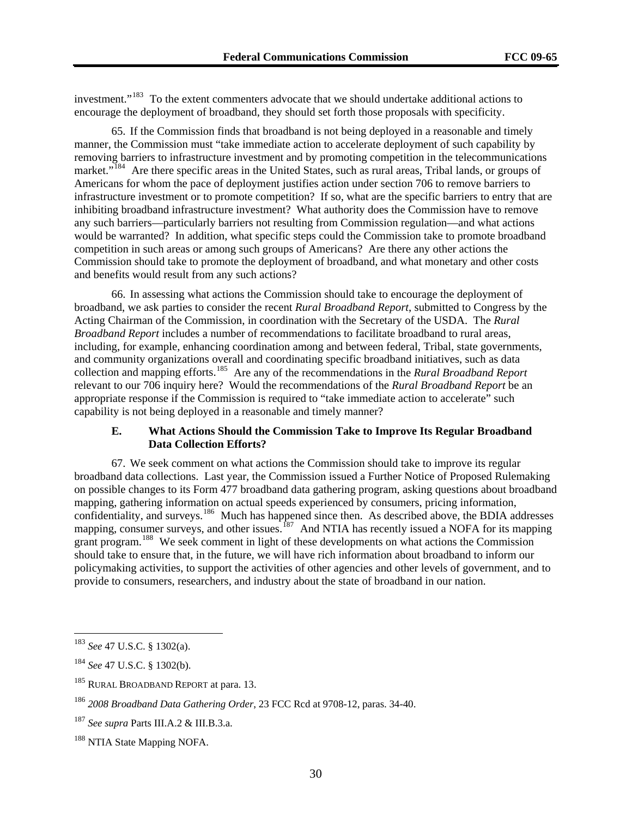investment."<sup>183</sup> To the extent commenters advocate that we should undertake additional actions to encourage the deployment of broadband, they should set forth those proposals with specificity.

65. If the Commission finds that broadband is not being deployed in a reasonable and timely manner, the Commission must "take immediate action to accelerate deployment of such capability by removing barriers to infrastructure investment and by promoting competition in the telecommunications market."<sup>[184](#page-29-0)</sup> Are there specific areas in the United States, such as rural areas, Tribal lands, or groups of Americans for whom the pace of deployment justifies action under section 706 to remove barriers to infrastructure investment or to promote competition? If so, what are the specific barriers to entry that are inhibiting broadband infrastructure investment? What authority does the Commission have to remove any such barriers—particularly barriers not resulting from Commission regulation—and what actions would be warranted? In addition, what specific steps could the Commission take to promote broadband competition in such areas or among such groups of Americans? Are there any other actions the Commission should take to promote the deployment of broadband, and what monetary and other costs and benefits would result from any such actions?

66. In assessing what actions the Commission should take to encourage the deployment of broadband, we ask parties to consider the recent *Rural Broadband Report*, submitted to Congress by the Acting Chairman of the Commission, in coordination with the Secretary of the USDA. The *Rural Broadband Report* includes a number of recommendations to facilitate broadband to rural areas, including, for example, enhancing coordination among and between federal, Tribal, state governments, and community organizations overall and coordinating specific broadband initiatives, such as data collection and mapping efforts.[185](#page-29-1) Are any of the recommendations in the *Rural Broadband Report* relevant to our 706 inquiry here? Would the recommendations of the *Rural Broadband Report* be an appropriate response if the Commission is required to "take immediate action to accelerate" such capability is not being deployed in a reasonable and timely manner?

#### **E. What Actions Should the Commission Take to Improve Its Regular Broadband Data Collection Efforts?**

67. We seek comment on what actions the Commission should take to improve its regular broadband data collections. Last year, the Commission issued a Further Notice of Proposed Rulemaking on possible changes to its Form 477 broadband data gathering program, asking questions about broadband mapping, gathering information on actual speeds experienced by consumers, pricing information, confidentiality, and surveys.<sup>[186](#page-29-2)</sup> Much has happened since then. As described above, the BDIA addresses mapping, consumer surveys, and other issues.<sup>[187](#page-29-3)</sup> And NTIA has recently issued a NOFA for its mapping grant program.<sup>[188](#page-29-4)</sup> We seek comment in light of these developments on what actions the Commission should take to ensure that, in the future, we will have rich information about broadband to inform our policymaking activities, to support the activities of other agencies and other levels of government, and to provide to consumers, researchers, and industry about the state of broadband in our nation.

<sup>183</sup> *See* 47 U.S.C. § 1302(a).

<span id="page-29-0"></span><sup>184</sup> *See* 47 U.S.C. § 1302(b).

<span id="page-29-1"></span><sup>&</sup>lt;sup>185</sup> RURAL BROADBAND REPORT at para. 13.

<span id="page-29-2"></span><sup>186</sup> *2008 Broadband Data Gathering Order*, 23 FCC Rcd at 9708-12, paras. 34-40.

<span id="page-29-3"></span><sup>187</sup> *See supra* Parts III.A.2 & III.B.3.a.

<span id="page-29-4"></span><sup>&</sup>lt;sup>188</sup> NTIA State Mapping NOFA.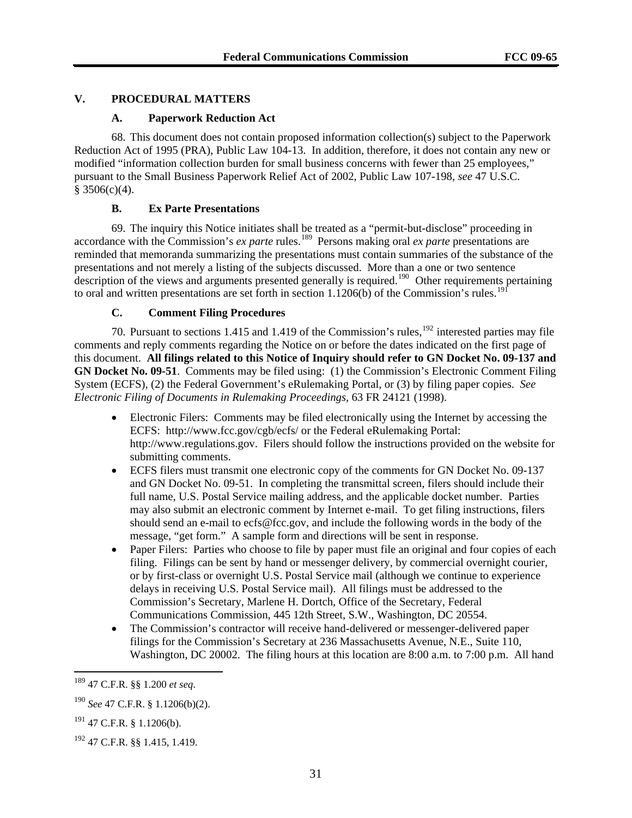#### **V. PROCEDURAL MATTERS**

#### **A. Paperwork Reduction Act**

68. This document does not contain proposed information collection(s) subject to the Paperwork Reduction Act of 1995 (PRA), Public Law 104-13. In addition, therefore, it does not contain any new or modified "information collection burden for small business concerns with fewer than 25 employees," pursuant to the Small Business Paperwork Relief Act of 2002, Public Law 107-198, *see* 47 U.S.C.  $§$  3506(c)(4).

#### **B. Ex Parte Presentations**

69. The inquiry this Notice initiates shall be treated as a "permit-but-disclose" proceeding in accordance with the Commission's *ex parte* rules.<sup>[189](#page-30-0)</sup> Persons making oral *ex parte* presentations are reminded that memoranda summarizing the presentations must contain summaries of the substance of the presentations and not merely a listing of the subjects discussed. More than a one or two sentence description of the views and arguments presented generally is required.<sup>[190](#page-30-1)</sup> Other requirements pertaining to oral and written presentations are set forth in section  $1.1206(b)$  of the Commission's rules.<sup>[191](#page-30-2)</sup>

#### **C. Comment Filing Procedures**

70. Pursuant to sections 1.415 and 1.419 of the Commission's rules,<sup>[192](#page-30-3)</sup> interested parties may file comments and reply comments regarding the Notice on or before the dates indicated on the first page of this document. **All filings related to this Notice of Inquiry should refer to GN Docket No. 09-137 and GN Docket No. 09-51**. Comments may be filed using: (1) the Commission's Electronic Comment Filing System (ECFS), (2) the Federal Government's eRulemaking Portal, or (3) by filing paper copies. *See Electronic Filing of Documents in Rulemaking Proceedings*, 63 FR 24121 (1998).

- Electronic Filers: Comments may be filed electronically using the Internet by accessing the ECFS: http://www.fcc.gov/cgb/ecfs/ or the Federal eRulemaking Portal: http://www.regulations.gov. Filers should follow the instructions provided on the website for submitting comments.
- ECFS filers must transmit one electronic copy of the comments for GN Docket No. 09-137 and GN Docket No. 09-51. In completing the transmittal screen, filers should include their full name, U.S. Postal Service mailing address, and the applicable docket number. Parties may also submit an electronic comment by Internet e-mail. To get filing instructions, filers should send an e-mail to ecfs@fcc.gov, and include the following words in the body of the message, "get form." A sample form and directions will be sent in response.
- Paper Filers: Parties who choose to file by paper must file an original and four copies of each filing. Filings can be sent by hand or messenger delivery, by commercial overnight courier, or by first-class or overnight U.S. Postal Service mail (although we continue to experience delays in receiving U.S. Postal Service mail). All filings must be addressed to the Commission's Secretary, Marlene H. Dortch, Office of the Secretary, Federal Communications Commission, 445 12th Street, S.W., Washington, DC 20554.
- The Commission's contractor will receive hand-delivered or messenger-delivered paper filings for the Commission's Secretary at 236 Massachusetts Avenue, N.E., Suite 110, Washington, DC 20002. The filing hours at this location are 8:00 a.m. to 7:00 p.m. All hand

<span id="page-30-0"></span><sup>189 47</sup> C.F.R. §§ 1.200 *et seq*.

<span id="page-30-1"></span><sup>190</sup> *See* 47 C.F.R. § 1.1206(b)(2).

<span id="page-30-2"></span><sup>191 47</sup> C.F.R. § 1.1206(b).

<span id="page-30-3"></span><sup>192 47</sup> C.F.R. §§ 1.415, 1.419.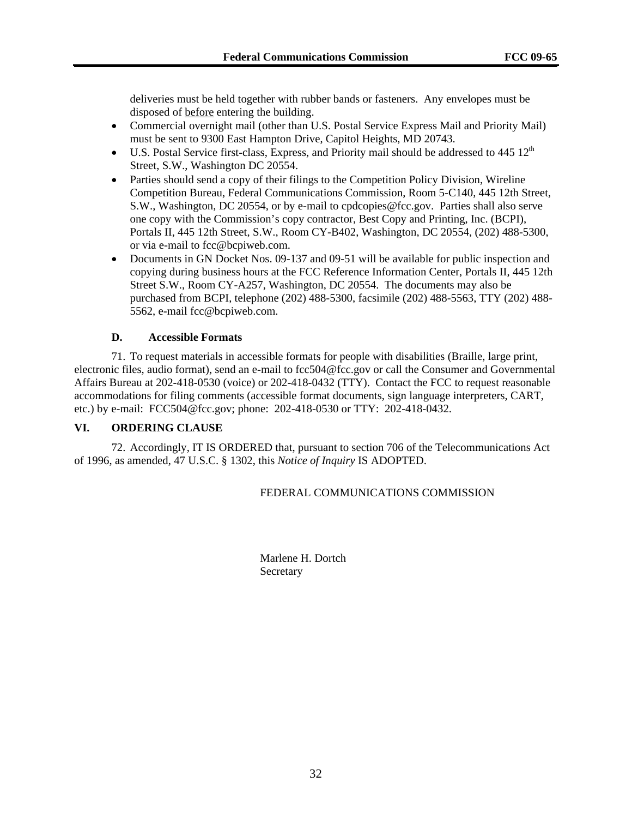deliveries must be held together with rubber bands or fasteners. Any envelopes must be disposed of before entering the building.

- Commercial overnight mail (other than U.S. Postal Service Express Mail and Priority Mail) must be sent to 9300 East Hampton Drive, Capitol Heights, MD 20743.
- U.S. Postal Service first-class, Express, and Priority mail should be addressed to  $445 \times 12^{th}$ Street, S.W., Washington DC 20554.
- Parties should send a copy of their filings to the Competition Policy Division, Wireline Competition Bureau, Federal Communications Commission, Room 5-C140, 445 12th Street, S.W., Washington, DC 20554, or by e-mail to cpdcopies@fcc.gov. Parties shall also serve one copy with the Commission's copy contractor, Best Copy and Printing, Inc. (BCPI), Portals II, 445 12th Street, S.W., Room CY-B402, Washington, DC 20554, (202) 488-5300, or via e-mail to fcc@bcpiweb.com.
- Documents in GN Docket Nos. 09-137 and 09-51 will be available for public inspection and copying during business hours at the FCC Reference Information Center, Portals II, 445 12th Street S.W., Room CY-A257, Washington, DC 20554. The documents may also be purchased from BCPI, telephone (202) 488-5300, facsimile (202) 488-5563, TTY (202) 488- 5562, e-mail fcc@bcpiweb.com.

#### **D. Accessible Formats**

71. To request materials in accessible formats for people with disabilities (Braille, large print, electronic files, audio format), send an e-mail to fcc504@fcc.gov or call the Consumer and Governmental Affairs Bureau at 202-418-0530 (voice) or 202-418-0432 (TTY). Contact the FCC to request reasonable accommodations for filing comments (accessible format documents, sign language interpreters, CART, etc.) by e-mail: FCC504@fcc.gov; phone: 202-418-0530 or TTY: 202-418-0432.

#### **VI. ORDERING CLAUSE**

72. Accordingly, IT IS ORDERED that, pursuant to section 706 of the Telecommunications Act of 1996, as amended, 47 U.S.C. § 1302, this *Notice of Inquiry* IS ADOPTED.

#### FEDERAL COMMUNICATIONS COMMISSION

 Marlene H. Dortch Secretary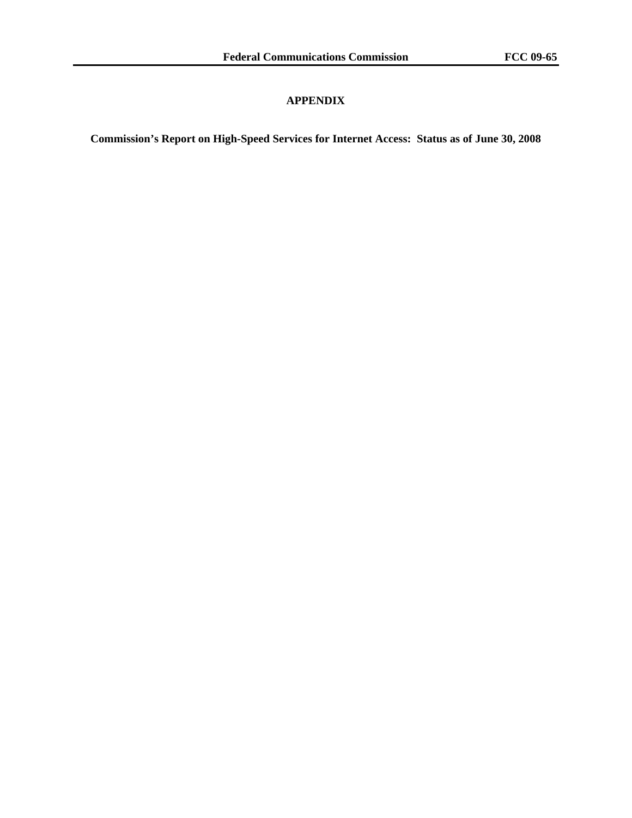#### **APPENDIX**

**Commission's Report on High-Speed Services for Internet Access: Status as of June 30, 2008**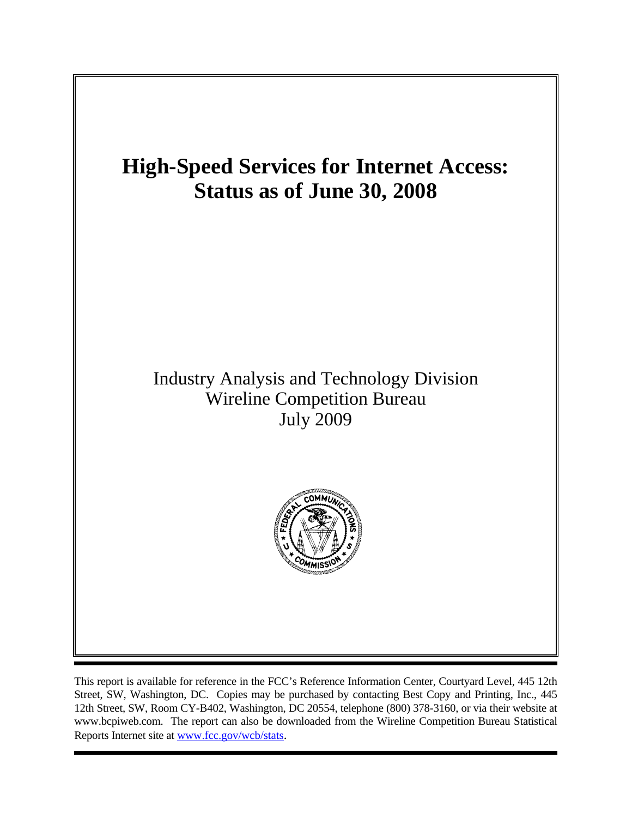

This report is available for reference in the FCC's Reference Information Center, Courtyard Level, 445 12th Street, SW, Washington, DC. Copies may be purchased by contacting Best Copy and Printing, Inc., 445 12th Street, SW, Room CY-B402, Washington, DC 20554, telephone (800) 378-3160, or via their website at www.bcpiweb.com. The report can also be downloaded from the Wireline Competition Bureau Statistical Reports Internet site at www.fcc.gov/wcb/stats.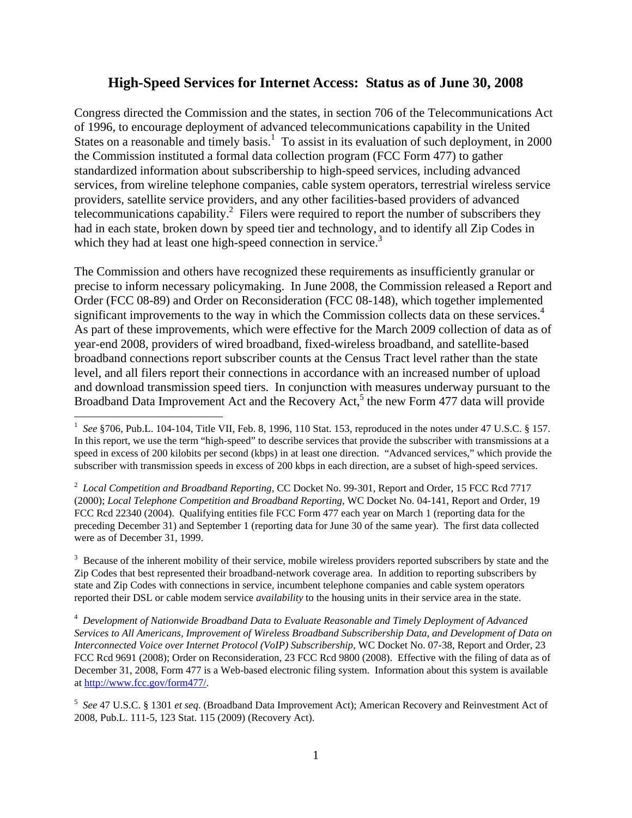#### **High-Speed Services for Internet Access: Status as of June 30, 2008**

Congress directed the Commission and the states, in section 706 of the Telecommunications Act of 1996, to encourage deployment of advanced telecommunications capability in the United States on a reasonable and timely basis.<sup>1</sup> To assist in its evaluation of such deployment, in 2000 the Commission instituted a formal data collection program (FCC Form 477) to gather standardized information about subscribership to high-speed services, including advanced services, from wireline telephone companies, cable system operators, terrestrial wireless service providers, satellite service providers, and any other facilities-based providers of advanced telecommunications capability.<sup>2</sup> Filers were required to report the number of subscribers they had in each state, broken down by speed tier and technology, and to identify all Zip Codes in which they had at least one high-speed connection in service.<sup>3</sup>

The Commission and others have recognized these requirements as insufficiently granular or precise to inform necessary policymaking. In June 2008, the Commission released a Report and Order (FCC 08-89) and Order on Reconsideration (FCC 08-148), which together implemented significant improvements to the way in which the Commission collects data on these services.<sup>4</sup> As part of these improvements, which were effective for the March 2009 collection of data as of year-end 2008, providers of wired broadband, fixed-wireless broadband, and satellite-based broadband connections report subscriber counts at the Census Tract level rather than the state level, and all filers report their connections in accordance with an increased number of upload and download transmission speed tiers. In conjunction with measures underway pursuant to the Broadband Data Improvement Act and the Recovery Act,<sup>5</sup> the new Form 477 data will provide

l

 $3$  Because of the inherent mobility of their service, mobile wireless providers reported subscribers by state and the Zip Codes that best represented their broadband-network coverage area. In addition to reporting subscribers by state and Zip Codes with connections in service, incumbent telephone companies and cable system operators reported their DSL or cable modem service *availability* to the housing units in their service area in the state.

4 *Development of Nationwide Broadband Data to Evaluate Reasonable and Timely Deployment of Advanced Services to All Americans, Improvement of Wireless Broadband Subscribership Data, and Development of Data on Interconnected Voice over Internet Protocol (VoIP) Subscribership*, WC Docket No. 07-38, Report and Order, 23 FCC Rcd 9691 (2008); Order on Reconsideration, 23 FCC Rcd 9800 (2008). Effective with the filing of data as of December 31, 2008, Form 477 is a Web-based electronic filing system. Information about this system is available at http://www.fcc.gov/form477/.

<sup>&</sup>lt;sup>1</sup> See §706, Pub.L. 104-104, Title VII, Feb. 8, 1996, 110 Stat. 153, reproduced in the notes under 47 U.S.C. § 157. In this report, we use the term "high-speed" to describe services that provide the subscriber with transmissions at a speed in excess of 200 kilobits per second (kbps) in at least one direction. "Advanced services," which provide the subscriber with transmission speeds in excess of 200 kbps in each direction, are a subset of high-speed services.

<sup>2</sup> *Local Competition and Broadband Reporting*, CC Docket No. 99-301, Report and Order, 15 FCC Rcd 7717 (2000); *Local Telephone Competition and Broadband Reporting,* WC Docket No. 04-141, Report and Order, 19 FCC Rcd 22340 (2004). Qualifying entities file FCC Form 477 each year on March 1 (reporting data for the preceding December 31) and September 1 (reporting data for June 30 of the same year). The first data collected were as of December 31, 1999.

<sup>5</sup> *See* 47 U.S.C. § 1301 *et seq*. (Broadband Data Improvement Act); American Recovery and Reinvestment Act of 2008, Pub.L. 111-5, 123 Stat. 115 (2009) (Recovery Act).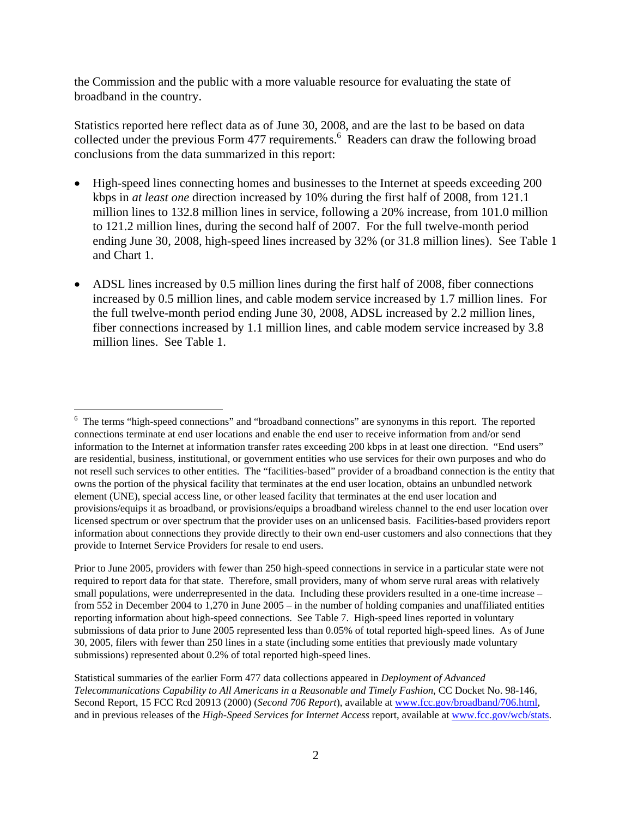the Commission and the public with a more valuable resource for evaluating the state of broadband in the country.

Statistics reported here reflect data as of June 30, 2008, and are the last to be based on data collected under the previous Form 477 requirements.<sup>6</sup> Readers can draw the following broad conclusions from the data summarized in this report:

- High-speed lines connecting homes and businesses to the Internet at speeds exceeding 200 kbps in *at least one* direction increased by 10% during the first half of 2008, from 121.1 million lines to 132.8 million lines in service, following a 20% increase, from 101.0 million to 121.2 million lines, during the second half of 2007. For the full twelve-month period ending June 30, 2008, high-speed lines increased by 32% (or 31.8 million lines). See Table 1 and Chart 1.
- ADSL lines increased by 0.5 million lines during the first half of 2008, fiber connections increased by 0.5 million lines, and cable modem service increased by 1.7 million lines. For the full twelve-month period ending June 30, 2008, ADSL increased by 2.2 million lines, fiber connections increased by 1.1 million lines, and cable modem service increased by 3.8 million lines. See Table 1.

l

<sup>&</sup>lt;sup>6</sup> The terms "high-speed connections" and "broadband connections" are synonyms in this report. The reported connections terminate at end user locations and enable the end user to receive information from and/or send information to the Internet at information transfer rates exceeding 200 kbps in at least one direction. "End users" are residential, business, institutional, or government entities who use services for their own purposes and who do not resell such services to other entities. The "facilities-based" provider of a broadband connection is the entity that owns the portion of the physical facility that terminates at the end user location, obtains an unbundled network element (UNE), special access line, or other leased facility that terminates at the end user location and provisions/equips it as broadband, or provisions/equips a broadband wireless channel to the end user location over licensed spectrum or over spectrum that the provider uses on an unlicensed basis. Facilities-based providers report information about connections they provide directly to their own end-user customers and also connections that they provide to Internet Service Providers for resale to end users.

Prior to June 2005, providers with fewer than 250 high-speed connections in service in a particular state were not required to report data for that state. Therefore, small providers, many of whom serve rural areas with relatively small populations, were underrepresented in the data. Including these providers resulted in a one-time increase – from 552 in December 2004 to 1,270 in June 2005 – in the number of holding companies and unaffiliated entities reporting information about high-speed connections. See Table 7. High-speed lines reported in voluntary submissions of data prior to June 2005 represented less than 0.05% of total reported high-speed lines. As of June 30, 2005, filers with fewer than 250 lines in a state (including some entities that previously made voluntary submissions) represented about 0.2% of total reported high-speed lines.

Statistical summaries of the earlier Form 477 data collections appeared in *Deployment of Advanced Telecommunications Capability to All Americans in a Reasonable and Timely Fashion*, CC Docket No. 98-146, Second Report, 15 FCC Rcd 20913 (2000) (*Second 706 Report*), available at www.fcc.gov/broadband/706.html, and in previous releases of the *High-Speed Services for Internet Access* report, available at www.fcc.gov/wcb/stats.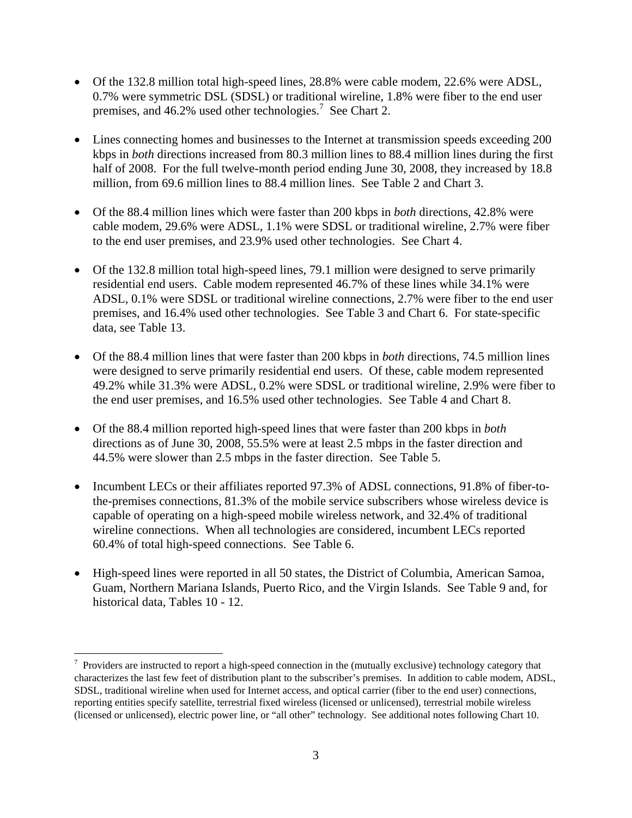- Of the 132.8 million total high-speed lines, 28.8% were cable modem, 22.6% were ADSL, 0.7% were symmetric DSL (SDSL) or traditional wireline, 1.8% were fiber to the end user premises, and 46.2% used other technologies.<sup>7</sup> See Chart 2.
- Lines connecting homes and businesses to the Internet at transmission speeds exceeding 200 kbps in *both* directions increased from 80.3 million lines to 88.4 million lines during the first half of 2008. For the full twelve-month period ending June 30, 2008, they increased by 18.8 million, from 69.6 million lines to 88.4 million lines. See Table 2 and Chart 3.
- Of the 88.4 million lines which were faster than 200 kbps in *both* directions, 42.8% were cable modem, 29.6% were ADSL, 1.1% were SDSL or traditional wireline, 2.7% were fiber to the end user premises, and 23.9% used other technologies. See Chart 4.
- Of the 132.8 million total high-speed lines, 79.1 million were designed to serve primarily residential end users. Cable modem represented 46.7% of these lines while 34.1% were ADSL, 0.1% were SDSL or traditional wireline connections, 2.7% were fiber to the end user premises, and 16.4% used other technologies. See Table 3 and Chart 6. For state-specific data, see Table 13.
- Of the 88.4 million lines that were faster than 200 kbps in *both* directions, 74.5 million lines were designed to serve primarily residential end users. Of these, cable modem represented 49.2% while 31.3% were ADSL, 0.2% were SDSL or traditional wireline, 2.9% were fiber to the end user premises, and 16.5% used other technologies. See Table 4 and Chart 8.
- Of the 88.4 million reported high-speed lines that were faster than 200 kbps in *both*  directions as of June 30, 2008, 55.5% were at least 2.5 mbps in the faster direction and 44.5% were slower than 2.5 mbps in the faster direction. See Table 5.
- Incumbent LECs or their affiliates reported 97.3% of ADSL connections, 91.8% of fiber-tothe-premises connections, 81.3% of the mobile service subscribers whose wireless device is capable of operating on a high-speed mobile wireless network, and 32.4% of traditional wireline connections. When all technologies are considered, incumbent LECs reported 60.4% of total high-speed connections. See Table 6.
- High-speed lines were reported in all 50 states, the District of Columbia, American Samoa, Guam, Northern Mariana Islands, Puerto Rico, and the Virgin Islands. See Table 9 and, for historical data, Tables 10 - 12.

l

 $7$  Providers are instructed to report a high-speed connection in the (mutually exclusive) technology category that characterizes the last few feet of distribution plant to the subscriber's premises. In addition to cable modem, ADSL, SDSL, traditional wireline when used for Internet access, and optical carrier (fiber to the end user) connections, reporting entities specify satellite, terrestrial fixed wireless (licensed or unlicensed), terrestrial mobile wireless (licensed or unlicensed), electric power line, or "all other" technology. See additional notes following Chart 10.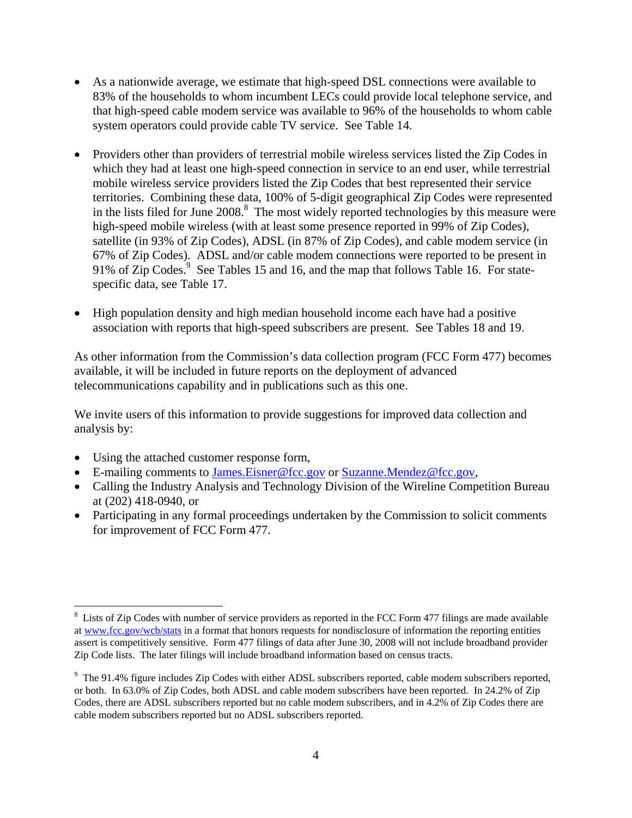- As a nationwide average, we estimate that high-speed DSL connections were available to 83% of the households to whom incumbent LECs could provide local telephone service, and that high-speed cable modem service was available to 96% of the households to whom cable system operators could provide cable TV service. See Table 14.
- Providers other than providers of terrestrial mobile wireless services listed the Zip Codes in which they had at least one high-speed connection in service to an end user, while terrestrial mobile wireless service providers listed the Zip Codes that best represented their service territories. Combining these data, 100% of 5-digit geographical Zip Codes were represented in the lists filed for June  $2008$ .<sup>8</sup> The most widely reported technologies by this measure were high-speed mobile wireless (with at least some presence reported in 99% of Zip Codes), satellite (in 93% of Zip Codes), ADSL (in 87% of Zip Codes), and cable modem service (in 67% of Zip Codes). ADSL and/or cable modem connections were reported to be present in 91% of Zip Codes.<sup>9</sup> See Tables 15 and 16, and the map that follows Table 16. For statespecific data, see Table 17.
- High population density and high median household income each have had a positive association with reports that high-speed subscribers are present. See Tables 18 and 19.

As other information from the Commission's data collection program (FCC Form 477) becomes available, it will be included in future reports on the deployment of advanced telecommunications capability and in publications such as this one.

We invite users of this information to provide suggestions for improved data collection and analysis by:

• Using the attached customer response form,

l

- E-mailing comments to James.Eisner@fcc.gov or Suzanne.Mendez@fcc.gov,
- Calling the Industry Analysis and Technology Division of the Wireline Competition Bureau at (202) 418-0940, or
- Participating in any formal proceedings undertaken by the Commission to solicit comments for improvement of FCC Form 477.

 $8$  Lists of Zip Codes with number of service providers as reported in the FCC Form 477 filings are made available at www.fcc.gov/wcb/stats in a format that honors requests for nondisclosure of information the reporting entities assert is competitively sensitive. Form 477 filings of data after June 30, 2008 will not include broadband provider Zip Code lists. The later filings will include broadband information based on census tracts.

 $9$  The 91.4% figure includes Zip Codes with either ADSL subscribers reported, cable modem subscribers reported, or both. In 63.0% of Zip Codes, both ADSL and cable modem subscribers have been reported. In 24.2% of Zip Codes, there are ADSL subscribers reported but no cable modem subscribers, and in 4.2% of Zip Codes there are cable modem subscribers reported but no ADSL subscribers reported.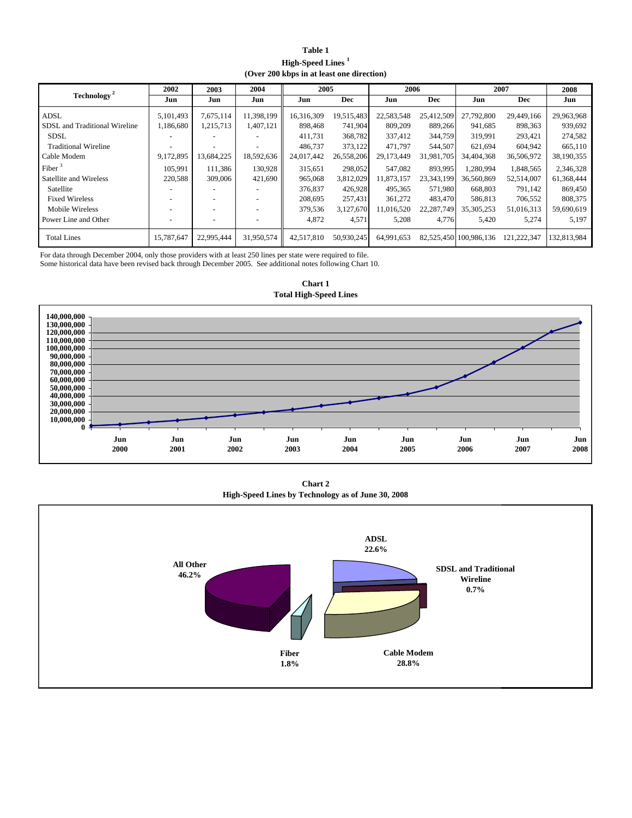| Table 1                                   |
|-------------------------------------------|
| <b>High-Speed Lines</b>                   |
| (Over 200 kbps in at least one direction) |

|                               | 2002       | 2003       | 2004       | 2005       |            | 2006       |            |                        | 2007        | 2008        |
|-------------------------------|------------|------------|------------|------------|------------|------------|------------|------------------------|-------------|-------------|
| Technology <sup>2</sup>       | Jun        | Jun        | Jun        | Jun        | Dec        | Jun        | <b>Dec</b> | Jun                    | <b>Dec</b>  | Jun         |
| ADSL                          | 5,101,493  | 7,675,114  | 11,398,199 | 16,316,309 | 19,515,483 | 22,583,548 | 25,412,509 | 27,792,800             | 29,449,166  | 29,963,968  |
| SDSL and Traditional Wireline | 1,186,680  | 1,215,713  | 1,407,121  | 898,468    | 741,904    | 809,209    | 889,266    | 941,685                | 898,363     | 939.692     |
| <b>SDSL</b>                   |            |            |            | 411.731    | 368,782    | 337,412    | 344,759    | 319,991                | 293,421     | 274,582     |
| <b>Traditional Wireline</b>   |            |            |            | 486,737    | 373,122    | 471.797    | 544,507    | 621,694                | 604,942     | 665,110     |
| Cable Modem                   | 9,172,895  | 13,684,225 | 18,592,636 | 24,017,442 | 26,558,206 | 29,173,449 | 31,981,705 | 34,404,368             | 36,506,972  | 38,190,355  |
| Fiber $3$                     | 105,991    | 111.386    | 130,928    | 315,651    | 298,052    | 547,082    | 893,995    | 1,280,994              | 1,848,565   | 2,346,328   |
| Satellite and Wireless        | 220,588    | 309,006    | 421,690    | 965,068    | 3,812,029  | 11,873,157 | 23,343,199 | 36,560,869             | 52,514,007  | 61,368,444  |
| Satellite                     |            |            |            | 376,837    | 426,928    | 495,365    | 571,980    | 668,803                | 791,142     | 869,450     |
| <b>Fixed Wireless</b>         |            |            |            | 208,695    | 257,431    | 361,272    | 483,470    | 586,813                | 706,552     | 808,375     |
| Mobile Wireless               |            |            |            | 379,536    | 3,127,670  | 11,016,520 | 22,287,749 | 35,305,253             | 51,016,313  | 59,690,619  |
| Power Line and Other          |            |            |            | 4,872      | 4,571      | 5,208      | 4,776      | 5,420                  | 5,274       | 5,197       |
| <b>Total Lines</b>            | 15,787,647 | 22,995,444 | 31,950,574 | 42,517,810 | 50,930,245 | 64,991,653 |            | 82,525,450 100,986,136 | 121,222,347 | 132,813,984 |

Some historical data have been revised back through December 2005. See additional notes following Chart 10. For data through December 2004, only those providers with at least 250 lines per state were required to file.



**Chart 1 Total High-Speed Lines**

**Chart 2 High-Speed Lines by Technology as of June 30, 2008**

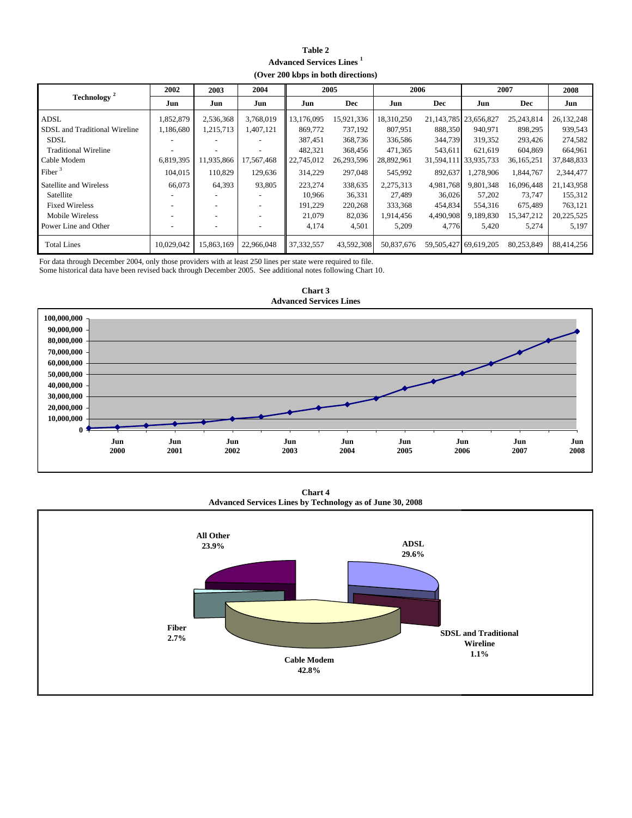#### **Table 2 Advanced Services Lines 1 (Over 200 kbps in both directions)**

|                               | 2002                     | 2003       | 2004       |              | 2005       | 2006       |            | 2007                        |              | 2008       |
|-------------------------------|--------------------------|------------|------------|--------------|------------|------------|------------|-----------------------------|--------------|------------|
| Technology <sup>2</sup>       | Jun                      | Jun        | Jun        | Jun          | Dec        | Jun        | <b>Dec</b> | Jun                         | <b>Dec</b>   | Jun        |
| ADSL                          | 1,852,879                | 2,536,368  | 3,768,019  | 13,176,095   | 15,921,336 | 18,310,250 |            | 21, 143, 785   23, 656, 827 | 25,243,814   | 26,132,248 |
| SDSL and Traditional Wireline | 1,186,680                | 1,215,713  | 1,407,121  | 869,772      | 737.192    | 807.951    | 888,350    | 940.971                     | 898,295      | 939,543    |
| <b>SDSL</b>                   |                          |            |            | 387,451      | 368,736    | 336,586    | 344,739    | 319.352                     | 293,426      | 274,582    |
| <b>Traditional Wireline</b>   | ۰                        |            |            | 482.321      | 368,456    | 471.365    | 543,611    | 621.619                     | 604.869      | 664,961    |
| Cable Modem                   | 6,819,395                | 11,935,866 | 17,567,468 | 22,745,012   | 26,293,596 | 28,892,961 |            | 31,594,111 33,935,733       | 36, 165, 251 | 37,848,833 |
| Fiber $3$                     | 104,015                  | 110,829    | 129,636    | 314,229      | 297,048    | 545,992    | 892,637    | 1,278,906                   | 1,844,767    | 2,344,477  |
| Satellite and Wireless        | 66,073                   | 64,393     | 93,805     | 223,274      | 338,635    | 2,275,313  | 4,981,768  | 9.801.348                   | 16,096,448   | 21,143,958 |
| Satellite                     |                          |            |            | 10,966       | 36,331     | 27,489     | 36,026     | 57,202                      | 73,747       | 155,312    |
| <b>Fixed Wireless</b>         | $\overline{\phantom{a}}$ |            |            | 191.229      | 220,268    | 333,368    | 454,834    | 554,316                     | 675,489      | 763,121    |
| Mobile Wireless               |                          |            |            | 21,079       | 82,036     | 1,914,456  | 4,490,908  | 9,189,830                   | 15,347,212   | 20,225,525 |
| Power Line and Other          |                          |            |            | 4,174        | 4,501      | 5,209      | 4,776      | 5,420                       | 5,274        | 5,197      |
| <b>Total Lines</b>            | 10,029,042               | 15,863,169 | 22,966,048 | 37, 332, 557 | 43,592,308 | 50,837,676 |            | 59,505,427 69,619,205       | 80,253,849   | 88,414,256 |

For data through December 2004, only those providers with at least 250 lines per state were required to file.

Some historical data have been revised back through December 2005. See additional notes following Chart 10.



**Advanced Services Lines Chart 3**

**Chart 4 Advanced Services Lines by Technology as of June 30, 2008**

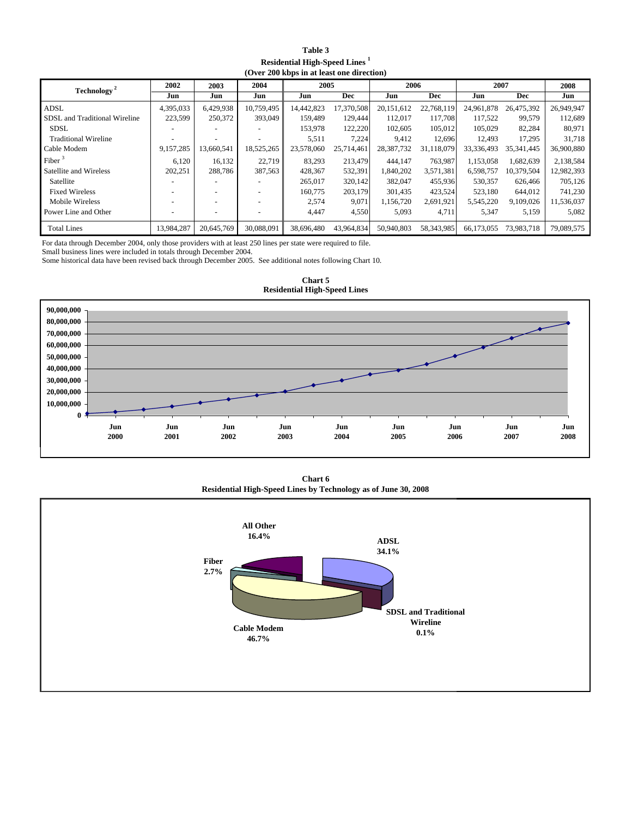**Table 3 Residential High-Speed Lines <sup>1</sup> (Over 200 kbps in at least one direction)**

| ( <del>=</del> . = = = = = = = <del>=</del> = = = = = = = = |            |            |            |            |            |            |            |            |              |            |
|-------------------------------------------------------------|------------|------------|------------|------------|------------|------------|------------|------------|--------------|------------|
| Technology <sup>2</sup>                                     | 2002       | 2003       | 2004       | 2005       |            | 2006       |            | 2007       | 2008         |            |
|                                                             | Jun        | Jun        | Jun        | Jun        | <b>Dec</b> | Jun        | <b>Dec</b> | Jun        | <b>Dec</b>   | Jun        |
| ADSL                                                        | 4,395,033  | 6,429,938  | 10,759,495 | 14,442,823 | 17,370,508 | 20,151,612 | 22,768,119 | 24,961,878 | 26,475,392   | 26,949,947 |
| SDSL and Traditional Wireline                               | 223,599    | 250,372    | 393,049    | 159,489    | 129,444    | 112,017    | 117,708    | 117,522    | 99,579       | 112,689    |
| <b>SDSL</b>                                                 |            |            |            | 153,978    | 122,220    | 102,605    | 105,012    | 105.029    | 82,284       | 80.971     |
| <b>Traditional Wireline</b>                                 |            |            |            | 5,511      | 7,224      | 9,412      | 12,696     | 12,493     | 17,295       | 31,718     |
| Cable Modem                                                 | 9,157,285  | 13,660,541 | 18,525,265 | 23,578,060 | 25,714,461 | 28,387,732 | 31,118,079 | 33,336,493 | 35, 341, 445 | 36,900,880 |
| Fiber $3$                                                   | 6.120      | 16,132     | 22,719     | 83.293     | 213,479    | 444,147    | 763,987    | 1.153.058  | 1,682,639    | 2,138,584  |
| Satellite and Wireless                                      | 202,251    | 288,786    | 387,563    | 428,367    | 532,391    | 1,840,202  | 3,571,381  | 6,598,757  | 10,379,504   | 12,982,393 |
| Satellite                                                   |            |            |            | 265,017    | 320,142    | 382,047    | 455,936    | 530,357    | 626,466      | 705,126    |
| <b>Fixed Wireless</b>                                       |            |            |            | 160,775    | 203,179    | 301,435    | 423,524    | 523,180    | 644,012      | 741,230    |
| Mobile Wireless                                             |            |            |            | 2,574      | 9,071      | 1,156,720  | 2,691,921  | 5,545,220  | 9,109,026    | 11,536,037 |
| Power Line and Other                                        |            |            |            | 4,447      | 4,550      | 5,093      | 4,711      | 5,347      | 5,159        | 5,082      |
| <b>Total Lines</b>                                          | 13,984,287 | 20,645,769 | 30,088,091 | 38,696,480 | 43,964,834 | 50,940,803 | 58,343,985 | 66,173,055 | 73,983,718   | 79,089,575 |

For data through December 2004, only those providers with at least 250 lines per state were required to file.

Small business lines were included in totals through December 2004.

Some historical data have been revised back through December 2005. See additional notes following Chart 10.



**Residential High-Speed Lines Chart 5**

**Chart 6 Residential High-Speed Lines by Technology as of June 30, 2008**

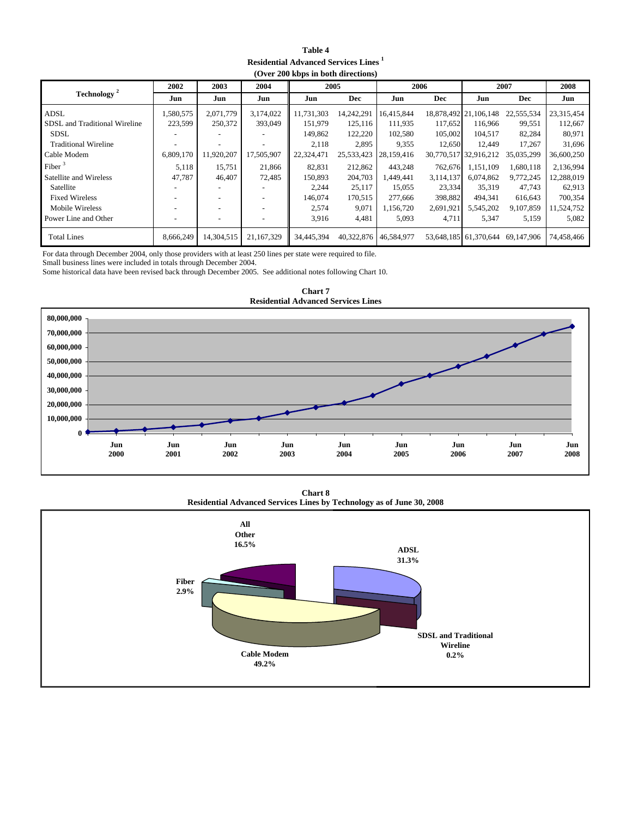| Table 4                                                 |
|---------------------------------------------------------|
| <b>Residential Advanced Services Lines</b> <sup>1</sup> |
| (Over 200 kbps in both directions)                      |

| $(0.012)$ and $0.001$ model of $(0.001)$ |                          |                          |            |            |                       |            |            |                       |            |            |  |
|------------------------------------------|--------------------------|--------------------------|------------|------------|-----------------------|------------|------------|-----------------------|------------|------------|--|
|                                          | 2002                     | 2003                     | 2004       |            | 2005                  |            | 2006       |                       | 2007       |            |  |
| Technology <sup>2</sup>                  | Jun                      | Jun                      | Jun        | Jun        | <b>Dec</b>            | Jun        | <b>Dec</b> | Jun                   | <b>Dec</b> | Jun        |  |
| ADSL                                     | 1,580,575                | 2,071,779                | 3,174,022  | 11,731,303 | 14,242,291            | 16,415,844 |            | 18,878,492 21,106,148 | 22,555,534 | 23,315,454 |  |
| SDSL and Traditional Wireline            | 223,599                  | 250,372                  | 393,049    | 151.979    | 125.116               | 111.935    | 117,652    | 116,966               | 99,551     | 112,667    |  |
| <b>SDSL</b>                              |                          |                          |            | 149,862    | 122,220               | 102,580    | 105,002    | 104.517               | 82,284     | 80,971     |  |
| <b>Traditional Wireline</b>              | $\blacksquare$           | $\overline{\phantom{a}}$ | ٠          | 2,118      | 2,895                 | 9,355      | 12.650     | 12.449                | 17.267     | 31.696     |  |
| Cable Modem                              | 6,809,170                | 11,920,207               | 17,505,907 | 22,324,471 | 25,533,423            | 28,159,416 |            | 30,770,517 32,916,212 | 35,035,299 | 36,600,250 |  |
| Fiber $3$                                | 5,118                    | 15,751                   | 21,866     | 82.831     | 212,862               | 443.248    | 762.676    | 1.151.109             | 1,680,118  | 2,136,994  |  |
| Satellite and Wireless                   | 47,787                   | 46,407                   | 72,485     | 150.893    | 204,703               | 1,449,441  | 3,114,137  | 6.074.862             | 9,772,245  | 12,288,019 |  |
| Satellite                                |                          | $\overline{\phantom{a}}$ |            | 2,244      | 25,117                | 15,055     | 23,334     | 35,319                | 47,743     | 62,913     |  |
| <b>Fixed Wireless</b>                    | $\overline{\phantom{a}}$ | $\overline{\phantom{a}}$ | ٠          | 146,074    | 170,515               | 277,666    | 398,882    | 494.341               | 616,643    | 700,354    |  |
| Mobile Wireless                          | ٠                        | $\overline{\phantom{a}}$ | ٠          | 2,574      | 9,071                 | 1,156,720  | 2,691,921  | 5,545,202             | 9,107,859  | 11,524,752 |  |
| Power Line and Other                     | $\overline{\phantom{a}}$ | $\overline{\phantom{a}}$ |            | 3,916      | 4,481                 | 5,093      | 4,711      | 5,347                 | 5,159      | 5,082      |  |
| <b>Total Lines</b>                       | 8,666,249                | 14.304.515               | 21.167.329 | 34,445,394 | 40,322,876 46,584,977 |            |            | 53,648,185 61,370,644 | 69,147,906 | 74,458,466 |  |

For data through December 2004, only those providers with at least 250 lines per state were required to file.

Small business lines were included in totals through December 2004.

Some historical data have been revised back through December 2005. See additional notes following Chart 10.



**Chart 7 Residential Advanced Services Lines**

**Residential Advanced Services Lines by Technology as of June 30, 2008 Chart 8**

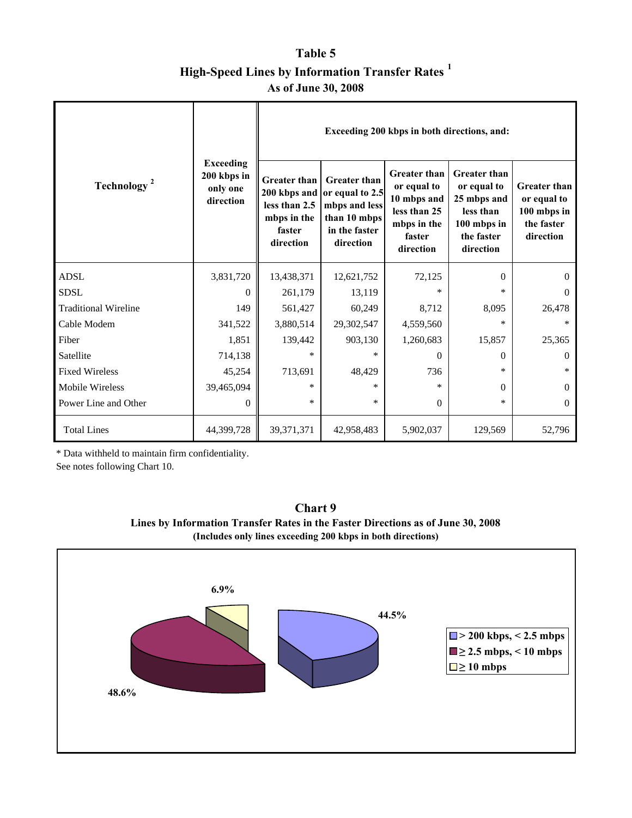### **Table 5 High-Speed Lines by Information Transfer Rates <sup>1</sup> As of June 30, 2008**

|                             |                                                          |                                                                                            |                                                                                                       | Exceeding 200 kbps in both directions, and:                                                             |                                                                                                          |                                                                              |
|-----------------------------|----------------------------------------------------------|--------------------------------------------------------------------------------------------|-------------------------------------------------------------------------------------------------------|---------------------------------------------------------------------------------------------------------|----------------------------------------------------------------------------------------------------------|------------------------------------------------------------------------------|
| Technology <sup>2</sup>     | <b>Exceeding</b><br>200 kbps in<br>only one<br>direction | <b>Greater than</b><br>200 kbps and<br>less than 2.5<br>mbps in the<br>faster<br>direction | <b>Greater</b> than<br>or equal to 2.5<br>mbps and less<br>than 10 mbps<br>in the faster<br>direction | <b>Greater than</b><br>or equal to<br>10 mbps and<br>less than 25<br>mbps in the<br>faster<br>direction | <b>Greater than</b><br>or equal to<br>25 mbps and<br>less than<br>100 mbps in<br>the faster<br>direction | <b>Greater than</b><br>or equal to<br>100 mbps in<br>the faster<br>direction |
| <b>ADSL</b>                 | 3,831,720                                                | 13,438,371                                                                                 | 12,621,752                                                                                            | 72,125                                                                                                  | $\Omega$                                                                                                 | $\theta$                                                                     |
| <b>SDSL</b>                 | $\Omega$                                                 | 261,179                                                                                    | 13,119                                                                                                | $\ast$                                                                                                  | $\star$                                                                                                  | $\theta$                                                                     |
| <b>Traditional Wireline</b> | 149                                                      | 561,427                                                                                    | 60,249                                                                                                | 8,712                                                                                                   | 8,095                                                                                                    | 26,478                                                                       |
| Cable Modem                 | 341,522                                                  | 3,880,514                                                                                  | 29,302,547                                                                                            | 4,559,560                                                                                               | $\star$                                                                                                  | $\ast$                                                                       |
| Fiber                       | 1,851                                                    | 139,442                                                                                    | 903,130                                                                                               | 1,260,683                                                                                               | 15,857                                                                                                   | 25,365                                                                       |
| Satellite                   | 714,138                                                  | $*$                                                                                        | $*$                                                                                                   | 0                                                                                                       | $\Omega$                                                                                                 | $\theta$                                                                     |
| <b>Fixed Wireless</b>       | 45,254                                                   | 713,691                                                                                    | 48,429                                                                                                | 736                                                                                                     | $\ast$                                                                                                   | $\ast$                                                                       |
| Mobile Wireless             | 39,465,094                                               | $\star$                                                                                    | $\ast$                                                                                                | $\ast$                                                                                                  | $\Omega$                                                                                                 | $\theta$                                                                     |
| Power Line and Other        | $\Omega$                                                 | $\star$                                                                                    | $\ast$                                                                                                | $\Omega$                                                                                                | $\ast$                                                                                                   | $\theta$                                                                     |
| <b>Total Lines</b>          | 44,399,728                                               | 39, 371, 371                                                                               | 42,958,483                                                                                            | 5,902,037                                                                                               | 129,569                                                                                                  | 52,796                                                                       |

\* Data withheld to maintain firm confidentiality.

See notes following Chart 10.



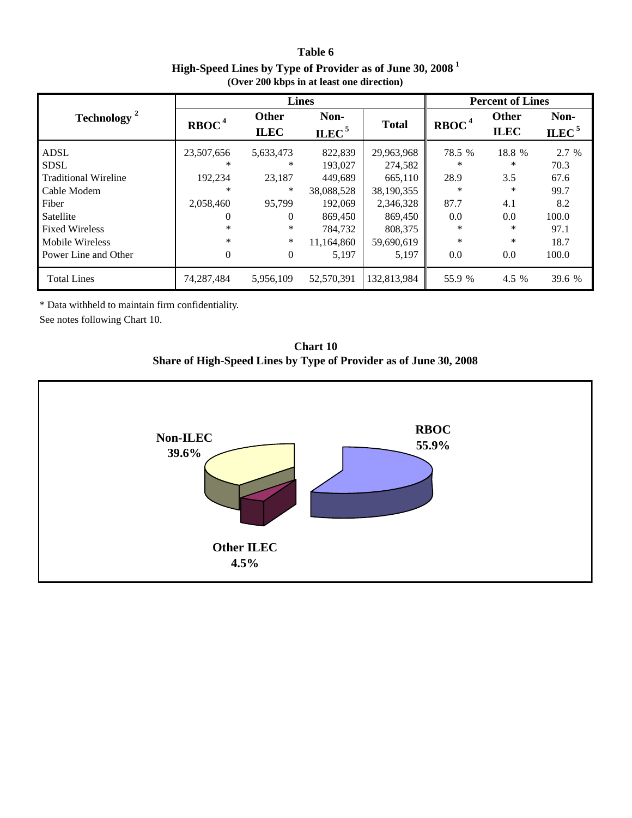**Table 6 High-Speed Lines by Type of Provider as of June 30, 2008<sup>1</sup> (Over 200 kbps in at least one direction)**

|                                            |                   | <b>Lines</b>                                             | <b>Percent of Lines</b> |                       |                   |                             |                           |
|--------------------------------------------|-------------------|----------------------------------------------------------|-------------------------|-----------------------|-------------------|-----------------------------|---------------------------|
| Technology <sup>2</sup>                    | RBOC <sup>4</sup> | Non-<br><b>Other</b><br>ILEC <sup>5</sup><br><b>ILEC</b> |                         | <b>Total</b>          | RBOC <sup>4</sup> | <b>Other</b><br><b>ILEC</b> | Non-<br>ILEC <sup>5</sup> |
| <b>ADSL</b>                                | 23,507,656        | 5,633,473                                                | 822,839                 | 29,963,968            | 78.5 %            | 18.8 %                      | 2.7 %                     |
| <b>SDSL</b>                                | ∗                 | *                                                        | 193,027                 | 274,582               | ∗                 | ∗                           | 70.3                      |
| <b>Traditional Wireline</b><br>Cable Modem | 192,234<br>∗      | 23,187<br>*                                              | 449,689<br>38,088,528   | 665,110<br>38,190,355 | 28.9<br>$\ast$    | 3.5<br>*                    | 67.6<br>99.7              |
| Fiber                                      | 2,058,460         | 95,799                                                   | 192,069                 | 2,346,328             | 87.7              | 4.1                         | 8.2                       |
| Satellite                                  | $\Omega$          | 0                                                        | 869,450                 | 869,450               | 0.0               | 0.0                         | 100.0                     |
| <b>Fixed Wireless</b>                      | ∗                 | *                                                        | 784,732                 | 808,375               | ∗                 | *                           | 97.1                      |
| Mobile Wireless                            | $\ast$            | *                                                        | 11,164,860              | 59,690,619            | $\ast$            | *                           | 18.7                      |
| Power Line and Other                       | $\Omega$          | 0                                                        | 5,197                   | 5,197                 | 0.0               | 0.0                         | 100.0                     |
| <b>Total Lines</b>                         | 74,287,484        | 5,956,109                                                | 52,570,391              | 132,813,984           | 55.9 %            | 4.5 %                       | 39.6 %                    |

\* Data withheld to maintain firm confidentiality.

See notes following Chart 10.



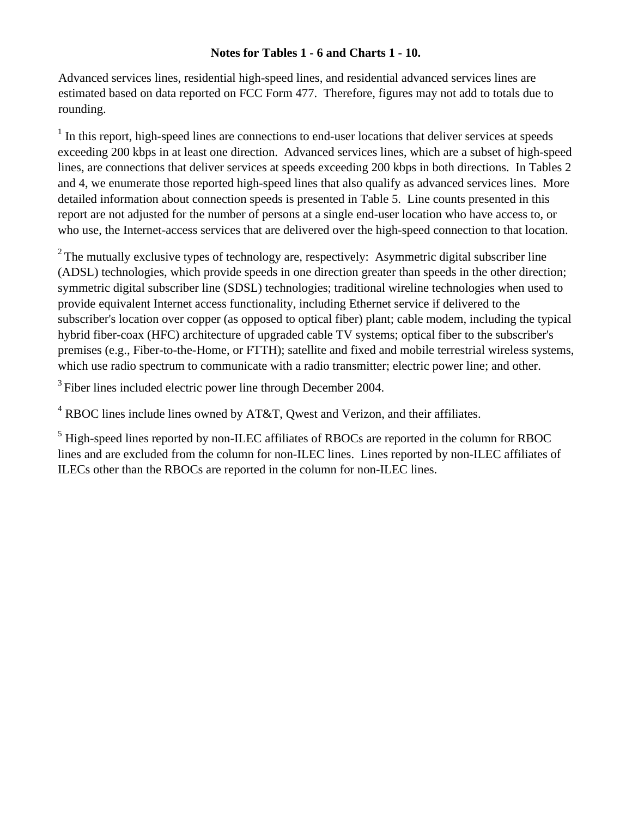#### **Notes for Tables 1 - 6 and Charts 1 - 10.**

Advanced services lines, residential high-speed lines, and residential advanced services lines are estimated based on data reported on FCC Form 477. Therefore, figures may not add to totals due to rounding.

 $<sup>1</sup>$  In this report, high-speed lines are connections to end-user locations that deliver services at speeds</sup> exceeding 200 kbps in at least one direction. Advanced services lines, which are a subset of high-speed lines, are connections that deliver services at speeds exceeding 200 kbps in both directions. In Tables 2 and 4, we enumerate those reported high-speed lines that also qualify as advanced services lines. More detailed information about connection speeds is presented in Table 5. Line counts presented in this report are not adjusted for the number of persons at a single end-user location who have access to, or who use, the Internet-access services that are delivered over the high-speed connection to that location.

 $2^2$  The mutually exclusive types of technology are, respectively: Asymmetric digital subscriber line (ADSL) technologies, which provide speeds in one direction greater than speeds in the other direction; symmetric digital subscriber line (SDSL) technologies; traditional wireline technologies when used to provide equivalent Internet access functionality, including Ethernet service if delivered to the subscriber's location over copper (as opposed to optical fiber) plant; cable modem, including the typical hybrid fiber-coax (HFC) architecture of upgraded cable TV systems; optical fiber to the subscriber's premises (e.g., Fiber-to-the-Home, or FTTH); satellite and fixed and mobile terrestrial wireless systems, which use radio spectrum to communicate with a radio transmitter; electric power line; and other.

<sup>3</sup> Fiber lines included electric power line through December 2004.

 $4$  RBOC lines include lines owned by AT&T, Qwest and Verizon, and their affiliates.

<sup>5</sup> High-speed lines reported by non-ILEC affiliates of RBOCs are reported in the column for RBOC lines and are excluded from the column for non-ILEC lines. Lines reported by non-ILEC affiliates of ILECs other than the RBOCs are reported in the column for non-ILEC lines.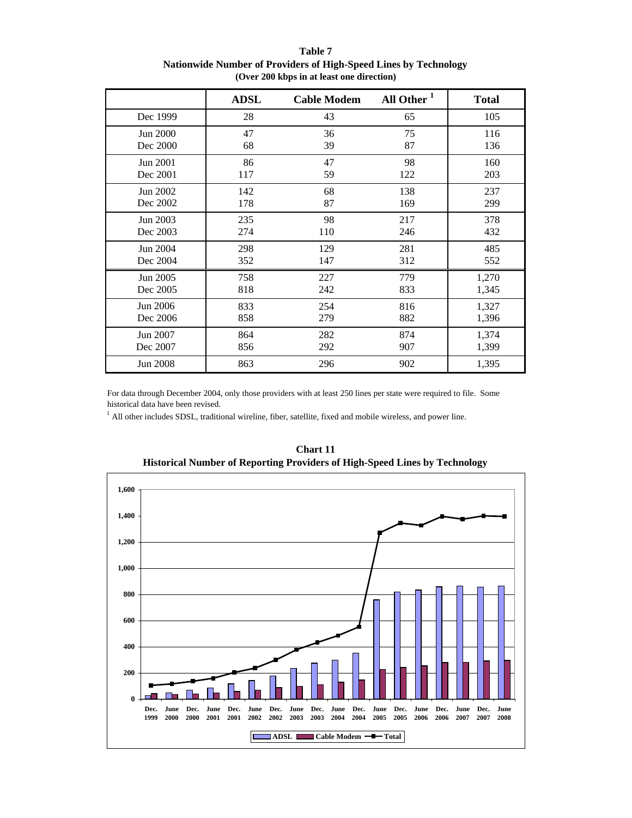|          | <b>ADSL</b> | <b>Cable Modem</b> | All Other <sup>1</sup> | <b>Total</b> |
|----------|-------------|--------------------|------------------------|--------------|
| Dec 1999 | 28          | 43                 | 65                     | 105          |
| Jun 2000 | 47          | 36                 | 75                     | 116          |
| Dec 2000 | 68          | 39                 | 87                     | 136          |
| Jun 2001 | 86          | 47                 | 98                     | 160          |
| Dec 2001 | 117         | 59                 | 122                    | 203          |
| Jun 2002 | 142         | 68                 | 138                    | 237          |
| Dec 2002 | 178         | 87                 | 169                    | 299          |
| Jun 2003 | 235         | 98                 | 217                    | 378          |
| Dec 2003 | 274         | 110                | 246                    | 432          |
| Jun 2004 | 298         | 129                | 281                    | 485          |
| Dec 2004 | 352         | 147                | 312                    | 552          |
| Jun 2005 | 758         | 227                | 779                    | 1,270        |
| Dec 2005 | 818         | 242                | 833                    | 1,345        |
| Jun 2006 | 833         | 254                | 816                    | 1,327        |
| Dec 2006 | 858         | 279                | 882                    | 1,396        |
| Jun 2007 | 864         | 282                | 874                    | 1,374        |
| Dec 2007 | 856         | 292                | 907                    | 1,399        |
| Jun 2008 | 863         | 296                | 902                    | 1,395        |

#### **Table 7 Nationwide Number of Providers of High-Speed Lines by Technology (Over 200 kbps in at least one direction)**

For data through December 2004, only those providers with at least 250 lines per state were required to file. Some historical data have been revised.

<sup>1</sup> All other includes SDSL, traditional wireline, fiber, satellite, fixed and mobile wireless, and power line.



**Chart 11 Historical Number of Reporting Providers of High-Speed Lines by Technology**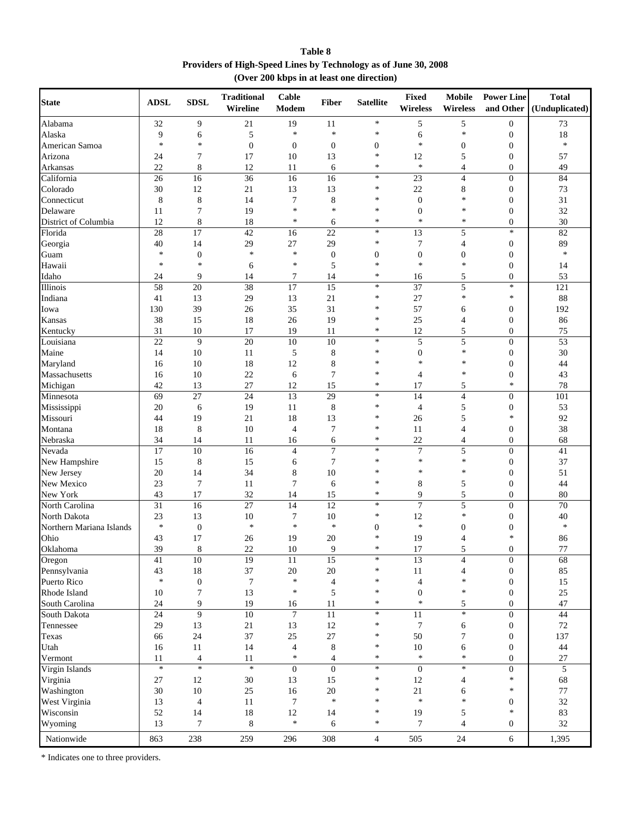**Table 8 Providers of High-Speed Lines by Technology as of June 30, 2008 (Over 200 kbps in at least one direction)**

| <b>State</b>             | <b>ADSL</b> | <b>SDSL</b>                | <b>Traditional</b><br>Wireline | Cable<br>Modem  | <b>Fiber</b>     | <b>Satellite</b>           | <b>Fixed</b><br><b>Wireless</b> | Mobile<br><b>Wireless</b>  | <b>Power Line</b><br>and Other | <b>Total</b><br>(Unduplicated) |
|--------------------------|-------------|----------------------------|--------------------------------|-----------------|------------------|----------------------------|---------------------------------|----------------------------|--------------------------------|--------------------------------|
| Alabama                  | 32          | 9                          | 21                             | 19              | 11               | $\ast$                     | 5                               | 5                          | $\boldsymbol{0}$               | 73                             |
| Alaska                   | 9           | 6                          | 5                              | $\ast$          | $\ast$           | $\ast$                     | 6                               | $\ast$                     | $\boldsymbol{0}$               | 18                             |
| American Samoa           | $\ast$      | $\ast$                     | $\overline{0}$                 | $\mathbf{0}$    | $\boldsymbol{0}$ | $\boldsymbol{0}$           | $\ast$                          | $\boldsymbol{0}$           | $\mathbf{0}$                   | $\ast$                         |
| Arizona                  | 24          | 7                          | 17                             | 10              | 13               | $\ast$                     | 12                              | 5                          | $\overline{0}$                 | 57                             |
| Arkansas                 | 22          | $\,8\,$                    | 12                             | 11              | 6                | $\ast$                     | $\ast$                          | 4                          | $\boldsymbol{0}$               | 49                             |
| California               | 26          | 16                         | 36                             | 16              | 16               | $\ast$                     | 23                              | $\overline{4}$             | $\overline{0}$                 | 84                             |
| Colorado                 | 30          | 12                         | 21                             | 13              | 13               | $\ast$                     | 22                              | 8                          | $\boldsymbol{0}$               | 73                             |
| Connecticut              | 8           | 8                          | 14                             | 7               | 8                | $\ast$                     | $\mathbf{0}$                    | $\ast$                     | $\mathbf{0}$                   | 31                             |
| Delaware                 | 11          | 7                          | 19                             | $\ast$          | $\ast$           | $\ast$                     | $\mathbf{0}$                    | $\ast$                     | $\boldsymbol{0}$               | 32                             |
| District of Columbia     | 12          | $\,8\,$                    | 18                             | ∗               | 6                | $\ast$                     | $\ast$                          | $\ast$                     | $\overline{0}$                 | 30                             |
| Florida                  | 28          | 17                         | 42                             | 16              | 22               | $\ast$                     | 13                              | 5                          | $*$                            | 82                             |
|                          | 40          | 14                         | 29                             | $27\,$          | 29               | $\ast$                     | 7                               | 4                          | $\boldsymbol{0}$               | 89                             |
| Georgia                  | $\ast$      |                            | $\ast$                         | $\ast$          |                  |                            |                                 |                            |                                | $\ast$                         |
| Guam                     | $\ast$      | $\boldsymbol{0}$<br>$\ast$ |                                | $\ast$          | $\boldsymbol{0}$ | $\boldsymbol{0}$<br>$\ast$ | $\boldsymbol{0}$<br>$\ast$      | $\boldsymbol{0}$<br>$\ast$ | $\mathbf{0}$                   |                                |
| Hawaii                   |             |                            | 6                              |                 | 5                |                            |                                 |                            | $\mathbf{0}$                   | 14                             |
| Idaho                    | 24          | 9                          | 14                             | 7               | 14               | $\ast$                     | 16                              | 5                          | $\boldsymbol{0}$               | 53                             |
| Illinois                 | 58          | $\overline{20}$            | 38                             | $\overline{17}$ | $\overline{15}$  | $\ast$                     | 37                              | 5                          | $*$                            | 121                            |
| Indiana                  | 41          | 13                         | 29                             | 13              | 21               | $\ast$                     | 27                              | $\ast$                     | $\ast$                         | 88                             |
| Iowa                     | 130         | 39                         | 26                             | 35              | 31               | $\ast$                     | 57                              | 6                          | $\mathbf{0}$                   | 192                            |
| Kansas                   | 38          | 15                         | 18                             | 26              | 19               | $\ast$                     | 25                              | 4                          | $\mathbf{0}$                   | 86                             |
| Kentucky                 | 31          | 10                         | 17                             | 19              | 11               | $\ast$                     | 12                              | 5                          | $\overline{0}$                 | 75                             |
| Louisiana                | 22          | 9                          | 20                             | 10              | 10               | $\ast$                     | 5                               | 5                          | $\boldsymbol{0}$               | 53                             |
| Maine                    | 14          | 10                         | 11                             | 5               | 8                | $\ast$                     | $\boldsymbol{0}$                | $\ast$                     | $\boldsymbol{0}$               | 30                             |
| Maryland                 | 16          | 10                         | 18                             | 12              | $\,$ 8 $\,$      | $\ast$                     | $\ast$                          | $\ast$                     | $\mathbf{0}$                   | 44                             |
| Massachusetts            | 16          | 10                         | 22                             | 6               | 7                | $\ast$                     | $\overline{4}$                  | $\ast$                     | $\mathbf{0}$                   | 43                             |
| Michigan                 | 42          | 13                         | 27                             | 12              | 15               | $\ast$                     | 17                              | 5                          | $\ast$                         | 78                             |
| Minnesota                | 69          | 27                         | 24                             | 13              | 29               | $\ast$                     | 14                              | $\overline{\mathbf{4}}$    | $\boldsymbol{0}$               | 101                            |
| Mississippi              | 20          | 6                          | 19                             | 11              | 8                | $\ast$                     | $\overline{4}$                  | 5                          | $\boldsymbol{0}$               | 53                             |
| Missouri                 | 44          | 19                         | 21                             | 18              | 13               | $\ast$                     | 26                              | 5                          | *                              | 92                             |
| Montana                  | 18          | 8                          | 10                             | $\overline{4}$  | 7                | $\ast$                     | 11                              | 4                          | $\mathbf{0}$                   | 38                             |
| Nebraska                 | 34          | 14                         | 11                             | 16              | 6                | $\ast$                     | 22                              | 4                          | $\boldsymbol{0}$               | 68                             |
| Nevada                   | 17          | 10                         | $\overline{16}$                | $\overline{4}$  | $\overline{7}$   | $\ast$                     | $\overline{7}$                  | 5                          | $\overline{0}$                 | 41                             |
| New Hampshire            | 15          | 8                          | 15                             | 6               | $\overline{7}$   | $\ast$                     | $\ast$                          | $\ast$                     | $\boldsymbol{0}$               | 37                             |
|                          |             | 14                         | 34                             |                 | 10               | *                          | $\ast$                          | $\ast$                     |                                | 51                             |
| New Jersey               | 20          |                            |                                | 8               |                  | $\ast$                     |                                 |                            | $\mathbf{0}$                   |                                |
| New Mexico               | 23          | 7                          | 11                             | $\overline{7}$  | 6                | $\ast$                     | 8                               | 5                          | $\mathbf{0}$                   | 44                             |
| New York                 | 43          | 17                         | 32                             | 14              | 15               |                            | 9                               | 5                          | $\overline{0}$                 | 80                             |
| North Carolina           | 31          | 16                         | 27                             | 14              | 12               | $\ast$                     | $\overline{7}$                  | 5                          | $\boldsymbol{0}$               | 70                             |
| North Dakota             | 23          | 13                         | 10                             | 7               | 10               | $\ast$                     | 12                              | $\ast$                     | $\mathbf{0}$                   | 40                             |
| Northern Mariana Islands | $\ast$      | $\mathbf{0}$               | $\ast$                         | $\ast$          | $\ast$           | $\boldsymbol{0}$           | $\ast$                          | $\mathbf{0}$               | $\boldsymbol{0}$               | $\ast$                         |
| Ohio                     | 43          | 17                         | 26                             | 19              | 20               | $\ast$                     | 19                              | 4                          | *                              | 86                             |
| Oklahoma                 | 39          | $\,$ 8 $\,$                | 22                             | 10              | 9                | $\ast$                     | $17\,$                          | 5                          | 0                              | $77\,$                         |
| $\overline{O}$ regon     | 41          | 10                         | 19                             | $\overline{11}$ | 15               | $\ast$                     | 13                              | 4                          | $\overline{0}$                 | 68                             |
| Pennsylvania             | 43          | $18\,$                     | 37                             | 20              | 20               | $\ast$                     | $11\,$                          | $\overline{4}$             | $\boldsymbol{0}$               | 85                             |
| Puerto Rico              | $\ast$      | $\boldsymbol{0}$           | $\overline{7}$                 | $\ast$          | $\overline{4}$   | $\ast$                     | $\overline{4}$                  | $\ast$                     | $\boldsymbol{0}$               | 15                             |
| Rhode Island             | 10          | $\boldsymbol{7}$           | 13                             | $\ast$          | 5                | $\ast$                     | $\boldsymbol{0}$                | $\ast$                     | $\boldsymbol{0}$               | 25                             |
| South Carolina           | 24          | 9                          | 19                             | 16              | 11               | $\ast$                     | $\ast$                          | 5                          | $\overline{0}$                 | 47                             |
| South Dakota             | 24          | 9                          | 10                             | $\tau$          | 11               | $\ast$                     | 11                              | $\ast$                     | $\boldsymbol{0}$               | 44                             |
| Tennessee                | 29          | 13                         | $21\,$                         | 13              | 12               | $\ast$                     | $\overline{7}$                  | 6                          | $\boldsymbol{0}$               | $72\,$                         |
| Texas                    | 66          | 24                         | 37                             | 25              | 27               | $\ast$                     | 50                              | $\tau$                     | $\boldsymbol{0}$               | 137                            |
| Utah                     | 16          | 11                         | 14                             | $\overline{4}$  | $\,8\,$          | $\ast$                     | $10\,$                          | 6                          | $\boldsymbol{0}$               | 44                             |
| Vermont                  | 11          | $\overline{4}$             | 11                             | $\ast$          | $\overline{4}$   | $\ast$                     | $\ast$                          | $\ast$                     | $\boldsymbol{0}$               | $27\,$                         |
| Virgin Islands           | $\ast$      | $\ast$                     | $\ast$                         | $\overline{0}$  | $\overline{0}$   | $\ast$                     | $\boldsymbol{0}$                | $\ast$                     | $\overline{0}$                 | 5                              |
|                          |             |                            |                                |                 |                  | $\ast$                     |                                 |                            | $\ast$                         |                                |
| Virginia                 | 27          | $12\,$                     | 30                             | 13              | 15               | $\ast$                     | 12                              | 4                          | $\ast$                         | 68                             |
| Washington               | 30          | $10\,$                     | $25\,$                         | 16              | $20\,$<br>$\ast$ |                            | 21<br>$\ast$                    | 6<br>$\ast$                |                                | $77\,$                         |
| West Virginia            | 13          | $\overline{4}$             | 11                             | $\overline{7}$  |                  | $\ast$                     |                                 |                            | $\boldsymbol{0}$               | 32                             |
| Wisconsin                | 52          | 14                         | 18                             | 12              | 14               | $\ast$                     | 19                              | 5                          | $\ast$                         | 83                             |
| Wyoming                  | 13          | 7                          | 8                              | $\ast$          | 6                | $\ast$                     | $\overline{7}$                  | $\overline{4}$             | $\mathbf{0}$                   | 32                             |
| Nationwide               | 863         | 238                        | 259                            | 296             | 308              | $\overline{4}$             | 505                             | 24                         | 6                              | 1,395                          |

\* Indicates one to three providers.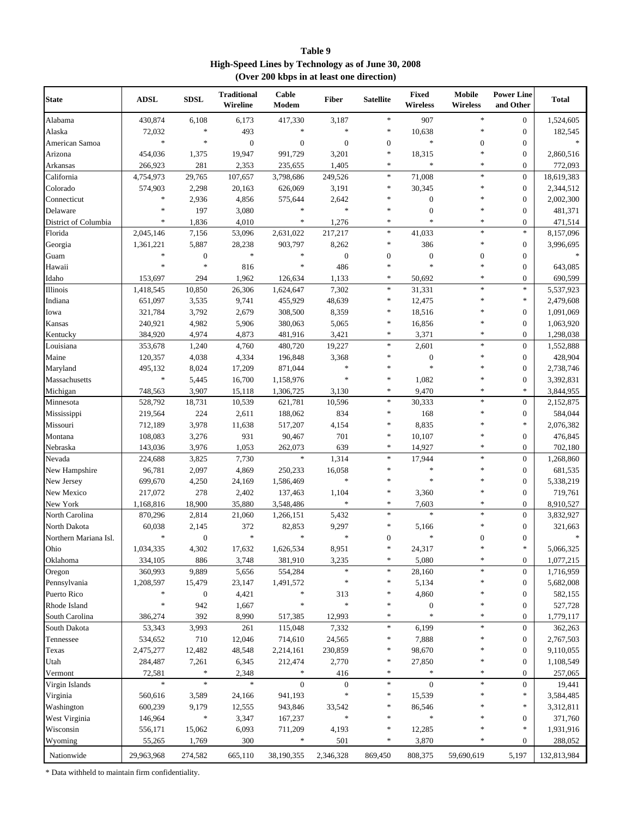| Table 9                                            |
|----------------------------------------------------|
| High-Speed Lines by Technology as of June 30, 2008 |
| (Over 200 kbps in at least one direction)          |

| State                 | <b>ADSL</b> | <b>SDSL</b>      | <b>Traditional</b><br>Wireline | Cable<br>Modem   | <b>Fiber</b>     | <b>Satellite</b> | Fixed<br>Wireless | <b>Mobile</b><br>Wireless | <b>Power Line</b><br>and Other | <b>Total</b> |
|-----------------------|-------------|------------------|--------------------------------|------------------|------------------|------------------|-------------------|---------------------------|--------------------------------|--------------|
| Alabama               | 430,874     | 6,108            | 6,173                          | 417,330          | 3,187            | $\ast$           | 907               | $\ast$                    | $\boldsymbol{0}$               | 1,524,605    |
| Alaska                | 72,032      | $\ast$           | 493                            | *                | $\ast$           | $\ast$           | 10,638            | $\ast$                    | $\boldsymbol{0}$               | 182,545      |
| American Samoa        | $\ast$      | $\ast$           | $\boldsymbol{0}$               | $\boldsymbol{0}$ | $\boldsymbol{0}$ | $\boldsymbol{0}$ | $\ast$            | $\boldsymbol{0}$          | $\boldsymbol{0}$               |              |
| Arizona               | 454,036     | 1,375            | 19,947                         | 991,729          | 3,201            | *                | 18,315            | *                         | $\boldsymbol{0}$               | 2,860,516    |
| Arkansas              | 266,923     | 281              | 2,353                          | 235,655          | 1,405            | *                | *                 | $\ast$                    | $\boldsymbol{0}$               | 772,093      |
| California            | 4,754,973   | 29,765           | 107,657                        | 3,798,686        | 249,526          | $\ast$           | 71,008            | $\ast$                    | $\boldsymbol{0}$               | 18,619,383   |
| Colorado              | 574,903     | 2,298            | 20,163                         | 626,069          | 3,191            | $\ast$           | 30,345            | $\ast$                    | $\boldsymbol{0}$               | 2,344,512    |
| Connecticut           | $\ast$      | 2,936            | 4,856                          | 575,644          | 2,642            | $\ast$           | $\boldsymbol{0}$  |                           | $\boldsymbol{0}$               | 2,002,300    |
| Delaware              | *           | 197              | 3,080                          | *                | $\ast$           | *                | $\boldsymbol{0}$  | $\ast$                    | $\boldsymbol{0}$               | 481,371      |
| District of Columbia  | $\ast$      | 1,836            | 4,010                          | $\ast$           | 1,276            | $\ast$           | ×                 | $\ast$                    | $\boldsymbol{0}$               | 471,514      |
| Florida               | 2,045,146   | 7,156            | 53,096                         | 2,631,022        | 217,217          | $\ast$           | 41,033            | $\ast$                    | $\ast$                         | 8,157,096    |
| Georgia               | 1,361,221   | 5,887            | 28,238                         | 903,797          | 8,262            | $\ast$           | 386               | $\ast$                    | $\boldsymbol{0}$               | 3,996,695    |
| Guam                  | $\ast$      | $\boldsymbol{0}$ | $\ast$                         | *                | $\boldsymbol{0}$ | $\boldsymbol{0}$ | $\boldsymbol{0}$  | $\boldsymbol{0}$          | $\boldsymbol{0}$               |              |
| Hawaii                | *           | $\ast$           | 816                            | *                | 486              | *                | $\ast$            | $\ast$                    | $\boldsymbol{0}$               | 643,085      |
| Idaho                 | 153,697     | 294              | 1,962                          | 126,634          | 1,133            | *                | 50,692            | $\ast$                    | $\boldsymbol{0}$               | 690,599      |
| Illinois              | 1,418,545   | 10,850           | 26,306                         | 1,624,647        | 7,302            | $\ast$           | 31,331            | *                         | $\ast$                         | 5,537,923    |
| Indiana               | 651,097     | 3,535            | 9,741                          | 455,929          | 48,639           | $\ast$           | 12,475            | $\ast$                    | $\ast$                         | 2,479,608    |
| Iowa                  | 321,784     | 3,792            | 2,679                          | 308,500          | 8,359            | *                | 18,516            |                           | $\boldsymbol{0}$               | 1,091,069    |
| Kansas                | 240,921     | 4,982            | 5,906                          | 380,063          | 5,065            | *                | 16,856            |                           | $\boldsymbol{0}$               | 1,063,920    |
| Kentucky              | 384,920     | 4,974            | 4,873                          | 481,916          | 3,421            | *                | 3,371             | $\ast$                    | $\boldsymbol{0}$               | 1,298,038    |
| Louisiana             | 353,678     | 1,240            | 4,760                          | 480,720          | 19,227           | $\ast$           | 2,601             | $\ast$                    | $\boldsymbol{0}$               | 1,552,888    |
| Maine                 | 120,357     | 4,038            | 4,334                          | 196,848          | 3,368            | *                | $\boldsymbol{0}$  | $\ast$                    | $\boldsymbol{0}$               | 428,904      |
| Maryland              | 495,132     | 8,024            | 17,209                         | 871,044          | $\ast$           | *                | $\ast$            | $\ast$                    | $\boldsymbol{0}$               | 2,738,746    |
| Massachusetts         | $\ast$      | 5,445            | 16,700                         | 1,158,976        | $\ast$           | *                | 1,082             | $\ast$                    | $\boldsymbol{0}$               | 3,392,831    |
| Michigan              | 748,563     | 3,907            | 15,118                         | 1,306,725        | 3,130            | *                | 9,470             | *                         | $\ast$                         | 3,844,955    |
| Minnesota             | 528,792     | 18,731           | 10,539                         | 621,781          | 10,596           | *                | 30,333            | $\ast$                    | $\boldsymbol{0}$               | 2,152,875    |
| Mississippi           | 219,564     | 224              | 2,611                          | 188,062          | 834              | *                | 168               | $\ast$                    | $\boldsymbol{0}$               | 584,044      |
| Missouri              | 712,189     | 3,978            | 11,638                         | 517,207          | 4,154            | *                | 8,835             | $\ast$                    | $\ast$                         | 2,076,382    |
| Montana               | 108,083     | 3,276            | 931                            | 90,467           | 701              | *                | 10,107            |                           | $\boldsymbol{0}$               | 476,845      |
| Nebraska              | 143,036     | 3,976            | 1,053                          | 262,073          | 639              | $\ast$           | 14,927            | $\ast$                    | $\boldsymbol{0}$               | 702,180      |
| Nevada                | 224,688     | 3,825            | 7,730                          | $\ast$           | 1,314            | *                | 17,944            | $\ast$                    | $\boldsymbol{0}$               | 1,268,860    |
| New Hampshire         | 96,781      | 2,097            | 4,869                          | 250,233          | 16,058           | *                | $\ast$            | $\ast$                    | $\boldsymbol{0}$               | 681,535      |
| New Jersey            | 699,670     | 4,250            | 24,169                         | 1,586,469        | $\ast$           | ×,               | $\ast$            |                           | $\boldsymbol{0}$               | 5,338,219    |
| New Mexico            | 217,072     | 278              | 2,402                          | 137,463          | 1,104            | *                | 3,360             | $\ast$                    | $\boldsymbol{0}$               | 719,761      |
| New York              | 1,168,816   | 18,900           | 35,880                         | 3,548,486        | $\ast$           | *                | 7,603             | ∗                         | $\boldsymbol{0}$               | 8,910,527    |
| North Carolina        | 870,296     | 2,814            | 21,060                         | 1,266,151        | 5,432            | $\ast$           | $\ast$            | $\ast$                    | $\boldsymbol{0}$               | 3,832,927    |
| North Dakota          | 60,038      | 2,145            | 372                            | 82,853           | 9,297            | *                | 5,166             | $\ast$                    | $\boldsymbol{0}$               | 321,663      |
| Northern Mariana Isl. | $\ast$      | $\boldsymbol{0}$ | $\ast$                         | $\ast$           | $\ast$           | $\boldsymbol{0}$ | *                 | $\boldsymbol{0}$          | $\boldsymbol{0}$               | $\ast$       |
| Ohio                  | 1,034,335   | 4,302            | 17,632                         | 1,626,534        | 8,951            | *                | 24,317            |                           | $\ast$                         | 5,066,325    |
| Oklahoma              | 334,105     | 886              | 3,748                          | 381,910          | 3,235            | *                | 5,080             | $\ast$                    | $\boldsymbol{0}$               | 1,077,215    |
| Oregon                | 360,993     | 9,889            | 5,656                          | 554,284          | $\ast$           | $\ast$           | 28,160            | *                         | $\boldsymbol{0}$               | 1,716,959    |
| Pennsylvania          | 1,208,597   | 15,479           | 23,147                         | 1,491,572        | $\ast$           | *                | 5,134             | ∗                         | $\boldsymbol{0}$               | 5,682,008    |
| Puerto Rico           |             | $\boldsymbol{0}$ | 4,421                          |                  | 313              | *                | 4,860             |                           | $\boldsymbol{0}$               | 582,155      |
| Rhode Island          | *           | 942              | 1,667                          | ×                | $\ast$           | *                | $\boldsymbol{0}$  | *                         | $\boldsymbol{0}$               | 527,728      |
| South Carolina        | 386,274     | 392              | 8,990                          | 517,385          | 12,993           | $\ast$           | ×                 | $\ast$                    | $\boldsymbol{0}$               | 1,779,117    |
| South Dakota          | 53,343      | 3,993            | 261                            | 115,048          | 7,332            | *                | 6,199             | $\ast$                    | $\boldsymbol{0}$               | 362,263      |
| Tennessee             | 534,652     | 710              | 12,046                         | 714,610          | 24,565           | *                | 7,888             | *                         | $\boldsymbol{0}$               | 2,767,503    |
| Texas                 | 2,475,277   | 12,482           | 48,548                         | 2,214,161        | 230,859          | *                | 98,670            |                           | $\boldsymbol{0}$               | 9,110,055    |
| Utah                  | 284,487     | 7,261            | 6,345                          | 212,474          | 2,770            | *                | 27,850            | ∗                         | $\boldsymbol{0}$               | 1,108,549    |
| Vermont               | 72,581      | *                | 2,348                          | *                | 416              | *                | $\ast$            | *                         | $\boldsymbol{0}$               | 257,065      |
| Virgin Islands        | $\ast$      | $\ast$           |                                | $\boldsymbol{0}$ | $\boldsymbol{0}$ | *                | $\mathbf{0}$      | $\ast$                    | $\boldsymbol{0}$               | 19,441       |
| Virginia              | 560,616     | 3,589            | 24,166                         | 941,193          |                  | *                | 15,539            | *                         | $\ast$                         | 3,584,485    |
| Washington            | 600,239     | 9,179            | 12,555                         | 943,846          | 33,542           |                  | 86,546            |                           | $\ast$                         | 3,312,811    |
| West Virginia         | 146,964     | *                | 3,347                          | 167,237          | $\ast$           | *                | *                 |                           | $\boldsymbol{0}$               | 371,760      |
| Wisconsin             | 556,171     | 15,062           | 6,093                          | 711,209          | 4,193            | *                | 12,285            | *                         | $\ast$                         | 1,931,916    |
| Wyoming               | 55,265      | 1,769            | 300                            | *                | 501              | $\ast$           | 3,870             | $\ast$                    | $\boldsymbol{0}$               | 288,052      |
| Nationwide            | 29,963,968  | 274,582          | 665,110                        | 38,190,355       | 2,346,328        | 869,450          | 808,375           | 59,690,619                | 5,197                          | 132,813,984  |
|                       |             |                  |                                |                  |                  |                  |                   |                           |                                |              |

\* Data withheld to maintain firm confidentiality.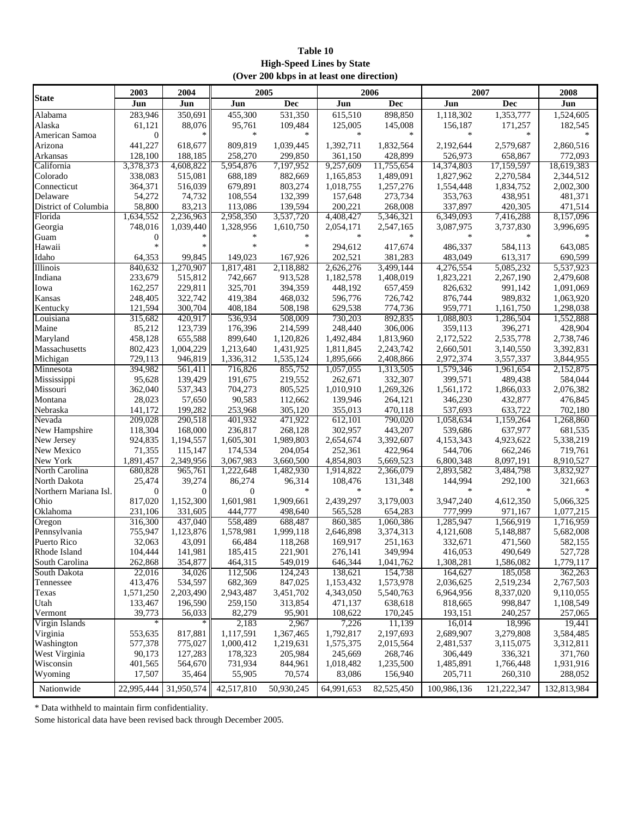#### **Table 10 High-Speed Lines by State (Over 200 kbps in at least one direction)**

|                       | 2007<br>2005<br>2006 |                |                |                   |                     |                      |             |             |             |
|-----------------------|----------------------|----------------|----------------|-------------------|---------------------|----------------------|-------------|-------------|-------------|
| <b>State</b>          | 2003                 | 2004           |                |                   |                     |                      |             |             | 2008        |
|                       | Jun                  | Jun            | Jun            | Dec               | Jun                 | <b>Dec</b>           | Jun         | Dec         | Jun         |
| Alabama               | 283,946              | 350,691        | 455,300        | 531,350           | 615,510             | 898,850              | 1,118,302   | 1,353,777   | 1,524,605   |
| Alaska                | 61,121               | 88,076         | 95,761         | 109,484           | 125,005             | 145,008              | 156,187     | 171,257     | 182,545     |
| American Samoa        | $\theta$             | $\ast$         | ∗              |                   | $\ast$              | $\ast$               |             | $\ast$      |             |
| Arizona               | 441,227              | 618,677        | 809,819        | 1,039,445         | 1,392,711           | 1,832,564            | 2,192,644   | 2,579,687   | 2,860,516   |
| Arkansas              | 128,100              | 188,185        | 258,270        | 299,850           | 361,150             | 428,899              | 526,973     | 658,867     | 772,093     |
| California            | 3,378,373            | 4,608,822      | 5,954,876      | 7,197,952         | 9,257,609           | 11,755,654           | 14,374,803  | 17,159,597  | 18,619,383  |
| Colorado              | 338,083              | 515,081        | 688,189        | 882,669           | 1,165,853           | 1,489,091            | 1,827,962   | 2,270,584   | 2,344,512   |
| Connecticut           | 364,371              | 516,039        | 679,891        | 803,274           | 1,018,755           | 1,257,276            | 1,554,448   | 1,834,752   | 2,002,300   |
| Delaware              | 54,272               | 74,732         | 108,554        | 132,399           | 157,648             | 273,734              | 353,763     | 438,951     | 481,371     |
| District of Columbia  | 58,800               | 83,213         | 113,086        | 139,594           | 200,221             | 268,008              | 337,897     | 420,305     | 471,514     |
| Florida               | 1,634,552            | 2,236,963      | 2,958,350      | 3,537,720         | 4,408,427           | 5,346,321            | 6,349,093   | 7,416,288   | 8,157,096   |
| Georgia               | 748,016              | 1.039.440      | 1,328,956      | 1,610,750         | 2,054,171           | 2,547,165            | 3,087,975   | 3,737,830   | 3,996,695   |
| Guam                  | $\overline{0}$       | $\ast$         |                |                   | $\ast$              | *                    |             | $\ast$      |             |
| Hawaii                | $\ast$               | $\ast$         | $\ast$         | $\ast$            | 294,612             | 417,674              | 486,337     | 584,113     | 643,085     |
| Idaho                 | 64,353               | 99,845         | 149,023        | 167,926           | 202,521             | 381,283              | 483,049     | 613,317     | 690,599     |
| Illinois              | 840,632              | 1,270,907      | 1,817,481      | 2,118,882         | 2,626,276           | 3,499,144            | 4,276,554   | 5,085,232   | 5,537,923   |
| Indiana               | 233,679              | 515,812        | 742,667        | 913,528           | 1,182,578           | 1,408,019            | 1,823,221   | 2,267,190   | 2,479,608   |
| Iowa                  | 162,257              | 229,811        | 325,701        | 394.359           | 448,192             | 657,459              | 826.632     | 991,142     | 1,091,069   |
| Kansas                | 248,405              | 322,742        | 419,384        | 468,032           | 596,776             | 726,742              | 876,744     | 989,832     | 1,063,920   |
| Kentucky              | 121,594              | 300,704        | 408,184        | 508,198           | 629,538             | 774,736              | 959,771     | 1,161,750   | 1,298,038   |
| Louisiana             | 315,682              | 420,917        | 536,934        | 508,009           | 730,203             | 892,835              | 1,088,803   | 1,286,504   | 1,552,888   |
| Maine                 | 85,212               | 123,739        | 176,396        | 214,599           | 248,440             | 306,006              | 359,113     | 396,271     | 428,904     |
| Maryland              | 458,128              | 655,588        | 899,640        | 1,120,826         | 1,492,484           | 1,813,960            | 2,172,522   | 2,535,778   | 2,738,746   |
|                       |                      |                |                |                   | 1,811,845           |                      | 2,660,501   |             | 3,392,831   |
| Massachusetts         | 802,423              | 1,004,229      | 1,213,640      | 1,431,925         |                     | 2,243,742            |             | 3,140,550   |             |
| Michigan              | 729,113              | 946,819        | 1,336,312      | 1,535,124         | 1,895,666           | 2,408,866            | 2,972,374   | 3,557,337   | 3,844,955   |
| Minnesota             | 394,982              | 561,411        | 716,826        | 855,752           | 1,057,055           | 1,313,505            | 1,579,346   | 1,961,654   | 2,152,875   |
| Mississippi           | 95,628               | 139,429        | 191,675        | 219,552           | 262,671             | 332,307              | 399,571     | 489,438     | 584,044     |
| Missouri              | 362,040              | 537,343        | 704,273        | 805,525           | 1,010,910           | 1,269,326            | 1,561,172   | 1,866,033   | 2,076,382   |
| Montana               | 28,023               | 57,650         | 90,583         | 112,662           | 139,946             | 264,121              | 346,230     | 432,877     | 476,845     |
| Nebraska              | 141,172              | 199,282        | 253,968        | 305,120           | 355,013             | 470,118              | 537,693     | 633,722     | 702,180     |
| Nevada                | 209,028              | 290,518        | 401,932        | 471,922           | 612,101             | 790,020              | 1,058,634   | 1,159,264   | 1,268,860   |
| New Hampshire         | 118,304              | 168,000        | 236,817        | 268,128           | 302,957             | 443,207              | 539,686     | 637,977     | 681,535     |
| New Jersey            | 924,835              | 1,194,557      | 1,605,301      | 1,989,803         | 2,654,674           | 3,392,607            | 4,153,343   | 4,923,622   | 5,338,219   |
| New Mexico            | 71,355               | 115,147        | 174,534        | 204,054           | 252,361             | 422,964              | 544,706     | 662,246     | 719,761     |
| New York              | 1,891,457            | 2,349,956      | 3,067,983      | 3,660,500         | 4,854,803           | 5,669,523            | 6,800,348   | 8,097,191   | 8,910,527   |
| North Carolina        | 680,828              | 965,761        | 1,222,648      | 1,482,930         | 1,914,822           | 2,366,079            | 2,893,582   | 3,484,798   | 3,832,927   |
| North Dakota          | 25,474               | 39,274         | 86,274         | 96,314            | 108.476             | 131,348              | 144,994     | 292,100     | 321,663     |
| Northern Mariana Isl. | $\theta$             | $\overline{0}$ | $\overline{0}$ | $\ast$            | $\ast$              | $\ast$               | $\ast$      | $\ast$      |             |
| Ohio                  | 817,020              | 1,152,300      | 1,601,981      | 1,909,661         | 2,439,297           | 3,179,003            | 3,947,240   | 4,612,350   | 5,066,325   |
| Oklahoma              | 231,106              | 331,605        | 444,777        | 498,640           | 565,528             | 654,283              | 777,999     | 971,167     | 1,077,215   |
| Oregon                | 316,300              | 437,040        | 558,489        | 688,487           | 860,385             | 1,060,386            | 1,285,947   | 1,566,919   | 1,716,959   |
| Pennsylvania          | 755,947              | 1,123,876      | 1,578,981      | 1,999,118         | 2,646,898           | 3,374,313            | 4,121,608   | 5,148,887   | 5,682,008   |
| Puerto Rico           | 32,063               | 43,091         | 66,484         | 118,268           | 169,917             | 251,163              | 332,671     | 471,560     | 582,155     |
| Rhode Island          | 104,444              | 141,981        | 185,415        | 221,901           | 276,141             | 349,994              | 416,053     | 490,649     | 527,728     |
| South Carolina        | 262,868              | 354,877        | 464,315        | 549,019           | 646,344             | 1,041,762            | 1,308,281   | 1,586,082   | 1,779,117   |
| South Dakota          | 22,016               | 34,026         | 112,506        | 124,243           | 138,621             | 154,738              | 164,627     | 185,058     | 362,263     |
| Tennessee             | 413,476              | 534,597        | 682,369        | 847,025           | 1,153,432           | 1,573,978            | 2,036,625   | 2,519,234   | 2,767,503   |
| Texas                 | 1,571,250            | 2,203,490      | 2,943,487      | 3,451,702         | 4,343,050           | 5,540,763            | 6,964,956   | 8,337,020   | 9,110,055   |
| Utah                  | 133,467              | 196,590        | 259,150        | 313,854           | 471,137             | 638,618              | 818,665     | 998,847     | 1,108,549   |
| Vermont               | 39,773               | 56,033         | 82,279         | 95,901            | 108,622             | 170,245              | 193,151     | 240,257     | 257,065     |
| Virgin Islands        | $\ast$               | ¥.             | 2,183          | 2,967             | 7,226               | 11,139               | 16,014      | 18,996      | 19,441      |
| Virginia              | 553,635              | 817,881        | 1,117,591      | 1,367,465         | 1,792,817           | 2,197,693            | 2,689,907   | 3,279,808   | 3,584,485   |
| Washington            | 577,378              | 775,027        | 1,000,412      | 1,219,631         | 1,575,375           | 2,015,564            | 2,481,537   | 3,115,075   | 3,312,811   |
| West Virginia         | 90,173               | 127,283        | 178,323        | 205,984           | 245,669             | 268,746              | 306,449     | 336,321     | 371,760     |
| Wisconsin             |                      | 564,670        | 731,934        |                   |                     |                      | 1,485,891   | 1,766,448   | 1,931,916   |
|                       | 401,565<br>17,507    | 35,464         |                | 844,961<br>70,574 | 1,018,482<br>83,086 | 1,235,500<br>156,940 | 205,711     | 260,310     | 288,052     |
| Wyoming<br>Nationwide | 22,995,444           |                | 55,905         |                   |                     |                      |             |             |             |
|                       |                      | 31,950,574     | 42,517,810     | 50,930,245        | 64,991,653          | 82,525,450           | 100,986,136 | 121,222,347 | 132,813,984 |

\* Data withheld to maintain firm confidentiality.

Some historical data have been revised back through December 2005.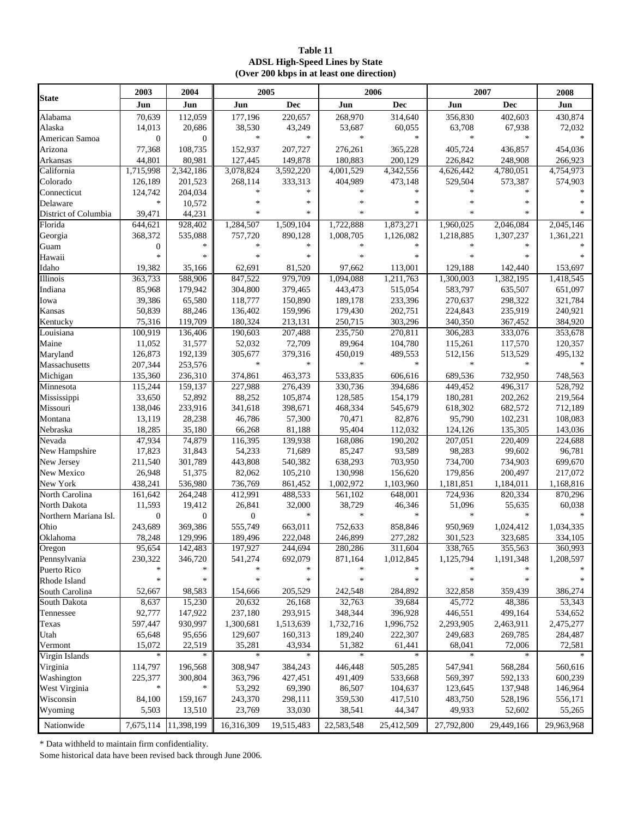#### **Table 11 ADSL High-Speed Lines by State (Over 200 kbps in at least one direction)**

|                       | 2003             | 2004         |            | 2005       |            | 2006                   |            | 2007                   | 2008       |
|-----------------------|------------------|--------------|------------|------------|------------|------------------------|------------|------------------------|------------|
| <b>State</b>          | Jun              | Jun          | Jun        | <b>Dec</b> | Jun        | Dec                    | Jun        | Dec                    | Jun        |
| Alabama               | 70,639           | 112.059      | 177,196    | 220.657    | 268,970    | 314,640                | 356,830    | 402.603                | 430,874    |
| Alaska                | 14,013           | 20,686       | 38,530     | 43,249     | 53,687     | 60,055                 | 63,708     | 67,938                 | 72,032     |
| American Samoa        | $\boldsymbol{0}$ | $\mathbf{0}$ | $\ast$     | *          | $\ast$     | $\ast$                 | $\ast$     | *                      | $\ast$     |
| Arizona               | 77,368           | 108,735      | 152,937    | 207,727    | 276,261    | 365,228                | 405,724    | 436,857                | 454,036    |
| Arkansas              | 44,801           | 80,981       | 127,445    | 149,878    | 180,883    | 200,129                | 226,842    | 248,908                | 266,923    |
| California            | 1,715,998        | 2,342,186    | 3,078,824  | 3,592,220  | 4,001,529  | $\overline{4,342,556}$ | 4,626,442  | $\overline{4,780,051}$ | 4,754,973  |
| Colorado              | 126,189          | 201,523      | 268,114    | 333,313    | 404,989    | 473,148                | 529,504    | 573,387                | 574,903    |
| Connecticut           | 124,742          | 204,034      | $\ast$     | $\ast$     | *          | $\ast$                 | $\ast$     | $\ast$                 |            |
| Delaware              | $\ast$           | 10,572       |            | $\ast$     | ×,         | $\ast$                 | $\ast$     | $\ast$                 |            |
| District of Columbia  | 39,471           | 44,231       |            | *          |            | $\ast$                 | $\ast$     | $\ast$                 |            |
| Florida               | 644,621          | 928,402      | 1,284,507  | 1,509,104  | 1,722,888  | 1,873,271              | 1,960,025  | 2,046,084              | 2,045,146  |
| Georgia               | 368,372          | 535,088      | 757,720    | 890,128    | 1,008,705  | 1,126,082              | 1,218,885  | 1,307,237              | 1,361,221  |
| Guam                  | $\boldsymbol{0}$ | $\ast$       |            | $\ast$     | ×          | $\ast$                 | $\ast$     | $\ast$                 |            |
| Hawaii                | $\ast$           | $\ast$       |            | $\ast$     |            | $\ast$                 | $\ast$     | *                      |            |
| Idaho                 | 19,382           | 35,166       | 62,691     | 81,520     | 97,662     | 113,001                | 129,188    | 142,440                | 153,697    |
| <b>Illinois</b>       | 363,733          | 588,906      | 847,522    | 979,709    | 1,094,088  | 1,211,763              | 1,300,003  | 1,382,195              | 1,418,545  |
| Indiana               | 85,968           | 179,942      | 304,800    | 379,465    | 443,473    | 515,054                | 583,797    | 635,507                | 651,097    |
| Iowa                  | 39,386           | 65,580       | 118,777    | 150,890    | 189,178    | 233,396                | 270,637    | 298,322                | 321,784    |
| Kansas                | 50,839           | 88,246       | 136,402    | 159,996    | 179,430    | 202,751                | 224,843    | 235,919                | 240,921    |
| Kentucky              | 75,316           | 119,709      | 180,324    | 213,131    | 250,715    | 303,296                | 340,350    | 367,452                | 384,920    |
| Louisiana             | 100,919          | 136,406      | 190,603    | 207,488    | 235,750    | 270,811                | 306,283    | 333,076                | 353,678    |
| Maine                 | 11,052           | 31,577       | 52,032     | 72,709     | 89,964     | 104,780                | 115,261    | 117,570                | 120,357    |
| Maryland              | 126,873          | 192,139      | 305,677    | 379,316    | 450,019    | 489,553                | 512,156    | 513,529                | 495,132    |
| Massachusetts         | 207,344          | 253,576      | $\ast$     | $\ast$     | $\ast$     | $\ast$                 | $\ast$     | $\ast$                 | $\ast$     |
| Michigan              | 135,360          | 236,310      | 374,861    | 463,373    | 533,835    | 606,616                | 689,536    | 732,950                | 748.563    |
| Minnesota             | 115,244          | 159,137      | 227,988    | 276,439    | 330,736    | 394,686                | 449,452    | 496,317                | 528,792    |
| Mississippi           | 33,650           | 52,892       | 88,252     | 105,874    | 128,585    | 154,179                | 180,281    | 202,262                | 219,564    |
| Missouri              | 138,046          | 233,916      | 341,618    | 398,671    | 468,334    | 545,679                | 618,302    | 682,572                | 712,189    |
| Montana               | 13,119           | 28,238       | 46,786     | 57,300     | 70,471     | 82,876                 | 95,790     | 102,231                | 108,083    |
| Nebraska              | 18,285           | 35,180       | 66,268     | 81,188     | 95,404     | 112,032                | 124,126    | 135,305                | 143,036    |
| Nevada                | 47,934           | 74,879       | 116,395    | 139,938    | 168,086    | 190,202                | 207,051    | 220,409                | 224,688    |
| New Hampshire         | 17,823           | 31,843       | 54,233     | 71,689     | 85,247     | 93,589                 | 98,283     | 99,602                 | 96,781     |
| New Jersey            | 211,540          | 301,789      | 443,808    | 540,382    | 638,293    | 703,950                | 734,700    | 734,903                | 699,670    |
| New Mexico            | 26,948           | 51,375       | 82,062     | 105,210    | 130,998    | 156,620                | 179,856    | 200,497                | 217,072    |
| New York              | 438,241          | 536,980      | 736,769    | 861,452    | 1,002,972  | 1,103,960              | 1,181,851  | 1,184,011              | 1,168,816  |
| North Carolina        | 161,642          | 264,248      | 412,991    | 488,533    | 561,102    | 648,001                | 724,936    | 820,334                | 870,296    |
| North Dakota          | 11,593           | 19,412       | 26,841     | 32,000     | 38,729     | 46,346                 | 51,096     | 55,635                 | 60,038     |
| Northern Mariana Isl. | $\boldsymbol{0}$ | $\mathbf{0}$ | 0          | $\ast$     | $\ast$     | $\ast$                 | $\ast$     | $\ast$                 |            |
| Ohio                  | 243,689          | 369,386      | 555,749    | 663,011    | 752,633    | 858,846                | 950,969    | 1,024,412              | 1,034,335  |
| Oklahoma              | 78,248           | 129,996      | 189,496    | 222,048    | 246,899    | 277,282                | 301,523    | 323,685                | 334,105    |
| Oregon                | 95,654           | 142,483      | 197,927    | 244,694    | 280,286    | 311,604                | 338,765    | 355,563                | 360,993    |
| Pennsylvania          | 230,322          | 346,720      | 541,274    | 692,079    | 871,164    | 1,012,845              | 1,125,794  | 1,191,348              | 1,208,597  |
| Puerto Rico           | $\ast$           | *            |            |            |            | *                      |            | *                      |            |
| Rhode Island          | $\ast$           | $\ast$       |            | $\ast$     | *          | $\ast$                 | $\ast$     | *                      |            |
| South Carolina        | 52,667           | 98,583       | 154,666    | 205,529    | 242,548    | 284,892                | 322,858    | 359,439                | 386,274    |
| South Dakota          | 8,637            | 15,230       | 20,632     | 26,168     | 32,763     | 39,684                 | 45,772     | 48,386                 | 53,343     |
| Tennessee             | 92,777           | 147,922      | 237,180    | 293,915    | 348,344    | 396,928                | 446,551    | 499,164                | 534,652    |
| Texas                 | 597,447          | 930,997      | 1,300,681  | 1,513,639  | 1,732,716  | 1,996,752              | 2,293,905  | 2,463,911              | 2,475,277  |
| Utah                  | 65,648           | 95,656       | 129,607    | 160,313    | 189,240    | 222,307                | 249,683    | 269,785                | 284,487    |
| Vermont               | 15,072           | 22,519       | 35,281     | 43,934     | 51,382     | 61,441                 | 68,041     | 72,006                 | 72,581     |
| Virgin Islands        | $\ast$           |              | $\ast$     | $\ast$     | $\ast$     | $\ast$                 | $\ast$     | $\ast$                 |            |
| Virginia              | 114,797          | 196,568      | 308,947    | 384,243    | 446,448    | 505,285                | 547,941    | 568,284                | 560,616    |
| Washington            | 225,377          | 300,804      | 363,796    | 427,451    | 491,409    | 533,668                | 569,397    | 592,133                | 600,239    |
| West Virginia         | $\ast$           | $\ast$       | 53,292     | 69,390     | 86,507     | 104,637                | 123,645    | 137,948                | 146,964    |
| Wisconsin             | 84,100           | 159,167      | 243,370    | 298,111    | 359,530    | 417,510                | 483,750    | 528,196                | 556,171    |
| Wyoming               | 5,503            | 13,510       | 23,769     | 33,030     | 38,541     | 44,347                 | 49,933     | 52,602                 | 55,265     |
| Nationwide            | 7,675,114        | 11,398,199   | 16,316,309 | 19,515,483 | 22,583,548 | 25,412,509             | 27,792,800 | 29,449,166             | 29,963,968 |

\* Data withheld to maintain firm confidentiality.

Some historical data have been revised back through June 2006.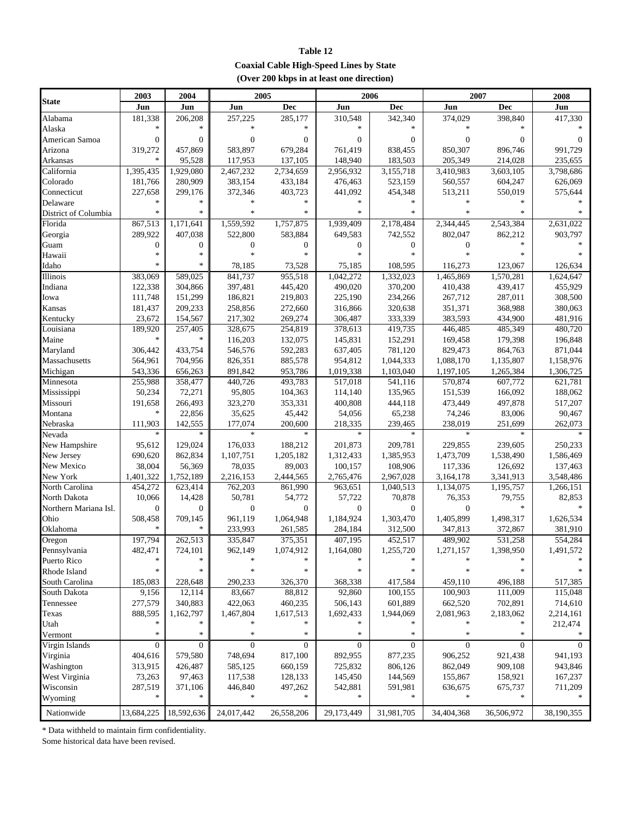| Table 12                                       |
|------------------------------------------------|
| <b>Coaxial Cable High-Speed Lines by State</b> |
| (Over 200 kbps in at least one direction)      |

|                       | 2003              | 2004              | 2005               |                  |              | 2006         | 2007             |              | 2008       |
|-----------------------|-------------------|-------------------|--------------------|------------------|--------------|--------------|------------------|--------------|------------|
| <b>State</b>          | Jun               | Jun               | Jun                | Dec              | Jun          | <b>Dec</b>   | Jun              | <b>Dec</b>   | Jun        |
| Alabama               | 181,338           | 206,208           | 257,225            | 285,177          | 310,548      | 342,340      | 374,029          | 398,840      | 417,330    |
| Alaska                |                   |                   |                    |                  |              |              |                  |              |            |
| American Samoa        | $\boldsymbol{0}$  | $\overline{0}$    | $\mathbf{0}$       | $\overline{0}$   | $\mathbf{0}$ | $\Omega$     | $\boldsymbol{0}$ | $\Omega$     | $\Omega$   |
| Arizona               | 319,272           | 457,869           | 583,897            | 679,284          | 761,419      | 838,455      | 850,307          | 896,746      | 991,729    |
| Arkansas              | $\ast$            | 95,528            | 117,953            | 137,105          | 148,940      | 183,503      | 205,349          | 214,028      | 235,655    |
| California            | 1,395,435         | 1,929,080         | 2,467,232          | 2,734,659        | 2,956,932    | 3,155,718    | 3,410,983        | 3,603,105    | 3,798,686  |
| Colorado              | 181,766           | 280,909           | 383,154            | 433,184          | 476,463      | 523,159      | 560,557          | 604,247      | 626,069    |
| Connecticut           | 227,658           | 299,176           | 372,346            | 403,723          | 441,092      | 454,348      | 513,211          | 550,019      | 575,644    |
| Delaware              | $\ast$            | $\ast$            |                    | $\ast$           | $\ast$       | $\ast$       | $\ast$           |              |            |
| District of Columbia  | $\ast$            | $\ast$            | $\ast$             | *                | $\ast$       | $\ast$       | $\ast$           | $\ast$       |            |
| Florida               | 867,513           | 1,171,641         | 1,559,592          | 1,757,875        | 1,939,409    | 2,178,484    | 2,344,445        | 2,543,384    | 2,631,022  |
| Georgia               | 289,922           | 407,038           | 522,800            | 583,884          | 649,583      | 742,552      | 802,047          | 862,212      | 903,797    |
| Guam                  | $\boldsymbol{0}$  | $\boldsymbol{0}$  | $\boldsymbol{0}$   | $\mathbf{0}$     | $\mathbf{0}$ | $\mathbf{0}$ | $\mathbf{0}$     | $\ast$       |            |
| Hawaii                | $\ast$            | $\ast$            | *.                 | $\ast$           | $\ast$       | $\mathbf{k}$ | $\ast$           |              |            |
| Idaho                 | *                 | $\ast$            | 78,185             | 73,528           | 75,185       | 108,595      | 116,273          | 123,067      | 126,634    |
| Illinois              | 383,069           | 589,025           | 841,737            | 955,518          | 1,042,272    | 1,332,023    | 1,465,869        | 1,570,281    | 1,624,647  |
| Indiana               | 122,338           | 304,866           | 397,481            | 445,420          | 490,020      | 370,200      | 410,438          | 439,417      | 455,929    |
| Iowa                  | 111,748           | 151,299           | 186,821            | 219,803          | 225,190      | 234,266      | 267,712          | 287,011      | 308,500    |
| Kansas                | 181,437           | 209,233           |                    | 272,660          | 316,866      | 320,638      | 351,371          | 368,988      | 380,063    |
| Kentucky              | 23.672            | 154,567           | 258,856<br>217,302 | 269,274          | 306,487      | 333,339      | 383,593          | 434,900      | 481,916    |
|                       |                   |                   |                    |                  | 378,613      |              |                  |              |            |
| Louisiana             | 189,920<br>$\ast$ | 257,405<br>$\ast$ | 328,675            | 254,819          |              | 419,735      | 446,485          | 485,349      | 480,720    |
| Maine                 |                   |                   | 116,203            | 132,075          | 145,831      | 152,291      | 169,458          | 179,398      | 196,848    |
| Maryland              | 306,442           | 433,754           | 546,576            | 592,283          | 637,405      | 781,120      | 829,473          | 864,763      | 871,044    |
| Massachusetts         | 564,961           | 704,956           | 826,351            | 885,578          | 954,812      | 1,044,333    | 1,088,170        | 1,135,807    | 1,158,976  |
| Michigan              | 543,336           | 656,263           | 891,842            | 953,786          | 1,019,338    | 1,103,040    | 1,197,105        | 1,265,384    | 1,306,725  |
| Minnesota             | 255,988           | 358,477           | 440,726            | 493,783          | 517,018      | 541,116      | 570,874          | 607,772      | 621,781    |
| Mississippi           | 50,234            | 72,271            | 95,805             | 104,363          | 114,140      | 135,965      | 151,539          | 166,092      | 188,062    |
| Missouri              | 191,658           | 266,493           | 323,270            | 353,331          | 400,808      | 444,118      | 473,449          | 497,878      | 517,207    |
| Montana               | *                 | 22,856            | 35,625             | 45,442           | 54,056       | 65,238       | 74,246           | 83,006       | 90,467     |
| Nebraska              | 111,903           | 142,555           | 177,074            | 200,600          | 218,335      | 239,465      | 238,019          | 251,699      | 262,073    |
| Nevada                | $\ast$            | $\ast$            | $\ast$             | $\ast$           | $\ast$       | $\ast$       | $\ast$           | $\ast$       |            |
| New Hampshire         | 95,612            | 129,024           | 176,033            | 188,212          | 201,873      | 209,781      | 229,855          | 239,605      | 250,233    |
| New Jersey            | 690,620           | 862,834           | 1,107,751          | 1,205,182        | 1,312,433    | 1,385,953    | 1,473,709        | 1,538,490    | 1,586,469  |
| New Mexico            | 38,004            | 56,369            | 78,035             | 89,003           | 100,157      | 108,906      | 117,336          | 126,692      | 137,463    |
| New York              | 1,401,322         | 1,752,189         | 2,216,153          | 2,444,565        | 2,765,476    | 2,967,028    | 3,164,178        | 3,341,913    | 3,548,486  |
| North Carolina        | 454,272           | 623,414           | 762,203            | 861,990          | 963,651      | 1,040,513    | 1,134,075        | 1,195,757    | 1,266,151  |
| North Dakota          | 10,066            | 14,428            | 50,781             | 54,772           | 57,722       | 70,878       | 76,353           | 79,755       | 82,853     |
| Northern Mariana Isl. | $\boldsymbol{0}$  | $\boldsymbol{0}$  | $\boldsymbol{0}$   | $\boldsymbol{0}$ | $\mathbf{0}$ | $\theta$     | $\boldsymbol{0}$ | $\ast$       |            |
| Ohio                  | 508,458           | 709,145           | 961,119            | 1,064,948        | 1,184,924    | 1,303,470    | 1,405,899        | 1,498,317    | 1,626,534  |
| Oklahoma              | $\ast$            | *                 | 233,993            | 261,585          | 284,184      | 312,500      | 347,813          | 372,867      | 381,910    |
| Oregon                | 197,794           | 262,513           | 335,847            | 375,351          | 407,195      | 452,517      | 489,902          | 531,258      | 554,284    |
| Pennsylvania          | 482,471           | 724,101           | 962,149            | 1,074,912        | 1,164,080    | 1,255,720    | 1,271,157        | 1,398,950    | 1,491,572  |
| Puerto Rico           | ∗                 | $\ast$            | $\ast$             | *                | *            | *            |                  |              |            |
| Rhode Island          | *                 | $\ast$            | *                  |                  |              |              |                  |              |            |
| South Carolina        | 185,083           | 228,648           | 290,233            | 326,370          | 368,338      | 417,584      | 459,110          | 496,188      | 517,385    |
| South Dakota          | 9,156             | 12,114            | 83,667             | 88,812           | 92,860       | 100,155      | 100,903          | 111,009      | 115,048    |
| Tennessee             | 277,579           | 340,883           | 422,063            | 460,235          | 506,143      | 601,889      | 662,520          | 702,891      | 714,610    |
| Texas                 | 888,595           | 1,162,797         | 1,467,804          | 1,617,513        | 1,692,433    | 1,944,069    | 2,081,963        | 2,183,062    | 2,214,161  |
| Utah                  | $\ast$            | *                 |                    | $\ast$           |              |              |                  |              | 212,474    |
| Vermont               | *                 | $\ast$            | $\ast$             | *                | *            | *            | *                | *            |            |
| Virgin Islands        | 0                 | $\boldsymbol{0}$  | $\mathbf{0}$       | $\boldsymbol{0}$ | $\mathbf{0}$ | $\mathbf{0}$ | $\mathbf{0}$     | $\mathbf{0}$ | $\Omega$   |
| Virginia              | 404,616           | 579,580           | 748,694            | 817,100          | 892,955      | 877,235      | 906,252          | 921,438      | 941,193    |
| Washington            | 313,915           | 426,487           | 585,125            | 660,159          | 725,832      | 806,126      | 862,049          | 909,108      | 943,846    |
| West Virginia         | 73,263            | 97,463            | 117,538            | 128,133          | 145,450      | 144,569      | 155,867          | 158,921      | 167,237    |
| Wisconsin             | 287,519           | 371,106           | 446,840            | 497,262          | 542,881      | 591,981      | 636,675          | 675,737      | 711,209    |
| Wyoming               | $\ast$            | $\ast$            | *                  | $\ast$           | $\ast$       | $\ast$       | $\ast$           | $\ast$       |            |
|                       |                   |                   |                    |                  |              |              |                  |              |            |
| Nationwide            | 13,684,225        | 18,592,636        | 24,017,442         | 26,558,206       | 29,173,449   | 31,981,705   | 34,404,368       | 36,506,972   | 38,190,355 |

\* Data withheld to maintain firm confidentiality.

Some historical data have been revised.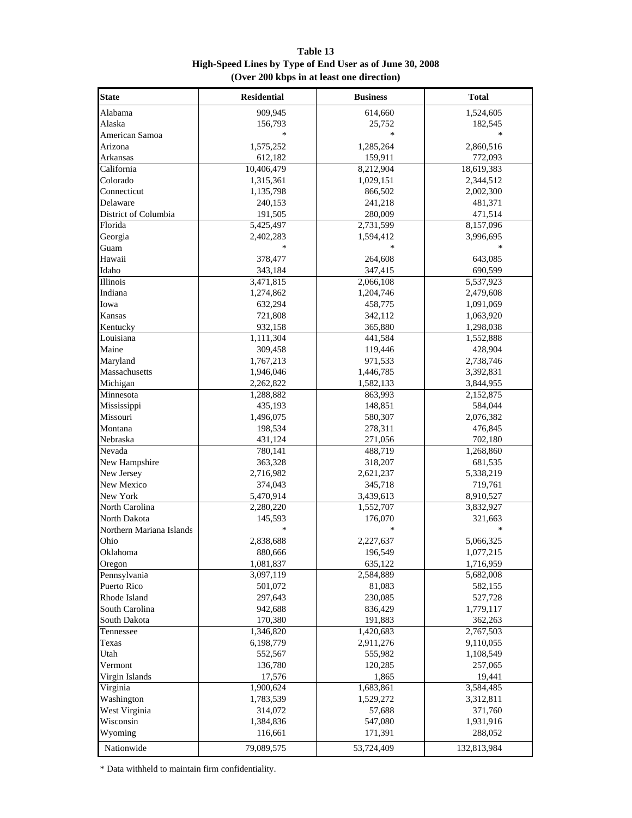| <b>State</b>             | <b>Residential</b>     | <b>Business</b>        | <b>Total</b>           |
|--------------------------|------------------------|------------------------|------------------------|
| Alabama                  | 909,945                | 614,660                | 1,524,605              |
| Alaska                   | 156,793                | 25,752                 | 182,545                |
| American Samoa           |                        | $\ast$                 |                        |
| Arizona                  | 1,575,252              | 1,285,264              | 2,860,516              |
| Arkansas                 | 612,182                | 159,911                | 772,093                |
| California               | 10,406,479             | 8,212,904              | 18,619,383             |
| Colorado                 | 1,315,361              | 1,029,151              | 2,344,512              |
| Connecticut              | 1,135,798              | 866,502                | 2,002,300              |
| Delaware                 | 240,153                | 241,218                | 481,371                |
| District of Columbia     | 191,505                | 280,009                | 471,514                |
| Florida                  | 5,425,497              | 2,731,599              | 8,157,096              |
| Georgia                  | 2,402,283              | 1,594,412              | 3,996,695              |
| Guam                     |                        |                        | $\ast$                 |
| Hawaii                   | 378,477                | 264,608                | 643,085                |
| Idaho                    | 343,184                | 347,415                | 690,599                |
| <b>Illinois</b>          | 3,471,815              | 2,066,108              | 5,537,923              |
| Indiana                  | 1,274,862              | 1,204,746              | 2,479,608              |
| Iowa                     | 632,294                | 458,775                | 1,091,069              |
| Kansas                   | 721,808                | 342,112                | 1,063,920              |
| Kentucky                 | 932,158                | 365,880                | 1,298,038              |
| Louisiana                | 1,111,304              | 441,584                | 1,552,888              |
| Maine                    | 309,458                | 119,446                | 428,904                |
| Maryland                 | 1,767,213              | 971,533                | 2,738,746              |
| Massachusetts            |                        |                        |                        |
| Michigan                 | 1,946,046<br>2,262,822 | 1,446,785<br>1,582,133 | 3,392,831<br>3,844,955 |
|                          |                        |                        |                        |
| Minnesota                | 1,288,882              | 863,993                | 2,152,875              |
| Mississippi              | 435,193                | 148,851                | 584,044                |
| Missouri                 | 1,496,075              | 580,307                | 2,076,382              |
| Montana                  | 198,534                | 278,311                | 476,845                |
| Nebraska                 | 431,124                | 271,056                | 702,180                |
| Nevada                   | 780,141                | 488,719                | 1,268,860              |
| New Hampshire            | 363,328                | 318,207                | 681,535                |
| New Jersey               | 2,716,982              | 2,621,237              | 5,338,219              |
| New Mexico               | 374,043                | 345,718                | 719,761                |
| New York                 | 5,470,914              | 3,439,613              | 8,910,527              |
| North Carolina           | 2,280,220              | 1,552,707              | 3,832,927              |
| North Dakota             | 145,593                | 176,070                | 321,663                |
| Northern Mariana Islands | $\ast$                 | $\ast$                 | $\ast$                 |
| Ohio                     | 2,838,688              | 2,227,637              | 5,066,325              |
| Oklahoma                 | 880,666                | 196,549                | 1,077,215              |
| Oregon                   | 1,081,837              | 635,122                | 1,716,959              |
| Pennsylvania             | 3,097,119              | 2,584,889              | 5,682,008              |
| Puerto Rico              | 501,072                | 81,083                 | 582,155                |
| Rhode Island             | 297,643                | 230,085                | 527,728                |
| South Carolina           | 942,688                | 836,429                | 1,779,117              |
| South Dakota             | 170,380                | 191,883                | 362,263                |
| Tennessee                | 1,346,820              | 1,420,683              | 2,767,503              |
| Texas                    | 6,198,779              | 2,911,276              | 9,110,055              |
| Utah                     | 552,567                | 555,982                | 1,108,549              |
| Vermont                  | 136,780                | 120,285                | 257,065                |
| Virgin Islands           | 17,576                 | 1,865                  | 19,441                 |
| Virginia                 | 1,900,624              | 1,683,861              | 3,584,485              |
| Washington               | 1,783,539              | 1,529,272              | 3,312,811              |
| West Virginia            | 314,072                | 57,688                 | 371,760                |
| Wisconsin                | 1,384,836              | 547,080                | 1,931,916              |
| Wyoming                  | 116,661                | 171,391                | 288,052                |
| Nationwide               | 79,089,575             | 53,724,409             | 132,813,984            |

**Table 13 High-Speed Lines by Type of End User as of June 30, 2008 (Over 200 kbps in at least one direction)**

\* Data withheld to maintain firm confidentiality.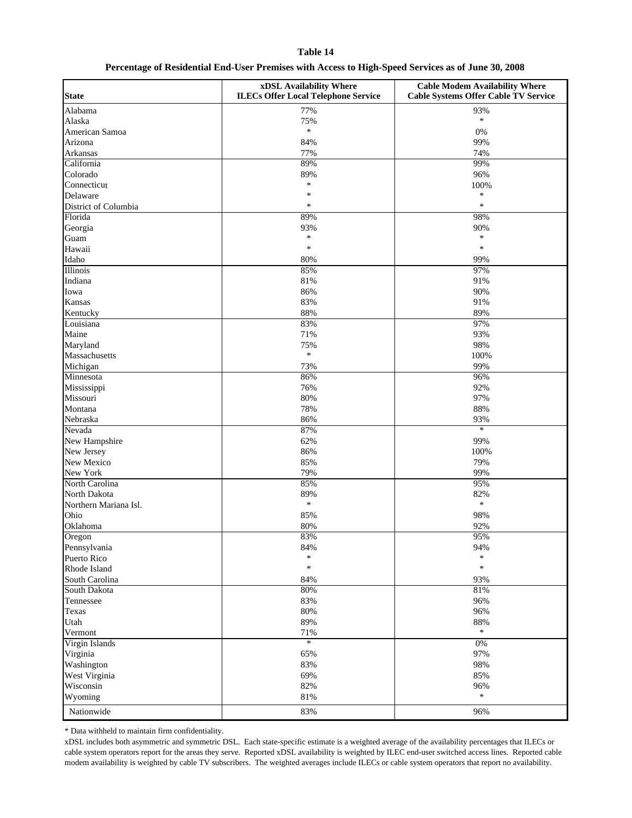#### **Table 14**

#### **Percentage of Residential End-User Premises with Access to High-Speed Services as of June 30, 2008**

| <b>State</b>          | xDSL Availability Where<br><b>ILECs Offer Local Telephone Service</b> | <b>Cable Modem Availability Where</b><br><b>Cable Systems Offer Cable TV Service</b> |
|-----------------------|-----------------------------------------------------------------------|--------------------------------------------------------------------------------------|
| Alabama               | 77%                                                                   | 93%                                                                                  |
| Alaska                | 75%                                                                   | $\ast$                                                                               |
| American Samoa        | $\ast$                                                                | 0%                                                                                   |
| Arizona               | 84%                                                                   | 99%                                                                                  |
| Arkansas              | 77%                                                                   | 74%                                                                                  |
| California            | 89%                                                                   | 99%                                                                                  |
| Colorado              | 89%                                                                   | 96%                                                                                  |
| Connecticut           | $\ast$                                                                | 100%                                                                                 |
| Delaware              | ∗                                                                     | $\ast$                                                                               |
|                       | $\ast$                                                                | $\ast$                                                                               |
| District of Columbia  |                                                                       |                                                                                      |
| Florida               | 89%                                                                   | 98%                                                                                  |
| Georgia               | 93%<br>$\ast$                                                         | 90%<br>$\ast$                                                                        |
| Guam                  |                                                                       |                                                                                      |
| Hawaii                | $\ast$                                                                | $\ast$                                                                               |
| Idaho                 | 80%                                                                   | 99%                                                                                  |
| Illinois              | 85%                                                                   | 97%                                                                                  |
| Indiana               | 81%                                                                   | 91%                                                                                  |
| Iowa                  | 86%                                                                   | 90%                                                                                  |
| Kansas                | 83%                                                                   | 91%                                                                                  |
| Kentucky              | 88%                                                                   | 89%                                                                                  |
| Louisiana             | 83%                                                                   | 97%                                                                                  |
| Maine                 | 71%                                                                   | 93%                                                                                  |
| Maryland              | 75%                                                                   | 98%                                                                                  |
| Massachusetts         | $\ast$                                                                | 100%                                                                                 |
| Michigan              | 73%                                                                   | 99%                                                                                  |
| Minnesota             | 86%                                                                   | 96%                                                                                  |
| Mississippi           | 76%                                                                   | 92%                                                                                  |
| Missouri              | 80%                                                                   | 97%                                                                                  |
| Montana               | 78%                                                                   | 88%                                                                                  |
|                       |                                                                       |                                                                                      |
| Nebraska              | 86%                                                                   | 93%<br>$\ast$                                                                        |
| Nevada                | 87%                                                                   |                                                                                      |
| New Hampshire         | 62%                                                                   | 99%                                                                                  |
| New Jersey            | 86%                                                                   | 100%                                                                                 |
| New Mexico            | 85%                                                                   | 79%                                                                                  |
| New York              | 79%                                                                   | 99%                                                                                  |
| North Carolina        | 85%                                                                   | 95%                                                                                  |
| North Dakota          | 89%                                                                   | 82%                                                                                  |
| Northern Mariana Isl. | $\ast$                                                                | $\ast$                                                                               |
| Ohio                  | 85%                                                                   | 98%                                                                                  |
| Oklahoma              | 80%                                                                   | 92%                                                                                  |
| Oregon                | 83%                                                                   | 95%                                                                                  |
| Pennsylvania          | 84%                                                                   | 94%                                                                                  |
| Puerto Rico           | $\star$                                                               | $\ast$                                                                               |
| Rhode Island          | $\ast$                                                                | $\ast$                                                                               |
| South Carolina        | 84%                                                                   | 93%                                                                                  |
| South Dakota          | 80%                                                                   | 81%                                                                                  |
| Tennessee             | 83%                                                                   | 96%                                                                                  |
| Texas                 | 80%                                                                   | 96%                                                                                  |
| Utah                  | 89%                                                                   | 88%                                                                                  |
| Vermont               | $71\%$                                                                | *                                                                                    |
|                       | $\ast$                                                                | 0%                                                                                   |
| Virgin Islands        |                                                                       |                                                                                      |
| Virginia              | 65%                                                                   | 97%                                                                                  |
| Washington            | 83%                                                                   | 98%                                                                                  |
| West Virginia         | 69%                                                                   | 85%                                                                                  |
| Wisconsin             | 82%                                                                   | 96%                                                                                  |
| Wyoming               | $81\%$                                                                | $\ast$                                                                               |
| Nationwide            | 83%                                                                   | 96%                                                                                  |

\* Data withheld to maintain firm confidentiality.

xDSL includes both asymmetric and symmetric DSL. Each state-specific estimate is a weighted average of the availability percentages that ILECs or cable system operators report for the areas they serve. Reported xDSL availability is weighted by ILEC end-user switched access lines. Reported cable modem availability is weighted by cable TV subscribers. The weighted averages include ILECs or cable system operators that report no availability.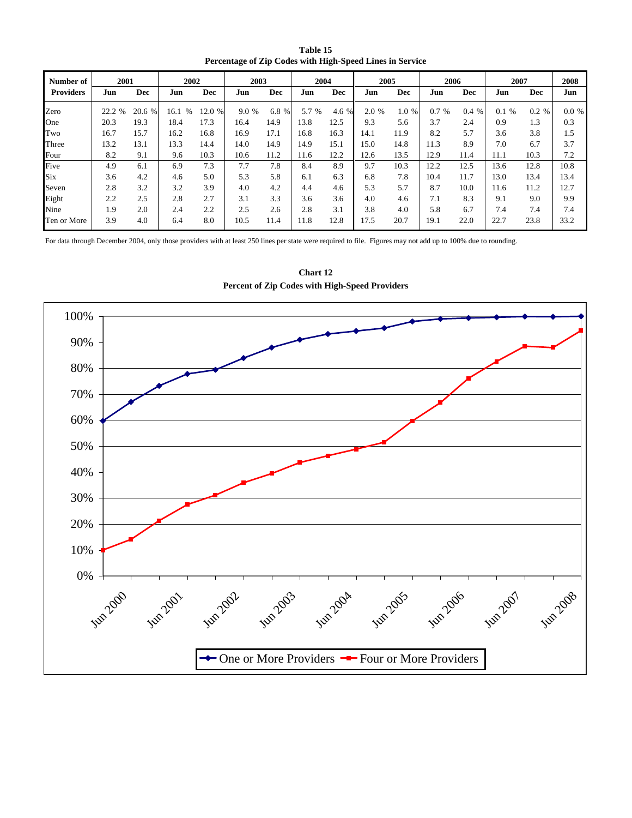**Table 15 Percentage of Zip Codes with High-Speed Lines in Service**

| Number of        | 2001                  |              | 2002      |            | 2003        |       | 2004        |                      | 2005  |             | 2006                 |             | 2007        |            | 2008     |
|------------------|-----------------------|--------------|-----------|------------|-------------|-------|-------------|----------------------|-------|-------------|----------------------|-------------|-------------|------------|----------|
| <b>Providers</b> | Jun                   | <b>Dec</b>   | Jun       | <b>Dec</b> | Jun         | Dec   | Jun         | <b>Dec</b>           | Jun   | <b>Dec</b>  | Jun                  | <b>Dec</b>  | Jun         | <b>Dec</b> | Jun      |
| Zero             | 22.2<br>$\frac{0}{0}$ | 20.6<br>$\%$ | 16.1<br>% | 12.0 %     | 9.0<br>$\%$ | 6.8 % | 5.7<br>$\%$ | 4.6<br>$\frac{9}{6}$ | 2.0 % | 1.0<br>$\%$ | 0.7<br>$\frac{0}{0}$ | 0.4<br>$\%$ | $\%$<br>0.1 | 0.2 %      | $0.0 \%$ |
| One              | 20.3                  | 19.3         | 18.4      | 17.3       | 16.4        | 14.9  | 13.8        | 12.5                 | 9.3   | 5.6         | 3.7                  | 2.4         | 0.9         | 1.3        | 0.3      |
| Two              | 16.7                  | 15.7         | 16.2      | 16.8       | 16.9        | 17.1  | 16.8        | 16.3                 | 14.1  | 11.9        | 8.2                  | 5.7         | 3.6         | 3.8        | 1.5      |
| Three            | 13.2                  | 13.1         | 13.3      | 14.4       | 14.0        | 14.9  | 14.9        | 15.1                 | 15.0  | 14.8        | 11.3                 | 8.9         | 7.0         | 6.7        | 3.7      |
| Four             | 8.2                   | 9.1          | 9.6       | 10.3       | 10.6        | 11.2  | 11.6        | 12.2                 | 12.6  | 13.5        | 12.9                 | 11.4        | 11.1        | 10.3       | 7.2      |
| Five             | 4.9                   | 6.1          | 6.9       | 7.3        | 7.7         | 7.8   | 8.4         | 8.9                  | 9.7   | 10.3        | 12.2                 | 12.5        | 13.6        | 12.8       | 10.8     |
| <b>Six</b>       | 3.6                   | 4.2          | 4.6       | 5.0        | 5.3         | 5.8   | 6.1         | 6.3                  | 6.8   | 7.8         | 10.4                 | 11.7        | 13.0        | 13.4       | 13.4     |
| Seven            | 2.8                   | 3.2          | 3.2       | 3.9        | 4.0         | 4.2   | 4.4         | 4.6                  | 5.3   | 5.7         | 8.7                  | 10.0        | 11.6        | 11.2       | 12.7     |
| Eight            | 2.2                   | 2.5          | 2.8       | 2.7        | 3.1         | 3.3   | 3.6         | 3.6                  | 4.0   | 4.6         | 7.1                  | 8.3         | 9.1         | 9.0        | 9.9      |
| Nine             | 1.9                   | 2.0          | 2.4       | 2.2        | 2.5         | 2.6   | 2.8         | 3.1                  | 3.8   | 4.0         | 5.8                  | 6.7         | 7.4         | 7.4        | 7.4      |
| Ten or More      | 3.9                   | 4.0          | 6.4       | 8.0        | 10.5        | 11.4  | 11.8        | 12.8                 | 17.5  | 20.7        | 19.1                 | 22.0        | 22.7        | 23.8       | 33.2     |

For data through December 2004, only those providers with at least 250 lines per state were required to file. Figures may not add up to 100% due to rounding.



**Chart 12 Percent of Zip Codes with High-Speed Providers**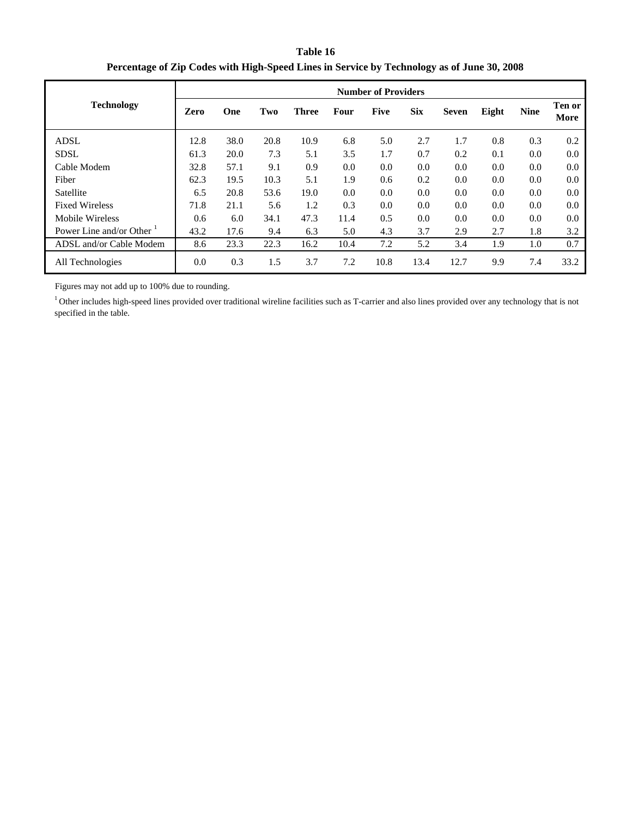**Table 16 Percentage of Zip Codes with High-Speed Lines in Service by Technology as of June 30, 2008**

|                         |      | <b>Number of Providers</b> |      |              |      |             |            |              |       |             |                |  |
|-------------------------|------|----------------------------|------|--------------|------|-------------|------------|--------------|-------|-------------|----------------|--|
| <b>Technology</b>       | Zero | One                        | Two  | <b>Three</b> | Four | <b>Five</b> | <b>Six</b> | <b>Seven</b> | Eight | <b>Nine</b> | Ten or<br>More |  |
| <b>ADSL</b>             | 12.8 | 38.0                       | 20.8 | 10.9         | 6.8  | 5.0         | 2.7        | 1.7          | 0.8   | 0.3         | 0.2            |  |
| <b>SDSL</b>             | 61.3 | 20.0                       | 7.3  | 5.1          | 3.5  | 1.7         | 0.7        | 0.2          | 0.1   | 0.0         | 0.0            |  |
| Cable Modem             | 32.8 | 57.1                       | 9.1  | 0.9          | 0.0  | 0.0         | 0.0        | 0.0          | 0.0   | 0.0         | 0.0            |  |
| Fiber                   | 62.3 | 19.5                       | 10.3 | 5.1          | 1.9  | 0.6         | 0.2        | 0.0          | 0.0   | 0.0         | 0.0            |  |
| Satellite               | 6.5  | 20.8                       | 53.6 | 19.0         | 0.0  | 0.0         | 0.0        | 0.0          | 0.0   | 0.0         | 0.0            |  |
| <b>Fixed Wireless</b>   | 71.8 | 21.1                       | 5.6  | 1.2          | 0.3  | 0.0         | 0.0        | 0.0          | 0.0   | 0.0         | 0.0            |  |
| Mobile Wireless         | 0.6  | 6.0                        | 34.1 | 47.3         | 11.4 | 0.5         | 0.0        | 0.0          | 0.0   | 0.0         | 0.0            |  |
| Power Line and/or Other | 43.2 | 17.6                       | 9.4  | 6.3          | 5.0  | 4.3         | 3.7        | 2.9          | 2.7   | 1.8         | 3.2            |  |
| ADSL and/or Cable Modem | 8.6  | 23.3                       | 22.3 | 16.2         | 10.4 | 7.2         | 5.2        | 3.4          | 1.9   | 1.0         | 0.7            |  |
| All Technologies        | 0.0  | 0.3                        | 1.5  | 3.7          | 7.2  | 10.8        | 13.4       | 12.7         | 9.9   | 7.4         | 33.2           |  |

Figures may not add up to 100% due to rounding.

<sup>1</sup> Other includes high-speed lines provided over traditional wireline facilities such as T-carrier and also lines provided over any technology that is not specified in the table.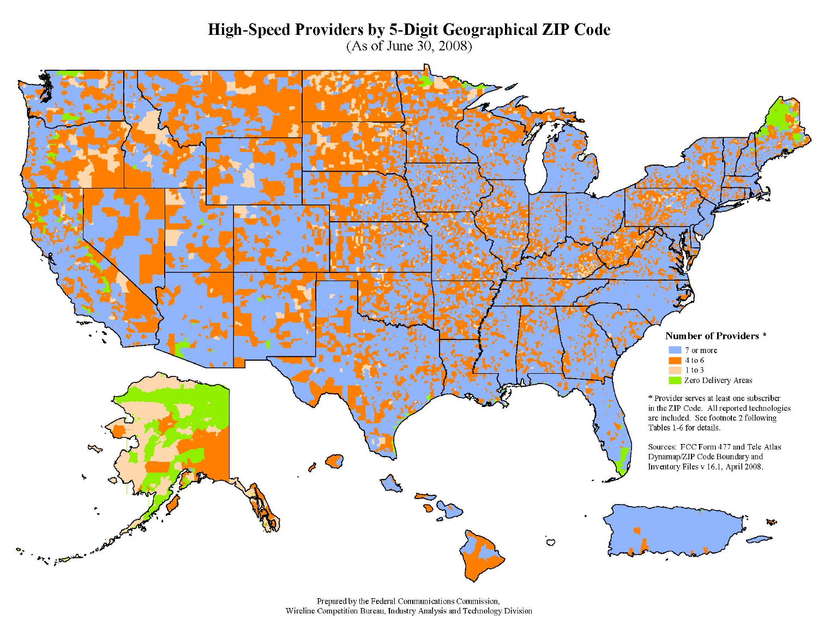# High-Speed Providers by 5-Digit Geographical ZIP Code<br>(As of June 30, 2008)



Prepared by the Federal Communications Commission, Wireline Competition Bureau, Industry Analysis and Technology Division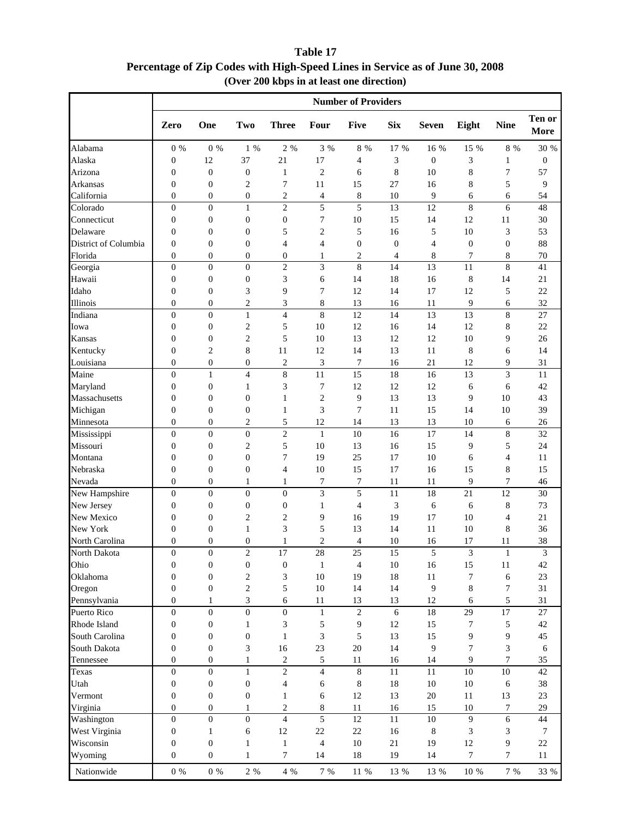**Table 17 Percentage of Zip Codes with High-Speed Lines in Service as of June 30, 2008 (Over 200 kbps in at least one direction)**

|                      | <b>Number of Providers</b> |                  |                  |                  |                  |                  |                  |                  |                  |                  |                  |
|----------------------|----------------------------|------------------|------------------|------------------|------------------|------------------|------------------|------------------|------------------|------------------|------------------|
|                      | Zero                       | One              | Two              | <b>Three</b>     | Four             | <b>Five</b>      | <b>Six</b>       | <b>Seven</b>     | Eight            | <b>Nine</b>      | Ten or<br>More   |
| Alabama              | $0\%$                      | $0\%$            | 1 %              | 2 %              | 3 %              | $8\,$ %          | 17 %             | 16 %             | 15 %             | 8 %              | 30 %             |
| Alaska               | $\boldsymbol{0}$           | 12               | 37               | 21               | 17               | 4                | 3                | $\boldsymbol{0}$ | 3                | 1                | $\boldsymbol{0}$ |
| Arizona              | $\boldsymbol{0}$           | $\boldsymbol{0}$ | $\boldsymbol{0}$ | $\mathbf{1}$     | $\sqrt{2}$       | 6                | 8                | 10               | 8                | $\tau$           | 57               |
| Arkansas             | $\boldsymbol{0}$           | $\boldsymbol{0}$ | 2                | 7                | 11               | 15               | 27               | 16               | 8                | 5                | 9                |
| California           | $\boldsymbol{0}$           | $\boldsymbol{0}$ | $\boldsymbol{0}$ | 2                | 4                | 8                | 10               | 9                | 6                | 6                | 54               |
| Colorado             | $\overline{0}$             | $\overline{0}$   | $\mathbf{1}$     | $\overline{c}$   | 5                | 5                | 13               | 12               | $\,8\,$          | 6                | 48               |
| Connecticut          | $\boldsymbol{0}$           | $\boldsymbol{0}$ | $\boldsymbol{0}$ | $\boldsymbol{0}$ | 7                | 10               | 15               | 14               | 12               | 11               | 30               |
| Delaware             | $\mathbf{0}$               | $\boldsymbol{0}$ | $\overline{0}$   | 5                | 2                | 5                | 16               | 5                | 10               | 3                | 53               |
| District of Columbia | $\boldsymbol{0}$           | $\overline{0}$   | $\overline{0}$   | 4                | 4                | $\boldsymbol{0}$ | $\boldsymbol{0}$ | $\overline{4}$   | $\overline{0}$   | $\boldsymbol{0}$ | 88               |
| Florida              | $\mathbf{0}$               | $\boldsymbol{0}$ | $\overline{0}$   | $\boldsymbol{0}$ | 1                | 2                | $\overline{4}$   | 8                | $\overline{7}$   | 8                | $70\,$           |
| Georgia              | $\mathbf{0}$               | $\boldsymbol{0}$ | $\mathbf{0}$     | 2                | 3                | $\,8\,$          | 14               | 13               | 11               | 8                | 41               |
| Hawaii               | $\boldsymbol{0}$           | $\boldsymbol{0}$ | $\boldsymbol{0}$ | 3                | 6                | 14               | 18               | 16               | 8                | 14               | 21               |
| Idaho                | $\boldsymbol{0}$           | $\boldsymbol{0}$ | 3                | 9                | $\tau$           | 12               | 14               | 17               | 12               | 5                | 22               |
| Illinois             | $\boldsymbol{0}$           | $\boldsymbol{0}$ | $\overline{c}$   | 3                | 8                | 13               | 16               | 11               | 9                | 6                | 32               |
| Indiana              | $\boldsymbol{0}$           | $\boldsymbol{0}$ | $\mathbf{1}$     | $\overline{4}$   | $\,8\,$          | 12               | 14               | 13               | 13               | 8                | 27               |
| Iowa                 | $\boldsymbol{0}$           | $\boldsymbol{0}$ | $\overline{c}$   | 5                | 10               | 12               | 16               | 14               | 12               | 8                | 22               |
| Kansas               | $\boldsymbol{0}$           | $\boldsymbol{0}$ | $\overline{c}$   | 5                | 10               | 13               | 12               | 12               | 10               | 9                | 26               |
| Kentucky             | $\boldsymbol{0}$           | $\overline{c}$   | 8                | 11               | 12               | 14               | 13               | 11               | 8                | 6                | 14               |
| Louisiana            | $\overline{0}$             | $\boldsymbol{0}$ | $\overline{0}$   | 2                | 3                | 7                | 16               | 21               | 12               | 9                | 31               |
| Maine                | $\overline{0}$             | $\mathbf{1}$     | $\overline{4}$   | 8                | 11               | 15               | 18               | 16               | 13               | 3                | 11               |
| Maryland             | $\mathbf{0}$               | $\boldsymbol{0}$ | 1                | 3                | $\tau$           | 12               | 12               | 12               | 6                | 6                | 42               |
| Massachusetts        | $\overline{0}$             | $\boldsymbol{0}$ | $\overline{0}$   | $\mathbf{1}$     | $\sqrt{2}$       | 9                | 13               | 13               | 9                | 10               | 43               |
| Michigan             | $\overline{0}$             | $\boldsymbol{0}$ | $\boldsymbol{0}$ | 1                | 3                | 7                | 11               | 15               | 14               | 10               | 39               |
| Minnesota            | $\boldsymbol{0}$           | 0                | 2                | 5                | 12               | 14               | 13               | 13               | 10               | 6                | 26               |
| Mississippi          | $\overline{0}$             | $\boldsymbol{0}$ | $\overline{0}$   | $\overline{2}$   | $\mathbf{1}$     | 10               | 16               | 17               | 14               | 8                | 32               |
| Missouri             | $\boldsymbol{0}$           | $\boldsymbol{0}$ | $\overline{c}$   | 5                | 10               | 13               | 16               | 15               | 9                | 5                | 24               |
| Montana              | $\boldsymbol{0}$           | $\boldsymbol{0}$ | $\boldsymbol{0}$ | 7                | 19               | 25               | 17               | 10               | 6                | 4                | 11               |
| Nebraska             | $\boldsymbol{0}$           | $\boldsymbol{0}$ | $\boldsymbol{0}$ | 4                | 10               | 15               | 17               | 16               | 15               | 8                | 15               |
| Nevada               | $\boldsymbol{0}$           | $\boldsymbol{0}$ | $\mathbf{1}$     | $\mathbf{1}$     | $\boldsymbol{7}$ | 7                | 11               | 11               | 9                | $\tau$           | 46               |
| New Hampshire        | $\mathbf{0}$               | $\overline{0}$   | $\overline{0}$   | $\overline{0}$   | 3                | 5                | 11               | 18               | 21               | 12               | 30               |
| New Jersey           | $\boldsymbol{0}$           | $\boldsymbol{0}$ | $\boldsymbol{0}$ | $\boldsymbol{0}$ | $\mathbf{1}$     | 4                | 3                | 6                | 6                | 8                | 73               |
| New Mexico           | $\boldsymbol{0}$           | $\boldsymbol{0}$ | $\overline{c}$   | 2                | 9                | 16               | 19               | 17               | 10               | $\overline{4}$   | 21               |
| New York             | $\overline{0}$             | $\boldsymbol{0}$ | 1                | 3                | 5                | 13               | 14               | 11               | 10               | 8                | 36               |
| North Carolina       | $\mathbf{0}$               | $\boldsymbol{0}$ | $\overline{0}$   | 1                | $\overline{c}$   | 4                | 10               | 16               | 17               | 11               | 38               |
| North Dakota         | $\Omega$                   | $\theta$         | $\overline{c}$   | 17               | 28               | 25               | 15               | 5                | 3                | $\mathbf{1}$     | 3                |
| Ohio                 | $\boldsymbol{0}$           | $\boldsymbol{0}$ | $\boldsymbol{0}$ | $\boldsymbol{0}$ | $\mathbf{1}$     | 4                | 10               | 16               | 15               | 11               | 42               |
| Oklahoma             | $\boldsymbol{0}$           | 0                | 2                | 3                | 10               | 19               | 18               | 11               | 7                | 6                | 23               |
| Oregon               | $\boldsymbol{0}$           | $\boldsymbol{0}$ | $\mathfrak{2}$   | 5                | 10               | 14               | 14               | 9                | 8                | 7                | 31               |
| Pennsylvania         | $\boldsymbol{0}$           | $\mathbf{1}$     | 3                | 6                | 11               | 13               | 13               | 12               | 6                | 5                | 31               |
| Puerto Rico          | $\boldsymbol{0}$           | $\boldsymbol{0}$ | $\boldsymbol{0}$ | $\boldsymbol{0}$ | $\mathbf{1}$     | $\sqrt{2}$       | 6                | 18               | 29               | 17               | 27               |
| Rhode Island         | $\boldsymbol{0}$           | $\boldsymbol{0}$ | 1                | 3                | 5                | 9                | 12               | 15               | 7                | 5                | $42\,$           |
| South Carolina       | $\boldsymbol{0}$           | $\boldsymbol{0}$ | $\boldsymbol{0}$ | $\mathbf{1}$     | 3                | 5                | 13               | 15               | 9                | 9                | 45               |
| South Dakota         | $\boldsymbol{0}$           | 0                | 3                | 16               | 23               | 20               | 14               | 9                | 7                | 3                | 6                |
| Tennessee            | $\boldsymbol{0}$           | $\boldsymbol{0}$ | 1                | $\sqrt{2}$       | 5                | 11               | 16               | 14               | 9                | 7                | 35               |
| Texas                | $\boldsymbol{0}$           | $\boldsymbol{0}$ | $\mathbf{1}$     | $\mathfrak{2}$   | 4                | $\,8\,$          | 11               | 11               | 10               | 10               | 42               |
| Utah                 | $\boldsymbol{0}$           | $\boldsymbol{0}$ | $\boldsymbol{0}$ | 4                | 6                | 8                | 18               | 10               | 10               | 6                | 38               |
| Vermont              | $\boldsymbol{0}$           | $\boldsymbol{0}$ | $\boldsymbol{0}$ | 1                | 6                | 12               | 13               | 20               | 11               | 13               | 23               |
| Virginia             | $\boldsymbol{0}$           | 0                | 1                | $\overline{c}$   | 8                | 11               | 16               | 15               | 10               | 7                | 29               |
| Washington           | $\boldsymbol{0}$           | $\boldsymbol{0}$ | $\boldsymbol{0}$ | $\overline{4}$   | 5                | 12               | 11               | 10               | 9                | 6                | 44               |
| West Virginia        | $\boldsymbol{0}$           | 1                | 6                | 12               | $22\,$           | $22\,$           | 16               | 8                | 3                | 3                | 7                |
| Wisconsin            | $\boldsymbol{0}$           | $\boldsymbol{0}$ | 1                | $\mathbf{1}$     | 4                | $10\,$           | 21               | 19               | 12               | 9                | $22\,$           |
| Wyoming              | $\boldsymbol{0}$           | $\boldsymbol{0}$ | 1                | 7                | 14               | 18               | 19               | 14               | $\boldsymbol{7}$ | 7                | 11               |
| Nationwide           | $0\%$                      | $0\%$            | 2 %              | 4 %              | 7 %              | 11 %             | 13 %             | 13 %             | $10\,$ %         | 7 %              | 33 %             |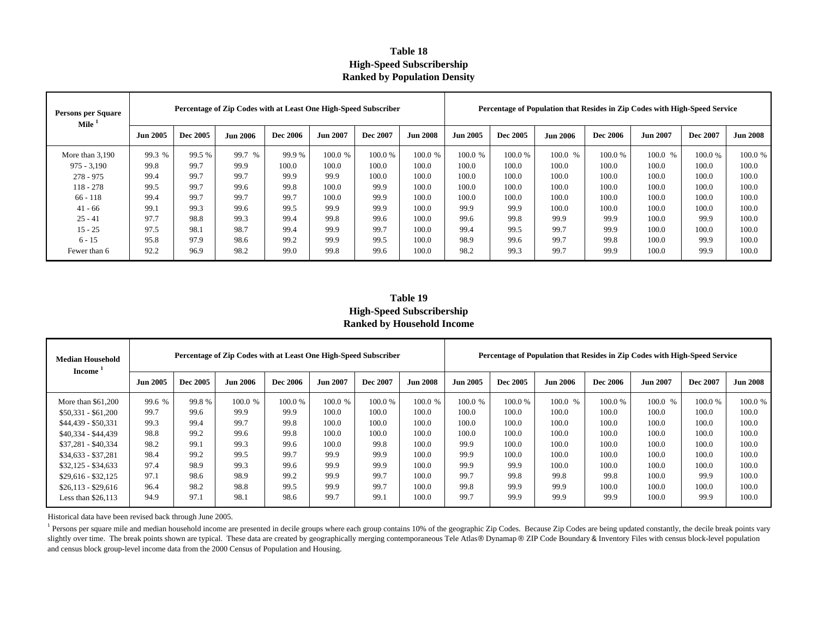#### **Table 18High-Speed Subscribership Ranked by Population Density**

| <b>Persons per Square</b><br>Mile <sup>1</sup> |                 | Percentage of Zip Codes with at Least One High-Speed Subscriber |                 |          |                 |          | Percentage of Population that Resides in Zip Codes with High-Speed Service |                 |          |                 |                 |                 |          |                 |
|------------------------------------------------|-----------------|-----------------------------------------------------------------|-----------------|----------|-----------------|----------|----------------------------------------------------------------------------|-----------------|----------|-----------------|-----------------|-----------------|----------|-----------------|
|                                                | <b>Jun 2005</b> | Dec 2005                                                        | <b>Jun 2006</b> | Dec 2006 | <b>Jun 2007</b> | Dec 2007 | <b>Jun 2008</b>                                                            | <b>Jun 2005</b> | Dec 2005 | <b>Jun 2006</b> | <b>Dec 2006</b> | <b>Jun 2007</b> | Dec 2007 | <b>Jun 2008</b> |
| More than 3.190                                | 99.3 %          | 99.5 %                                                          | 99.7 %          | 99.9%    | 100.0 %         | 100.0%   | 100.0 %                                                                    | 100.0 %         | 100.0%   | 100.0 %         | 100.0%          | 100.0 %         | 100.0%   | 100.0 %         |
| $975 - 3.190$                                  | 99.8            | 99.7                                                            | 99.9            | 100.0    | 100.0           | 100.0    | 100.0                                                                      | 100.0           | 100.0    | 100.0           | 100.0           | 100.0           | 100.0    | 100.0           |
| $278 - 975$                                    | 99.4            | 99.7                                                            | 99.7            | 99.9     | 99.9            | 100.0    | 100.0                                                                      | 100.0           | 100.0    | 100.0           | 100.0           | 100.0           | 100.0    | 100.0           |
| $118 - 278$                                    | 99.5            | 99.7                                                            | 99.6            | 99.8     | 100.0           | 99.9     | 100.0                                                                      | 100.0           | 100.0    | 100.0           | 100.0           | 100.0           | 100.0    | 100.0           |
| $66 - 118$                                     | 99.4            | 99.7                                                            | 99.7            | 99.7     | 100.0           | 99.9     | 100.0                                                                      | 100.0           | 100.0    | 100.0           | 100.0           | 100.0           | 100.0    | 100.0           |
| $41 - 66$                                      | 99.1            | 99.3                                                            | 99.6            | 99.5     | 99.9            | 99.9     | 100.0                                                                      | 99.9            | 99.9     | 100.0           | 100.0           | 100.0           | 100.0    | 100.0           |
| $25 - 41$                                      | 97.7            | 98.8                                                            | 99.3            | 99.4     | 99.8            | 99.6     | 100.0                                                                      | 99.6            | 99.8     | 99.9            | 99.9            | 100.0           | 99.9     | 100.0           |
| $15 - 25$                                      | 97.5            | 98.1                                                            | 98.7            | 99.4     | 99.9            | 99.7     | 100.0                                                                      | 99.4            | 99.5     | 99.7            | 99.9            | 100.0           | 100.0    | 100.0           |
| $6 - 15$                                       | 95.8            | 97.9                                                            | 98.6            | 99.2     | 99.9            | 99.5     | 100.0                                                                      | 98.9            | 99.6     | 99.7            | 99.8            | 100.0           | 99.9     | 100.0           |
| Fewer than 6                                   | 92.2            | 96.9                                                            | 98.2            | 99.0     | 99.8            | 99.6     | 100.0                                                                      | 98.2            | 99.3     | 99.7            | 99.9            | 100.0           | 99.9     | 100.0           |

**Table 19 High-Speed Subscribership Ranked by Household Income**

| Median Household<br><b>Income</b> | Percentage of Zip Codes with at Least One High-Speed Subscriber |                 |                 |                 |                 |          |                 |                 | Percentage of Population that Resides in Zip Codes with High-Speed Service |                 |          |                 |          |                 |
|-----------------------------------|-----------------------------------------------------------------|-----------------|-----------------|-----------------|-----------------|----------|-----------------|-----------------|----------------------------------------------------------------------------|-----------------|----------|-----------------|----------|-----------------|
|                                   | <b>Jun 2005</b>                                                 | <b>Dec 2005</b> | <b>Jun 2006</b> | <b>Dec 2006</b> | <b>Jun 2007</b> | Dec 2007 | <b>Jun 2008</b> | <b>Jun 2005</b> | Dec 2005                                                                   | <b>Jun 2006</b> | Dec 2006 | <b>Jun 2007</b> | Dec 2007 | <b>Jun 2008</b> |
| More than $$61,200$               | 99.6 %                                                          | 99.8%           | 100.0%          | 100.0 %         | 100.0 %         | 100.0%   | 100.0 %         | 100.0 %         | 100.0%                                                                     | 100.0%          | 100.0%   | 100.0%          | 100.0 %  | 100.0 %         |
| $$50.331 - $61.200$               | 99.7                                                            | 99.6            | 99.9            | 99.9            | 100.0           | 100.0    | 100.0           | 100.0           | 100.0                                                                      | 100.0           | 100.0    | 100.0           | 100.0    | 100.0           |
| $$44.439 - $50.331$               | 99.3                                                            | 99.4            | 99.7            | 99.8            | 100.0           | 100.0    | 100.0           | 100.0           | 100.0                                                                      | 100.0           | 100.0    | 100.0           | 100.0    | 100.0           |
| $$40,334 - $44,439$               | 98.8                                                            | 99.2            | 99.6            | 99.8            | 100.0           | 100.0    | 100.0           | 100.0           | 100.0                                                                      | 100.0           | 100.0    | 100.0           | 100.0    | 100.0           |
| $$37.281 - $40.334$               | 98.2                                                            | 99.1            | 99.3            | 99.6            | 100.0           | 99.8     | 100.0           | 99.9            | 100.0                                                                      | 100.0           | 100.0    | 100.0           | 100.0    | 100.0           |
| $$34,633 - $37,281$               | 98.4                                                            | 99.2            | 99.5            | 99.7            | 99.9            | 99.9     | 100.0           | 99.9            | 100.0                                                                      | 100.0           | 100.0    | 100.0           | 100.0    | 100.0           |
| $$32.125 - $34.633$               | 97.4                                                            | 98.9            | 99.3            | 99.6            | 99.9            | 99.9     | 100.0           | 99.9            | 99.9                                                                       | 100.0           | 100.0    | 100.0           | 100.0    | 100.0           |
| $$29.616 - $32.125$               | 97.1                                                            | 98.6            | 98.9            | 99.2            | 99.9            | 99.7     | 100.0           | 99.7            | 99.8                                                                       | 99.8            | 99.8     | 100.0           | 99.9     | 100.0           |
| $$26,113 - $29,616$               | 96.4                                                            | 98.2            | 98.8            | 99.5            | 99.9            | 99.7     | 100.0           | 99.8            | 99.9                                                                       | 99.9            | 100.0    | 100.0           | 100.0    | 100.0           |
| Less than $$26,113$               | 94.9                                                            | 97.1            | 98.1            | 98.6            | 99.7            | 99.1     | 100.0           | 99.7            | 99.9                                                                       | 99.9            | 99.9     | 100.0           | 99.9     | 100.0           |

Historical data have been revised back through June 2005.

<sup>1</sup> Persons per square mile and median household income are presented in decile groups where each group contains 10% of the geographic Zip Codes. Because Zip Codes are being updated constantly, the decile break points vary slightly over time. The break points shown are typical. These data are created by geographically merging contemporaneous Tele Atlas® Dynamap ® ZIP Code Boundary & Inventory Files with census block-level population and census block group-level income data from the 2000 Census of Population and Housing.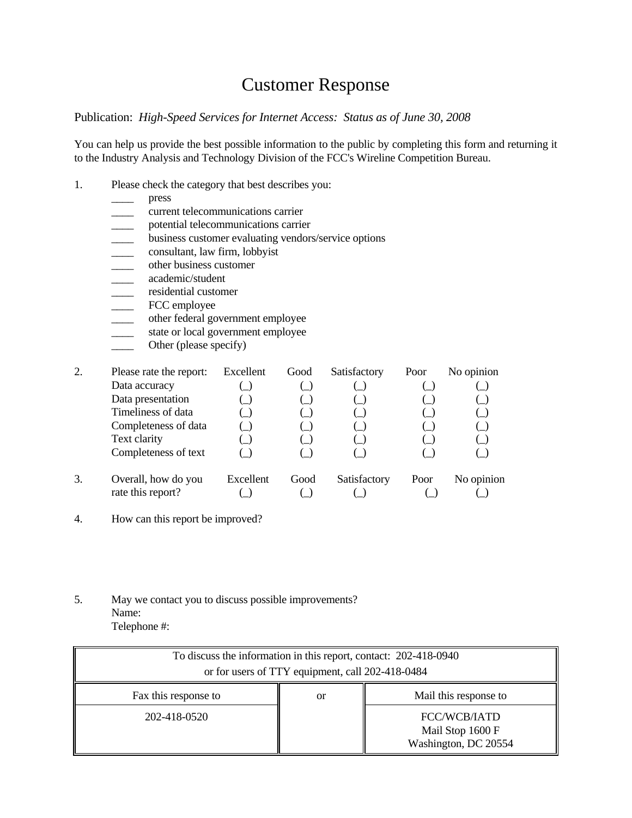## Customer Response

#### Publication: *High-Speed Services for Internet Access: Status as of June 30, 2008*

You can help us provide the best possible information to the public by completing this form and returning it to the Industry Analysis and Technology Division of the FCC's Wireline Competition Bureau.

- 1. Please check the category that best describes you:
	- \_\_\_\_ press
	- \_\_\_\_ current telecommunications carrier
	- \_\_\_\_ potential telecommunications carrier
	- business customer evaluating vendors/service options<br>consultant, law firm, lobbyist
	- \_\_\_\_ consultant, law firm, lobbyist
	- \_\_\_\_ other business customer
	- \_\_\_\_ academic/student
	-
	- FCC employee
	- \_\_\_\_\_ residential customer<br>FCC employee<br>other federal governi<br>state or local governi<br>Other (please specify other federal government employee
	- state or local government employee
	- Other (please specify)

| 2. | Please rate the report: | Excellent | Good | Satisfactory | Poor | No opinion |
|----|-------------------------|-----------|------|--------------|------|------------|
|    | Data accuracy           |           |      |              |      |            |
|    | Data presentation       |           |      |              |      |            |
|    | Timeliness of data      |           |      |              |      |            |
|    | Completeness of data    |           |      |              |      |            |
|    | Text clarity            |           |      |              |      |            |
|    | Completeness of text    |           |      |              |      |            |
| 3. | Overall, how do you     | Excellent | Good | Satisfactory | Poor | No opinion |
|    | rate this report?       |           |      |              |      |            |

- 4. How can this report be improved?
- 5. May we contact you to discuss possible improvements? Name: Telephone #:

| To discuss the information in this report, contact: 202-418-0940<br>or for users of TTY equipment, call 202-418-0484 |    |                                                          |  |  |  |  |  |  |
|----------------------------------------------------------------------------------------------------------------------|----|----------------------------------------------------------|--|--|--|--|--|--|
| Fax this response to                                                                                                 | or | Mail this response to                                    |  |  |  |  |  |  |
| 202-418-0520                                                                                                         |    | FCC/WCB/IATD<br>Mail Stop 1600 F<br>Washington, DC 20554 |  |  |  |  |  |  |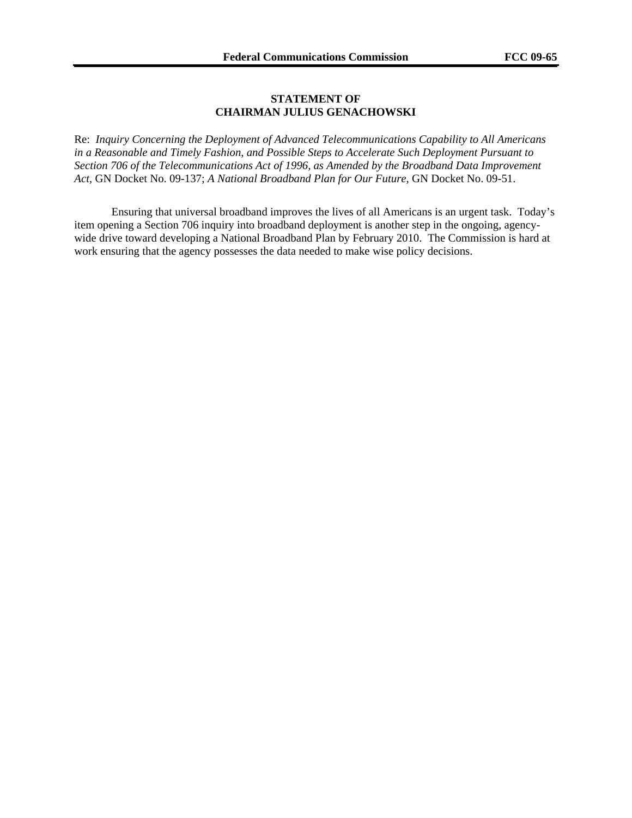#### **STATEMENT OF CHAIRMAN JULIUS GENACHOWSKI**

Re: *Inquiry Concerning the Deployment of Advanced Telecommunications Capability to All Americans in a Reasonable and Timely Fashion, and Possible Steps to Accelerate Such Deployment Pursuant to Section 706 of the Telecommunications Act of 1996, as Amended by the Broadband Data Improvement Act*, GN Docket No. 09-137; *A National Broadband Plan for Our Future*, GN Docket No. 09-51.

Ensuring that universal broadband improves the lives of all Americans is an urgent task. Today's item opening a Section 706 inquiry into broadband deployment is another step in the ongoing, agencywide drive toward developing a National Broadband Plan by February 2010. The Commission is hard at work ensuring that the agency possesses the data needed to make wise policy decisions.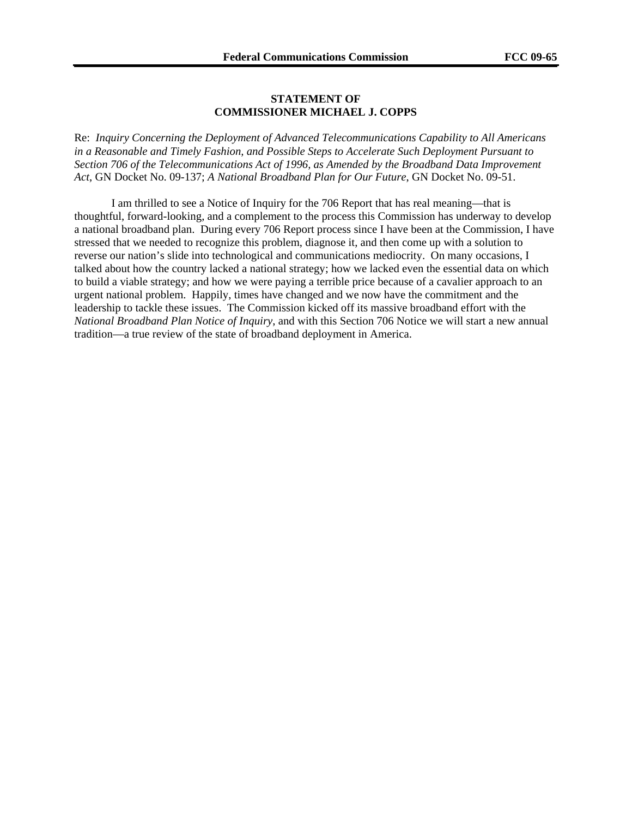#### **STATEMENT OF COMMISSIONER MICHAEL J. COPPS**

Re: *Inquiry Concerning the Deployment of Advanced Telecommunications Capability to All Americans in a Reasonable and Timely Fashion, and Possible Steps to Accelerate Such Deployment Pursuant to Section 706 of the Telecommunications Act of 1996, as Amended by the Broadband Data Improvement Act*, GN Docket No. 09-137; *A National Broadband Plan for Our Future*, GN Docket No. 09-51.

I am thrilled to see a Notice of Inquiry for the 706 Report that has real meaning—that is thoughtful, forward-looking, and a complement to the process this Commission has underway to develop a national broadband plan. During every 706 Report process since I have been at the Commission, I have stressed that we needed to recognize this problem, diagnose it, and then come up with a solution to reverse our nation's slide into technological and communications mediocrity. On many occasions, I talked about how the country lacked a national strategy; how we lacked even the essential data on which to build a viable strategy; and how we were paying a terrible price because of a cavalier approach to an urgent national problem. Happily, times have changed and we now have the commitment and the leadership to tackle these issues. The Commission kicked off its massive broadband effort with the *National Broadband Plan Notice of Inquiry*, and with this Section 706 Notice we will start a new annual tradition—a true review of the state of broadband deployment in America.